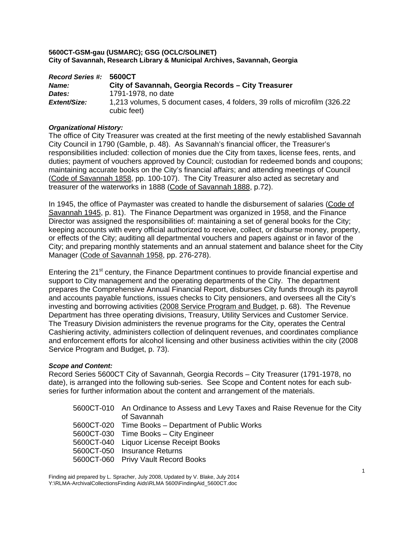| Record Series #: 5600CT |                                                                                           |
|-------------------------|-------------------------------------------------------------------------------------------|
| Name:                   | City of Savannah, Georgia Records - City Treasurer                                        |
| Dates:                  | 1791-1978, no date                                                                        |
| Extent/Size:            | 1,213 volumes, 5 document cases, 4 folders, 39 rolls of microfilm (326.22)<br>cubic feet) |

## *Organizational History:*

The office of City Treasurer was created at the first meeting of the newly established Savannah City Council in 1790 (Gamble, p. 48). As Savannah's financial officer, the Treasurer's responsibilities included: collection of monies due the City from taxes, license fees, rents, and duties; payment of vouchers approved by Council; custodian for redeemed bonds and coupons; maintaining accurate books on the City's financial affairs; and attending meetings of Council (Code of Savannah 1858, pp. 100-107). The City Treasurer also acted as secretary and treasurer of the waterworks in 1888 (Code of Savannah 1888, p.72).

In 1945, the office of Paymaster was created to handle the disbursement of salaries (Code of Savannah 1945, p. 81). The Finance Department was organized in 1958, and the Finance Director was assigned the responsibilities of: maintaining a set of general books for the City; keeping accounts with every official authorized to receive, collect, or disburse money, property, or effects of the City; auditing all departmental vouchers and papers against or in favor of the City; and preparing monthly statements and an annual statement and balance sheet for the City Manager (Code of Savannah 1958, pp. 276-278).

Entering the 21<sup>st</sup> century, the Finance Department continues to provide financial expertise and support to City management and the operating departments of the City. The department prepares the Comprehensive Annual Financial Report, disburses City funds through its payroll and accounts payable functions, issues checks to City pensioners, and oversees all the City's investing and borrowing activities (2008 Service Program and Budget, p. 68). The Revenue Department has three operating divisions, Treasury, Utility Services and Customer Service. The Treasury Division administers the revenue programs for the City, operates the Central Cashiering activity, administers collection of delinquent revenues, and coordinates compliance and enforcement efforts for alcohol licensing and other business activities within the city (2008 Service Program and Budget, p. 73).

## *Scope and Content:*

Record Series 5600CT City of Savannah, Georgia Records – City Treasurer (1791-1978, no date), is arranged into the following sub-series. See Scope and Content notes for each subseries for further information about the content and arrangement of the materials.

| 5600CT-010 An Ordinance to Assess and Levy Taxes and Raise Revenue for the City |
|---------------------------------------------------------------------------------|
| of Savannah                                                                     |
| 5600CT-020 Time Books – Department of Public Works                              |
| 5600CT-030 Time Books - City Engineer                                           |
| 5600CT-040 Liquor License Receipt Books                                         |
| 5600CT-050 Insurance Returns                                                    |
| 5600CT-060 Privy Vault Record Books                                             |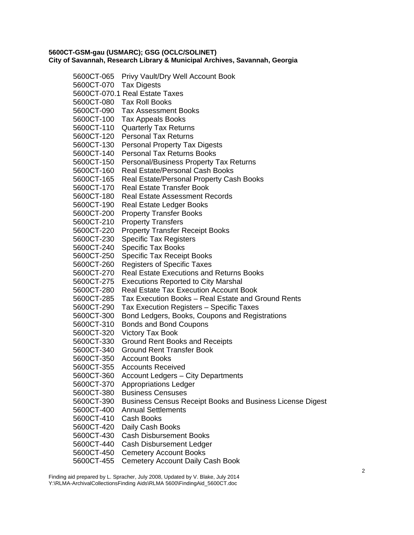5600CT-065 Privy Vault/Dry Well Account Book 5600CT-070Tax Digests 5600CT-070.1 Real Estate Taxes 5600CT-080Tax Roll Books 5600CT-090Tax Assessment Books 5600CT-100Tax Appeals Books 5600CT-110Quarterly Tax Returns 5600CT-120Personal Tax Returns 5600CT-130Personal Property Tax Digests 5600CT-140Personal Tax Returns Books 5600CT-150Personal/Business Property Tax Returns 5600CT-160Real Estate/Personal Cash Books 5600CT-165Real Estate/Personal Property Cash Books 5600CT-170Real Estate Transfer Book 5600CT-180Real Estate Assessment Records 5600CT-190Real Estate Ledger Books 5600CT-200Property Transfer Books 5600CT-210Property Transfers 5600CT-220 Property Transfer Receipt Books 5600CT-230Specific Tax Registers 5600CT-240Specific Tax Books 5600CT-250Specific Tax Receipt Books 5600CT-260Registers of Specific Taxes 5600CT-270 Real Estate Executions and Returns Books 5600CT-275Executions Reported to City Marshal 5600CT-280Real Estate Tax Execution Account Book 5600CT-285Tax Execution Books – Real Estate and Ground Rents 5600CT-290Tax Execution Registers – Specific Taxes 5600CT-300Bond Ledgers, Books, Coupons and Registrations 5600CT-310Bonds and Bond Coupons 5600CT-320Victory Tax Book 5600CT-330Ground Rent Books and Receipts 5600CT-340Ground Rent Transfer Book 5600CT-350Account Books 5600CT-355Accounts Received 5600CT-360Account Ledgers – City Departments 5600CT-370Appropriations Ledger 5600CT-380Business Censuses 5600CT-390Business Census Receipt Books and Business License Digest 5600CT-400Annual Settlements 5600CT-410 Cash Books 5600CT-420Daily Cash Books 5600CT-430Cash Disbursement Books 5600CT-440Cash Disbursement Ledger 5600CT-450Cemetery Account Books 5600CT-455Cemetery Account Daily Cash Book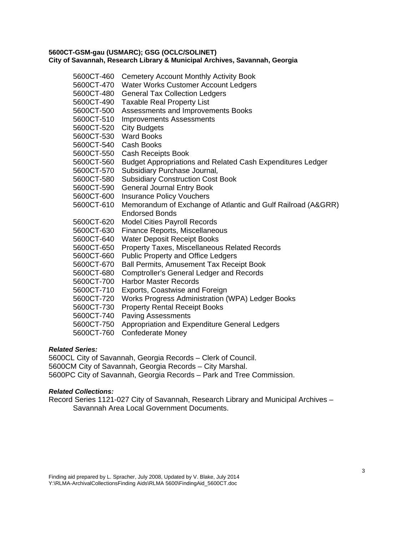| 5600CT-460 | <b>Cemetery Account Monthly Activity Book</b>                     |
|------------|-------------------------------------------------------------------|
| 5600CT-470 | Water Works Customer Account Ledgers                              |
| 5600CT-480 | <b>General Tax Collection Ledgers</b>                             |
| 5600CT-490 | <b>Taxable Real Property List</b>                                 |
| 5600CT-500 | Assessments and Improvements Books                                |
| 5600CT-510 | <b>Improvements Assessments</b>                                   |
| 5600CT-520 | <b>City Budgets</b>                                               |
| 5600CT-530 | <b>Ward Books</b>                                                 |
| 5600CT-540 | <b>Cash Books</b>                                                 |
| 5600CT-550 | <b>Cash Receipts Book</b>                                         |
| 5600CT-560 | <b>Budget Appropriations and Related Cash Expenditures Ledger</b> |
| 5600CT-570 | Subsidiary Purchase Journal,                                      |
| 5600CT-580 | <b>Subsidiary Construction Cost Book</b>                          |
| 5600CT-590 | <b>General Journal Entry Book</b>                                 |
| 5600CT-600 | <b>Insurance Policy Vouchers</b>                                  |
| 5600CT-610 | Memorandum of Exchange of Atlantic and Gulf Railroad (A&GRR)      |
|            | <b>Endorsed Bonds</b>                                             |
| 5600CT-620 | <b>Model Cities Payroll Records</b>                               |
| 5600CT-630 | Finance Reports, Miscellaneous                                    |
| 5600CT-640 | <b>Water Deposit Receipt Books</b>                                |
| 5600CT-650 | Property Taxes, Miscellaneous Related Records                     |
| 5600CT-660 | <b>Public Property and Office Ledgers</b>                         |
| 5600CT-670 | <b>Ball Permits, Amusement Tax Receipt Book</b>                   |
| 5600CT-680 | <b>Comptroller's General Ledger and Records</b>                   |
| 5600CT-700 | <b>Harbor Master Records</b>                                      |
| 5600CT-710 | Exports, Coastwise and Foreign                                    |
| 5600CT-720 | Works Progress Administration (WPA) Ledger Books                  |
| 5600CT-730 | <b>Property Rental Receipt Books</b>                              |
| 5600CT-740 | <b>Paving Assessments</b>                                         |
| 5600CT-750 | Appropriation and Expenditure General Ledgers                     |
| 5600CT-760 | Confederate Money                                                 |

## *Related Series:*

5600CL City of Savannah, Georgia Records – Clerk of Council. 5600CM City of Savannah, Georgia Records – City Marshal. 5600PC City of Savannah, Georgia Records – Park and Tree Commission.

## *Related Collections:*

Record Series 1121-027 City of Savannah, Research Library and Municipal Archives – Savannah Area Local Government Documents.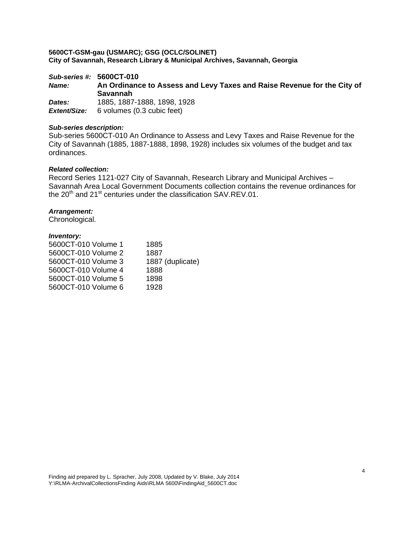# *Sub-series #:* **5600CT-010** *Name:* **An Ordinance to Assess and Levy Taxes and Raise Revenue for the City of Savannah**  *Dates:* 1885, 1887-1888, 1898, 1928

*Extent/Size:* 6 volumes (0.3 cubic feet)

## *Sub-series description:*

Sub-series 5600CT-010 An Ordinance to Assess and Levy Taxes and Raise Revenue for the City of Savannah (1885, 1887-1888, 1898, 1928) includes six volumes of the budget and tax ordinances.

#### *Related collection:*

Record Series 1121-027 City of Savannah, Research Library and Municipal Archives – Savannah Area Local Government Documents collection contains the revenue ordinances for the  $20<sup>th</sup>$  and  $21<sup>st</sup>$  centuries under the classification SAV.REV.01.

## *Arrangement:*

Chronological.

| 1885             |
|------------------|
| 1887             |
| 1887 (duplicate) |
| 1888             |
| 1898             |
| 1928             |
|                  |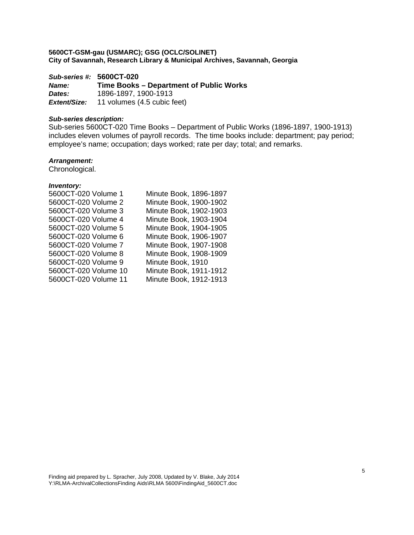*Sub-series #:* **5600CT-020** *Name:* **Time Books – Department of Public Works**  *Dates:* 1896-1897, 1900-1913 *Extent/Size:* 11 volumes (4.5 cubic feet)

#### *Sub-series description:*

Sub-series 5600CT-020 Time Books – Department of Public Works (1896-1897, 1900-1913) includes eleven volumes of payroll records. The time books include: department; pay period; employee's name; occupation; days worked; rate per day; total; and remarks.

## *Arrangement:*

Chronological.

| 5600CT-020 Volume 1  | Minute Book, 1896-1897 |
|----------------------|------------------------|
|                      |                        |
| 5600CT-020 Volume 2  | Minute Book, 1900-1902 |
| 5600CT-020 Volume 3  | Minute Book, 1902-1903 |
| 5600CT-020 Volume 4  | Minute Book, 1903-1904 |
| 5600CT-020 Volume 5  | Minute Book, 1904-1905 |
| 5600CT-020 Volume 6  | Minute Book, 1906-1907 |
| 5600CT-020 Volume 7  | Minute Book, 1907-1908 |
| 5600CT-020 Volume 8  | Minute Book, 1908-1909 |
| 5600CT-020 Volume 9  | Minute Book, 1910      |
| 5600CT-020 Volume 10 | Minute Book, 1911-1912 |
| 5600CT-020 Volume 11 | Minute Book, 1912-1913 |
|                      |                        |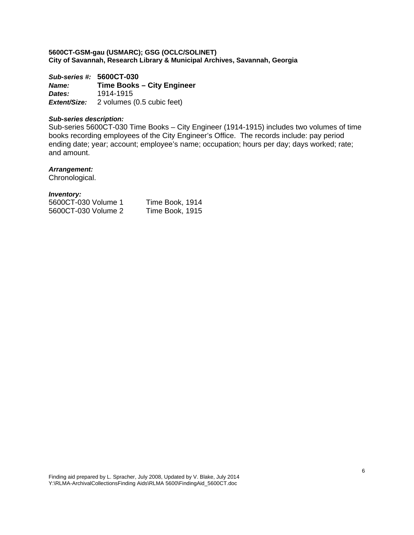*Sub-series #:* **5600CT-030** *Name:* **Time Books – City Engineer**  *Dates:* 1914-1915 *Extent/Size:* 2 volumes (0.5 cubic feet)

## *Sub-series description:*

Sub-series 5600CT-030 Time Books – City Engineer (1914-1915) includes two volumes of time books recording employees of the City Engineer's Office. The records include: pay period ending date; year; account; employee's name; occupation; hours per day; days worked; rate; and amount.

#### *Arrangement:*

Chronological.

| 5600CT-030 Volume 1 | Time Book, 1914 |
|---------------------|-----------------|
| 5600CT-030 Volume 2 | Time Book, 1915 |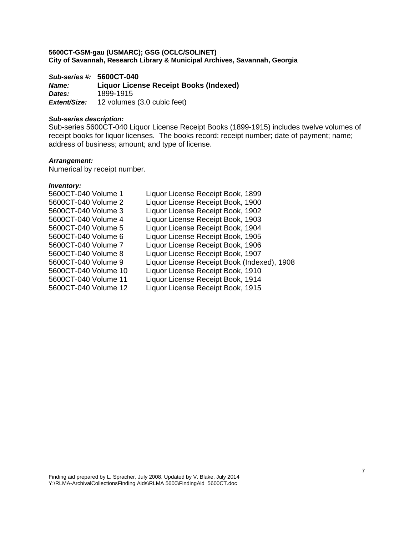*Sub-series #:* **5600CT-040** *Name:* **Liquor License Receipt Books (Indexed)**  *Dates:* 1899-1915 *Extent/Size:* 12 volumes (3.0 cubic feet)

#### *Sub-series description:*

Sub-series 5600CT-040 Liquor License Receipt Books (1899-1915) includes twelve volumes of receipt books for liquor licenses. The books record: receipt number; date of payment; name; address of business; amount; and type of license.

#### *Arrangement:*

Numerical by receipt number.

| 5600CT-040 Volume 1  | Liquor License Receipt Book, 1899           |
|----------------------|---------------------------------------------|
| 5600CT-040 Volume 2  | Liquor License Receipt Book, 1900           |
| 5600CT-040 Volume 3  | Liquor License Receipt Book, 1902           |
| 5600CT-040 Volume 4  | Liquor License Receipt Book, 1903           |
| 5600CT-040 Volume 5  | Liquor License Receipt Book, 1904           |
| 5600CT-040 Volume 6  | Liquor License Receipt Book, 1905           |
| 5600CT-040 Volume 7  | Liquor License Receipt Book, 1906           |
| 5600CT-040 Volume 8  | Liquor License Receipt Book, 1907           |
| 5600CT-040 Volume 9  | Liquor License Receipt Book (Indexed), 1908 |
| 5600CT-040 Volume 10 | Liquor License Receipt Book, 1910           |
| 5600CT-040 Volume 11 | Liquor License Receipt Book, 1914           |
| 5600CT-040 Volume 12 | Liquor License Receipt Book, 1915           |
|                      |                                             |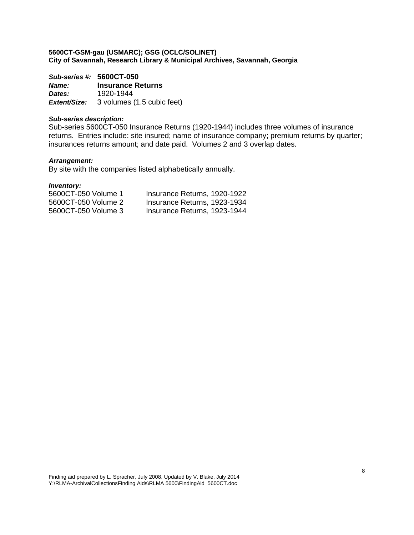*Sub-series #:* **5600CT-050** *Name:* **Insurance Returns**  *Dates:* 1920-1944 *Extent/Size:* 3 volumes (1.5 cubic feet)

## *Sub-series description:*

Sub-series 5600CT-050 Insurance Returns (1920-1944) includes three volumes of insurance returns. Entries include: site insured; name of insurance company; premium returns by quarter; insurances returns amount; and date paid. Volumes 2 and 3 overlap dates.

#### *Arrangement:*

By site with the companies listed alphabetically annually.

| 5600CT-050 Volume 1 | Insurance Returns, 1920-1922 |
|---------------------|------------------------------|
| 5600CT-050 Volume 2 | Insurance Returns, 1923-1934 |
| 5600CT-050 Volume 3 | Insurance Returns, 1923-1944 |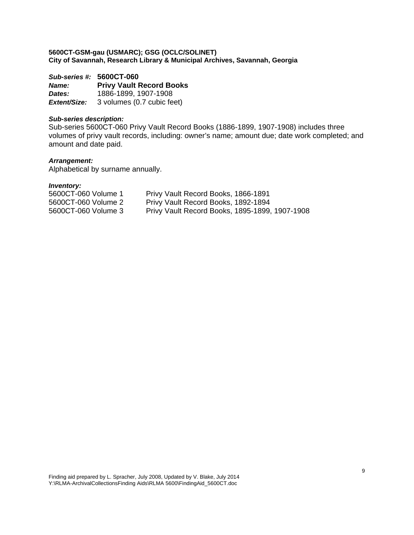*Sub-series #:* **5600CT-060** *Name:* **Privy Vault Record Books**  *Dates:* 1886-1899, 1907-1908 *Extent/Size:* 3 volumes (0.7 cubic feet)

## *Sub-series description:*

Sub-series 5600CT-060 Privy Vault Record Books (1886-1899, 1907-1908) includes three volumes of privy vault records, including: owner's name; amount due; date work completed; and amount and date paid.

## *Arrangement:*

Alphabetical by surname annually.

| 5600CT-060 Volume 1 | Privy Vault Record Books, 1866-1891            |
|---------------------|------------------------------------------------|
| 5600CT-060 Volume 2 | Privy Vault Record Books, 1892-1894            |
| 5600CT-060 Volume 3 | Privy Vault Record Books, 1895-1899, 1907-1908 |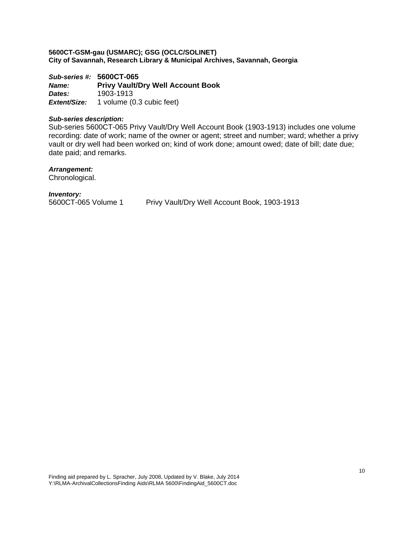*Sub-series #:* **5600CT-065**  *Name:* **Privy Vault/Dry Well Account Book**  *Dates:* 1903-1913 *Extent/Size:* 1 volume (0.3 cubic feet)

## *Sub-series description:*

Sub-series 5600CT-065 Privy Vault/Dry Well Account Book (1903-1913) includes one volume recording: date of work; name of the owner or agent; street and number; ward; whether a privy vault or dry well had been worked on; kind of work done; amount owed; date of bill; date due; date paid; and remarks.

#### *Arrangement:*

Chronological.

*Inventory:* 

Privy Vault/Dry Well Account Book, 1903-1913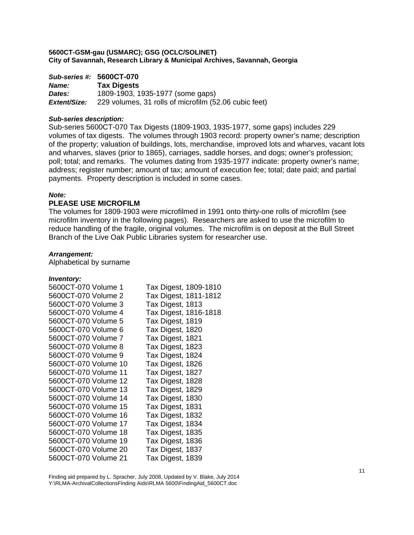|              | Sub-series #: 5600CT-070                              |
|--------------|-------------------------------------------------------|
| <b>Name:</b> | <b>Tax Digests</b>                                    |
| Dates:       | 1809-1903, 1935-1977 (some gaps)                      |
| Extent/Size: | 229 volumes, 31 rolls of microfilm (52.06 cubic feet) |

#### *Sub-series description:*

Sub-series 5600CT-070 Tax Digests (1809-1903, 1935-1977, some gaps) includes 229 volumes of tax digests. The volumes through 1903 record: property owner's name; description of the property; valuation of buildings, lots, merchandise, improved lots and wharves, vacant lots and wharves, slaves (prior to 1865), carriages, saddle horses, and dogs; owner's profession; poll; total; and remarks. The volumes dating from 1935-1977 indicate: property owner's name; address; register number; amount of tax; amount of execution fee; total; date paid; and partial payments. Property description is included in some cases.

#### *Note:*

## **PLEASE USE MICROFILM**

The volumes for 1809-1903 were microfilmed in 1991 onto thirty-one rolls of microfilm (see microfilm inventory in the following pages). Researchers are asked to use the microfilm to reduce handling of the fragile, original volumes. The microfilm is on deposit at the Bull Street Branch of the Live Oak Public Libraries system for researcher use.

#### *Arrangement:*

Alphabetical by surname

#### *Inventory:*

| 5600CT-070 Volume 1  | Tax Digest, 1809-1810 |
|----------------------|-----------------------|
| 5600CT-070 Volume 2  | Tax Digest, 1811-1812 |
| 5600CT-070 Volume 3  | Tax Digest, 1813      |
| 5600CT-070 Volume 4  | Tax Digest, 1816-1818 |
| 5600CT-070 Volume 5  | Tax Digest, 1819      |
| 5600CT-070 Volume 6  | Tax Digest, 1820      |
| 5600CT-070 Volume 7  | Tax Digest, 1821      |
| 5600CT-070 Volume 8  | Tax Digest, 1823      |
| 5600CT-070 Volume 9  | Tax Digest, 1824      |
| 5600CT-070 Volume 10 | Tax Digest, 1826      |
| 5600CT-070 Volume 11 | Tax Digest, 1827      |
| 5600CT-070 Volume 12 | Tax Digest, 1828      |
| 5600CT-070 Volume 13 | Tax Digest, 1829      |
| 5600CT-070 Volume 14 | Tax Digest, 1830      |
| 5600CT-070 Volume 15 | Tax Digest, 1831      |
| 5600CT-070 Volume 16 | Tax Digest, 1832      |
| 5600CT-070 Volume 17 | Tax Digest, 1834      |
| 5600CT-070 Volume 18 | Tax Digest, 1835      |
| 5600CT-070 Volume 19 | Tax Digest, 1836      |
| 5600CT-070 Volume 20 | Tax Digest, 1837      |
| 5600CT-070 Volume 21 | Tax Digest, 1839      |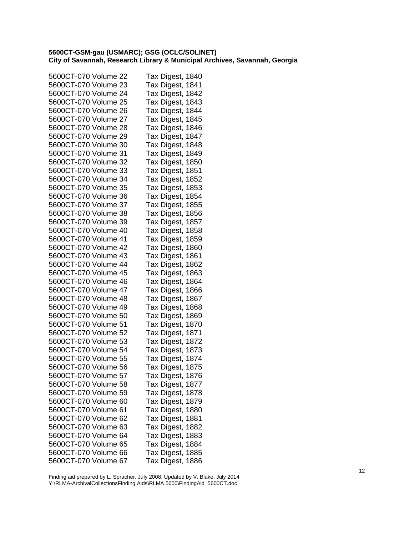| 5600CT-070 Volume 22 | Tax Digest, 1840 |
|----------------------|------------------|
| 5600CT-070 Volume 23 | Tax Digest, 1841 |
| 5600CT-070 Volume 24 | Tax Digest, 1842 |
| 5600CT-070 Volume 25 | Tax Digest, 1843 |
| 5600CT-070 Volume 26 | Tax Digest, 1844 |
| 5600CT-070 Volume 27 | Tax Digest, 1845 |
| 5600CT-070 Volume 28 | Tax Digest, 1846 |
| 5600CT-070 Volume 29 | Tax Digest, 1847 |
| 5600CT-070 Volume 30 | Tax Digest, 1848 |
| 5600CT-070 Volume 31 | Tax Digest, 1849 |
| 5600CT-070 Volume 32 | Tax Digest, 1850 |
| 5600CT-070 Volume 33 | Tax Digest, 1851 |
| 5600CT-070 Volume 34 | Tax Digest, 1852 |
| 5600CT-070 Volume 35 | Tax Digest, 1853 |
| 5600CT-070 Volume 36 | Tax Digest, 1854 |
| 5600CT-070 Volume 37 | Tax Digest, 1855 |
| 5600CT-070 Volume 38 | Tax Digest, 1856 |
| 5600CT-070 Volume 39 | Tax Digest, 1857 |
| 5600CT-070 Volume 40 | Tax Digest, 1858 |
| 5600CT-070 Volume 41 | Tax Digest, 1859 |
| 5600CT-070 Volume 42 | Tax Digest, 1860 |
| 5600CT-070 Volume 43 | Tax Digest, 1861 |
| 5600CT-070 Volume 44 | Tax Digest, 1862 |
| 5600CT-070 Volume 45 | Tax Digest, 1863 |
| 5600CT-070 Volume 46 | Tax Digest, 1864 |
| 5600CT-070 Volume 47 | Tax Digest, 1866 |
| 5600CT-070 Volume 48 | Tax Digest, 1867 |
| 5600CT-070 Volume 49 | Tax Digest, 1868 |
| 5600CT-070 Volume 50 | Tax Digest, 1869 |
| 5600CT-070 Volume 51 | Tax Digest, 1870 |
| 5600CT-070 Volume 52 | Tax Digest, 1871 |
| 5600CT-070 Volume 53 | Tax Digest, 1872 |
| 5600CT-070 Volume 54 | Tax Digest, 1873 |
| 5600CT-070 Volume 55 | Tax Digest, 1874 |
| 5600CT-070 Volume 56 | Tax Digest, 1875 |
| 5600CT-070 Volume 57 | Tax Digest, 1876 |
| 5600CT-070 Volume 58 | Tax Digest, 1877 |
| 5600CT-070 Volume 59 | Tax Digest, 1878 |
| 5600CT-070 Volume 60 | Tax Digest, 1879 |
| 5600CT-070 Volume 61 | Tax Digest, 1880 |
| 5600CT-070 Volume 62 | Tax Digest, 1881 |
| 5600CT-070 Volume 63 | Tax Digest, 1882 |
| 5600CT-070 Volume 64 | Tax Digest, 1883 |
| 5600CT-070 Volume 65 | Tax Digest, 1884 |
| 5600CT-070 Volume 66 | Tax Digest, 1885 |
| 5600CT-070 Volume 67 | Tax Digest, 1886 |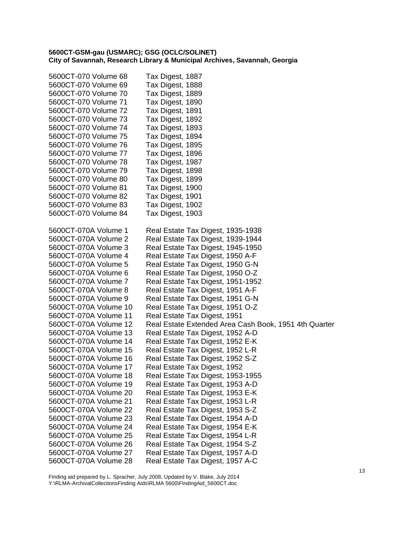| 5600CT-070 Volume 68                           | Tax Digest, 1887                                                 |
|------------------------------------------------|------------------------------------------------------------------|
| 5600CT-070 Volume 69                           | Tax Digest, 1888                                                 |
| 5600CT-070 Volume 70                           | Tax Digest, 1889                                                 |
| 5600CT-070 Volume 71                           | Tax Digest, 1890                                                 |
| 5600CT-070 Volume 72                           | Tax Digest, 1891                                                 |
| 5600CT-070 Volume 73                           | Tax Digest, 1892                                                 |
| 5600CT-070 Volume 74                           | Tax Digest, 1893                                                 |
| 5600CT-070 Volume 75                           | Tax Digest, 1894                                                 |
| 5600CT-070 Volume 76                           | Tax Digest, 1895                                                 |
| 5600CT-070 Volume 77                           | Tax Digest, 1896                                                 |
| 5600CT-070 Volume 78                           | Tax Digest, 1987                                                 |
| 5600CT-070 Volume 79                           | Tax Digest, 1898                                                 |
| 5600CT-070 Volume 80                           | Tax Digest, 1899                                                 |
| 5600CT-070 Volume 81                           | Tax Digest, 1900                                                 |
| 5600CT-070 Volume 82                           | Tax Digest, 1901                                                 |
| 5600CT-070 Volume 83                           | Tax Digest, 1902                                                 |
| 5600CT-070 Volume 84                           | Tax Digest, 1903                                                 |
|                                                |                                                                  |
| 5600CT-070A Volume 1                           | Real Estate Tax Digest, 1935-1938                                |
| 5600CT-070A Volume 2                           | Real Estate Tax Digest, 1939-1944                                |
| 5600CT-070A Volume 3                           | Real Estate Tax Digest, 1945-1950                                |
| 5600CT-070A Volume 4                           | Real Estate Tax Digest, 1950 A-F                                 |
| 5600CT-070A Volume 5                           | Real Estate Tax Digest, 1950 G-N                                 |
| 5600CT-070A Volume 6                           | Real Estate Tax Digest, 1950 O-Z                                 |
| 5600CT-070A Volume 7                           | Real Estate Tax Digest, 1951-1952                                |
| 5600CT-070A Volume 8                           | Real Estate Tax Digest, 1951 A-F                                 |
| 5600CT-070A Volume 9                           | Real Estate Tax Digest, 1951 G-N                                 |
| 5600CT-070A Volume 10                          | Real Estate Tax Digest, 1951 O-Z                                 |
| 5600CT-070A Volume 11                          | Real Estate Tax Digest, 1951                                     |
| 5600CT-070A Volume 12<br>5600CT-070A Volume 13 | Real Estate Extended Area Cash Book, 1951 4th Quarter            |
| 5600CT-070A Volume 14                          | Real Estate Tax Digest, 1952 A-D                                 |
| 5600CT-070A Volume 15                          | Real Estate Tax Digest, 1952 E-K                                 |
| 5600CT-070A Volume 16                          | Real Estate Tax Digest, 1952 L-R                                 |
| 5600CT-070A Volume 17                          | Real Estate Tax Digest, 1952 S-Z<br>Real Estate Tax Digest, 1952 |
| 5600CT-070A Volume 18                          | Real Estate Tax Digest, 1953-1955                                |
| 5600CT-070A Volume 19                          | Real Estate Tax Digest, 1953 A-D                                 |
| 5600CT-070A Volume 20                          | Real Estate Tax Digest, 1953 E-K                                 |
| 5600CT-070A Volume 21                          | Real Estate Tax Digest, 1953 L-R                                 |
| 5600CT-070A Volume 22                          | Real Estate Tax Digest, 1953 S-Z                                 |
| 5600CT-070A Volume 23                          | Real Estate Tax Digest, 1954 A-D                                 |
| 5600CT-070A Volume 24                          | Real Estate Tax Digest, 1954 E-K                                 |
| 5600CT-070A Volume 25                          | Real Estate Tax Digest, 1954 L-R                                 |
| 5600CT-070A Volume 26                          | Real Estate Tax Digest, 1954 S-Z                                 |
| 5600CT-070A Volume 27                          | Real Estate Tax Digest, 1957 A-D                                 |
| 5600CT-070A Volume 28                          | Real Estate Tax Digest, 1957 A-C                                 |
|                                                |                                                                  |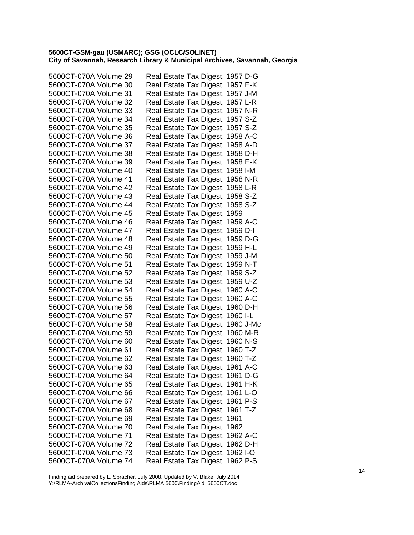| 5600CT-070A Volume 29 | Real Estate Tax Digest, 1957 D-G  |
|-----------------------|-----------------------------------|
| 5600CT-070A Volume 30 | Real Estate Tax Digest, 1957 E-K  |
| 5600CT-070A Volume 31 | Real Estate Tax Digest, 1957 J-M  |
| 5600CT-070A Volume 32 | Real Estate Tax Digest, 1957 L-R  |
| 5600CT-070A Volume 33 | Real Estate Tax Digest, 1957 N-R  |
| 5600CT-070A Volume 34 | Real Estate Tax Digest, 1957 S-Z  |
| 5600CT-070A Volume 35 | Real Estate Tax Digest, 1957 S-Z  |
| 5600CT-070A Volume 36 | Real Estate Tax Digest, 1958 A-C  |
| 5600CT-070A Volume 37 | Real Estate Tax Digest, 1958 A-D  |
| 5600CT-070A Volume 38 | Real Estate Tax Digest, 1958 D-H  |
| 5600CT-070A Volume 39 | Real Estate Tax Digest, 1958 E-K  |
| 5600CT-070A Volume 40 | Real Estate Tax Digest, 1958 I-M  |
| 5600CT-070A Volume 41 | Real Estate Tax Digest, 1958 N-R  |
| 5600CT-070A Volume 42 | Real Estate Tax Digest, 1958 L-R  |
| 5600CT-070A Volume 43 | Real Estate Tax Digest, 1958 S-Z  |
| 5600CT-070A Volume 44 | Real Estate Tax Digest, 1958 S-Z  |
| 5600CT-070A Volume 45 | Real Estate Tax Digest, 1959      |
| 5600CT-070A Volume 46 | Real Estate Tax Digest, 1959 A-C  |
| 5600CT-070A Volume 47 | Real Estate Tax Digest, 1959 D-I  |
| 5600CT-070A Volume 48 | Real Estate Tax Digest, 1959 D-G  |
| 5600CT-070A Volume 49 | Real Estate Tax Digest, 1959 H-L  |
| 5600CT-070A Volume 50 | Real Estate Tax Digest, 1959 J-M  |
| 5600CT-070A Volume 51 | Real Estate Tax Digest, 1959 N-T  |
| 5600CT-070A Volume 52 | Real Estate Tax Digest, 1959 S-Z  |
| 5600CT-070A Volume 53 | Real Estate Tax Digest, 1959 U-Z  |
| 5600CT-070A Volume 54 | Real Estate Tax Digest, 1960 A-C  |
| 5600CT-070A Volume 55 | Real Estate Tax Digest, 1960 A-C  |
| 5600CT-070A Volume 56 | Real Estate Tax Digest, 1960 D-H  |
| 5600CT-070A Volume 57 | Real Estate Tax Digest, 1960 I-L  |
| 5600CT-070A Volume 58 | Real Estate Tax Digest, 1960 J-Mc |
| 5600CT-070A Volume 59 | Real Estate Tax Digest, 1960 M-R  |
| 5600CT-070A Volume 60 | Real Estate Tax Digest, 1960 N-S  |
| 5600CT-070A Volume 61 | Real Estate Tax Digest, 1960 T-Z  |
| 5600CT-070A Volume 62 | Real Estate Tax Digest, 1960 T-Z  |
| 5600CT-070A Volume 63 | Real Estate Tax Digest, 1961 A-C  |
| 5600CT-070A Volume 64 | Real Estate Tax Digest, 1961 D-G  |
| 5600CT-070A Volume 65 | Real Estate Tax Digest, 1961 H-K  |
| 5600CT-070A Volume 66 | Real Estate Tax Digest, 1961 L-O  |
| 5600CT-070A Volume 67 | Real Estate Tax Digest, 1961 P-S  |
| 5600CT-070A Volume 68 | Real Estate Tax Digest, 1961 T-Z  |
| 5600CT-070A Volume 69 | Real Estate Tax Digest, 1961      |
| 5600CT-070A Volume 70 | Real Estate Tax Digest, 1962      |
| 5600CT-070A Volume 71 | Real Estate Tax Digest, 1962 A-C  |
| 5600CT-070A Volume 72 | Real Estate Tax Digest, 1962 D-H  |
| 5600CT-070A Volume 73 | Real Estate Tax Digest, 1962 I-O  |
| 5600CT-070A Volume 74 | Real Estate Tax Digest, 1962 P-S  |
|                       |                                   |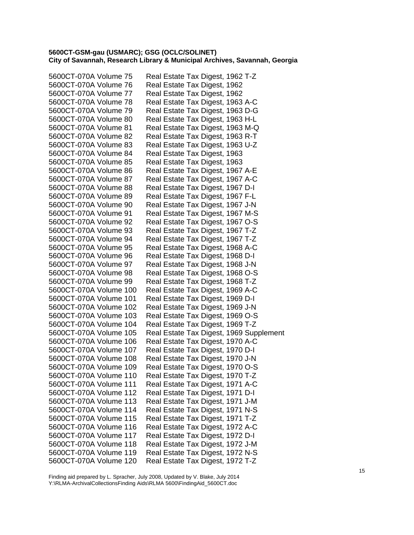| 5600CT-070A Volume 75  | Real Estate Tax Digest, 1962 T-Z        |
|------------------------|-----------------------------------------|
| 5600CT-070A Volume 76  | Real Estate Tax Digest, 1962            |
| 5600CT-070A Volume 77  | Real Estate Tax Digest, 1962            |
| 5600CT-070A Volume 78  | Real Estate Tax Digest, 1963 A-C        |
| 5600CT-070A Volume 79  | Real Estate Tax Digest, 1963 D-G        |
| 5600CT-070A Volume 80  | Real Estate Tax Digest, 1963 H-L        |
| 5600CT-070A Volume 81  | Real Estate Tax Digest, 1963 M-Q        |
| 5600CT-070A Volume 82  | Real Estate Tax Digest, 1963 R-T        |
| 5600CT-070A Volume 83  | Real Estate Tax Digest, 1963 U-Z        |
| 5600CT-070A Volume 84  | Real Estate Tax Digest, 1963            |
| 5600CT-070A Volume 85  | Real Estate Tax Digest, 1963            |
| 5600CT-070A Volume 86  | Real Estate Tax Digest, 1967 A-E        |
| 5600CT-070A Volume 87  | Real Estate Tax Digest, 1967 A-C        |
| 5600CT-070A Volume 88  | Real Estate Tax Digest, 1967 D-I        |
| 5600CT-070A Volume 89  | Real Estate Tax Digest, 1967 F-L        |
| 5600CT-070A Volume 90  | Real Estate Tax Digest, 1967 J-N        |
| 5600CT-070A Volume 91  | Real Estate Tax Digest, 1967 M-S        |
| 5600CT-070A Volume 92  | Real Estate Tax Digest, 1967 O-S        |
| 5600CT-070A Volume 93  | Real Estate Tax Digest, 1967 T-Z        |
| 5600CT-070A Volume 94  | Real Estate Tax Digest, 1967 T-Z        |
| 5600CT-070A Volume 95  | Real Estate Tax Digest, 1968 A-C        |
| 5600CT-070A Volume 96  | Real Estate Tax Digest, 1968 D-I        |
| 5600CT-070A Volume 97  | Real Estate Tax Digest, 1968 J-N        |
| 5600CT-070A Volume 98  | Real Estate Tax Digest, 1968 O-S        |
| 5600CT-070A Volume 99  | Real Estate Tax Digest, 1968 T-Z        |
| 5600CT-070A Volume 100 | Real Estate Tax Digest, 1969 A-C        |
| 5600CT-070A Volume 101 | Real Estate Tax Digest, 1969 D-I        |
| 5600CT-070A Volume 102 | Real Estate Tax Digest, 1969 J-N        |
| 5600CT-070A Volume 103 | Real Estate Tax Digest, 1969 O-S        |
| 5600CT-070A Volume 104 | Real Estate Tax Digest, 1969 T-Z        |
| 5600CT-070A Volume 105 | Real Estate Tax Digest, 1969 Supplement |
| 5600CT-070A Volume 106 | Real Estate Tax Digest, 1970 A-C        |
| 5600CT-070A Volume 107 | Real Estate Tax Digest, 1970 D-I        |
| 5600CT-070A Volume 108 | Real Estate Tax Digest, 1970 J-N        |
| 5600CT-070A Volume 109 | Real Estate Tax Digest, 1970 O-S        |
| 5600CT-070A Volume 110 | Real Estate Tax Digest, 1970 T-Z        |
| 5600CT-070A Volume 111 | Real Estate Tax Digest, 1971 A-C        |
| 5600CT-070A Volume 112 | Real Estate Tax Digest, 1971 D-I        |
| 5600CT-070A Volume 113 | Real Estate Tax Digest, 1971 J-M        |
| 5600CT-070A Volume 114 | Real Estate Tax Digest, 1971 N-S        |
| 5600CT-070A Volume 115 | Real Estate Tax Digest, 1971 T-Z        |
| 5600CT-070A Volume 116 | Real Estate Tax Digest, 1972 A-C        |
| 5600CT-070A Volume 117 | Real Estate Tax Digest, 1972 D-I        |
| 5600CT-070A Volume 118 | Real Estate Tax Digest, 1972 J-M        |
| 5600CT-070A Volume 119 | Real Estate Tax Digest, 1972 N-S        |
| 5600CT-070A Volume 120 | Real Estate Tax Digest, 1972 T-Z        |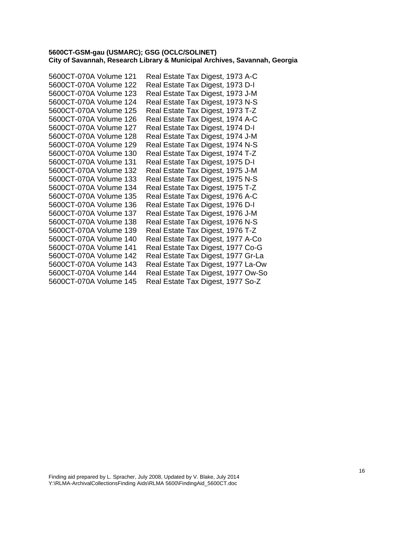| 5600CT-070A Volume 121 | Real Estate Tax Digest, 1973 A-C   |
|------------------------|------------------------------------|
| 5600CT-070A Volume 122 | Real Estate Tax Digest, 1973 D-I   |
| 5600CT-070A Volume 123 | Real Estate Tax Digest, 1973 J-M   |
| 5600CT-070A Volume 124 | Real Estate Tax Digest, 1973 N-S   |
| 5600CT-070A Volume 125 | Real Estate Tax Digest, 1973 T-Z   |
| 5600CT-070A Volume 126 | Real Estate Tax Digest, 1974 A-C   |
| 5600CT-070A Volume 127 | Real Estate Tax Digest, 1974 D-I   |
| 5600CT-070A Volume 128 | Real Estate Tax Digest, 1974 J-M   |
| 5600CT-070A Volume 129 | Real Estate Tax Digest, 1974 N-S   |
| 5600CT-070A Volume 130 | Real Estate Tax Digest, 1974 T-Z   |
| 5600CT-070A Volume 131 | Real Estate Tax Digest, 1975 D-I   |
| 5600CT-070A Volume 132 | Real Estate Tax Digest, 1975 J-M   |
| 5600CT-070A Volume 133 | Real Estate Tax Digest, 1975 N-S   |
| 5600CT-070A Volume 134 | Real Estate Tax Digest, 1975 T-Z   |
| 5600CT-070A Volume 135 | Real Estate Tax Digest, 1976 A-C   |
| 5600CT-070A Volume 136 | Real Estate Tax Digest, 1976 D-I   |
| 5600CT-070A Volume 137 | Real Estate Tax Digest, 1976 J-M   |
| 5600CT-070A Volume 138 | Real Estate Tax Digest, 1976 N-S   |
| 5600CT-070A Volume 139 | Real Estate Tax Digest, 1976 T-Z   |
| 5600CT-070A Volume 140 | Real Estate Tax Digest, 1977 A-Co  |
| 5600CT-070A Volume 141 | Real Estate Tax Digest, 1977 Co-G  |
| 5600CT-070A Volume 142 | Real Estate Tax Digest, 1977 Gr-La |
| 5600CT-070A Volume 143 | Real Estate Tax Digest, 1977 La-Ow |
| 5600CT-070A Volume 144 | Real Estate Tax Digest, 1977 Ow-So |
| 5600CT-070A Volume 145 | Real Estate Tax Digest, 1977 So-Z  |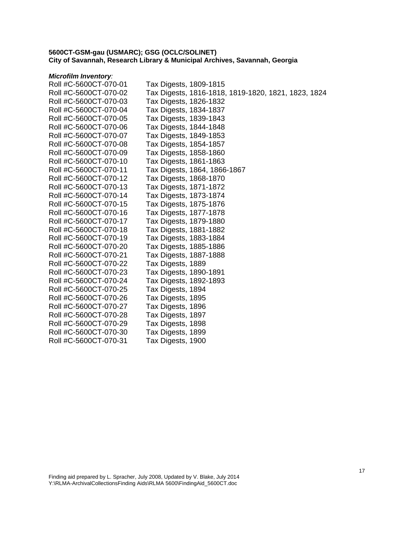#### *Microfilm Inventory:*

| Roll #C-5600CT-070-01 | Tax Digests, 1809-1815                              |
|-----------------------|-----------------------------------------------------|
| Roll #C-5600CT-070-02 | Tax Digests, 1816-1818, 1819-1820, 1821, 1823, 1824 |
| Roll #C-5600CT-070-03 | Tax Digests, 1826-1832                              |
| Roll #C-5600CT-070-04 | Tax Digests, 1834-1837                              |
| Roll #C-5600CT-070-05 | Tax Digests, 1839-1843                              |
| Roll #C-5600CT-070-06 | Tax Digests, 1844-1848                              |
| Roll #C-5600CT-070-07 | Tax Digests, 1849-1853                              |
| Roll #C-5600CT-070-08 | Tax Digests, 1854-1857                              |
| Roll #C-5600CT-070-09 | Tax Digests, 1858-1860                              |
| Roll #C-5600CT-070-10 | Tax Digests, 1861-1863                              |
| Roll #C-5600CT-070-11 | Tax Digests, 1864, 1866-1867                        |
| Roll #C-5600CT-070-12 | Tax Digests, 1868-1870                              |
| Roll #C-5600CT-070-13 | Tax Digests, 1871-1872                              |
| Roll #C-5600CT-070-14 | Tax Digests, 1873-1874                              |
| Roll #C-5600CT-070-15 | Tax Digests, 1875-1876                              |
| Roll #C-5600CT-070-16 | Tax Digests, 1877-1878                              |
| Roll #C-5600CT-070-17 | Tax Digests, 1879-1880                              |
| Roll #C-5600CT-070-18 | Tax Digests, 1881-1882                              |
| Roll #C-5600CT-070-19 | Tax Digests, 1883-1884                              |
| Roll #C-5600CT-070-20 | Tax Digests, 1885-1886                              |
| Roll #C-5600CT-070-21 | Tax Digests, 1887-1888                              |
| Roll #C-5600CT-070-22 | Tax Digests, 1889                                   |
| Roll #C-5600CT-070-23 | Tax Digests, 1890-1891                              |
| Roll #C-5600CT-070-24 | Tax Digests, 1892-1893                              |
| Roll #C-5600CT-070-25 | Tax Digests, 1894                                   |
| Roll #C-5600CT-070-26 | Tax Digests, 1895                                   |
| Roll #C-5600CT-070-27 | Tax Digests, 1896                                   |
| Roll #C-5600CT-070-28 | Tax Digests, 1897                                   |
| Roll #C-5600CT-070-29 | Tax Digests, 1898                                   |
| Roll #C-5600CT-070-30 | Tax Digests, 1899                                   |
| Roll #C-5600CT-070-31 | Tax Digests, 1900                                   |
|                       |                                                     |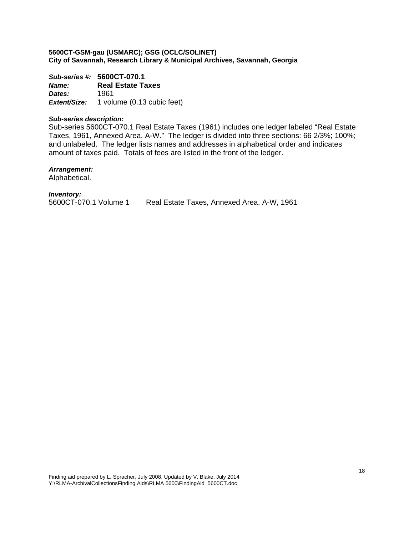*Sub-series #:* **5600CT-070.1** *Name:* **Real Estate Taxes**  *Dates:* 1961 *Extent/Size:* 1 volume (0.13 cubic feet)

#### *Sub-series description:*

Sub-series 5600CT-070.1 Real Estate Taxes (1961) includes one ledger labeled "Real Estate Taxes, 1961, Annexed Area, A-W." The ledger is divided into three sections: 66 2/3%; 100%; and unlabeled. The ledger lists names and addresses in alphabetical order and indicates amount of taxes paid. Totals of fees are listed in the front of the ledger.

#### *Arrangement:*

Alphabetical.

#### *Inventory:*

5600CT-070.1 Volume 1 Real Estate Taxes, Annexed Area, A-W, 1961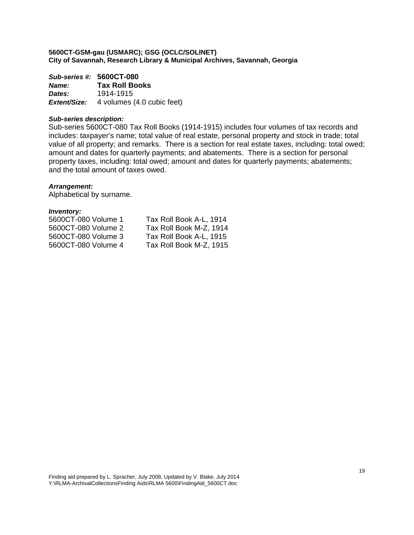*Sub-series #:* **5600CT-080** *Name:* **Tax Roll Books**  *Dates:* 1914-1915 *Extent/Size:* 4 volumes (4.0 cubic feet)

#### *Sub-series description:*

Sub-series 5600CT-080 Tax Roll Books (1914-1915) includes four volumes of tax records and includes: taxpayer's name; total value of real estate, personal property and stock in trade; total value of all property; and remarks. There is a section for real estate taxes, including: total owed; amount and dates for quarterly payments; and abatements. There is a section for personal property taxes, including: total owed; amount and dates for quarterly payments; abatements; and the total amount of taxes owed.

#### *Arrangement:*

Alphabetical by surname.

| 5600CT-080 Volume 1 | Tax Roll Book A-L, 1914 |
|---------------------|-------------------------|
| 5600CT-080 Volume 2 | Tax Roll Book M-Z, 1914 |
| 5600CT-080 Volume 3 | Tax Roll Book A-L, 1915 |
| 5600CT-080 Volume 4 | Tax Roll Book M-Z, 1915 |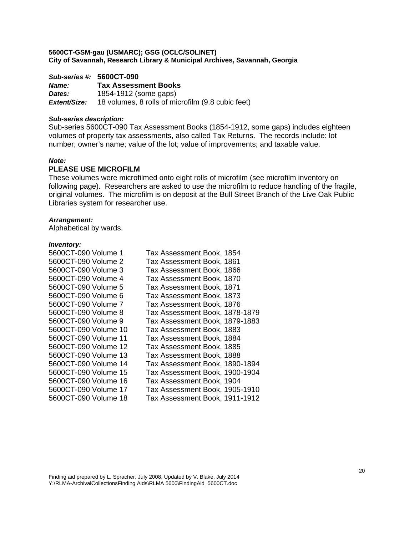## *Sub-series #:* **5600CT-090** *Name:* **Tax Assessment Books**  *Dates:* 1854-1912 (some gaps) *Extent/Size:* 18 volumes, 8 rolls of microfilm (9.8 cubic feet)

## *Sub-series description:*

Sub-series 5600CT-090 Tax Assessment Books (1854-1912, some gaps) includes eighteen volumes of property tax assessments, also called Tax Returns. The records include: lot number; owner's name; value of the lot; value of improvements; and taxable value.

#### *Note:*

## **PLEASE USE MICROFILM**

These volumes were microfilmed onto eight rolls of microfilm (see microfilm inventory on following page). Researchers are asked to use the microfilm to reduce handling of the fragile, original volumes. The microfilm is on deposit at the Bull Street Branch of the Live Oak Public Libraries system for researcher use.

#### *Arrangement:*

Alphabetical by wards.

| 5600CT-090 Volume 1  | Tax Assessment Book, 1854      |
|----------------------|--------------------------------|
| 5600CT-090 Volume 2  | Tax Assessment Book, 1861      |
| 5600CT-090 Volume 3  | Tax Assessment Book, 1866      |
| 5600CT-090 Volume 4  | Tax Assessment Book, 1870      |
| 5600CT-090 Volume 5  | Tax Assessment Book, 1871      |
| 5600CT-090 Volume 6  | Tax Assessment Book, 1873      |
| 5600CT-090 Volume 7  | Tax Assessment Book, 1876      |
| 5600CT-090 Volume 8  | Tax Assessment Book, 1878-1879 |
| 5600CT-090 Volume 9  | Tax Assessment Book, 1879-1883 |
| 5600CT-090 Volume 10 | Tax Assessment Book, 1883      |
| 5600CT-090 Volume 11 | Tax Assessment Book, 1884      |
| 5600CT-090 Volume 12 | Tax Assessment Book, 1885      |
| 5600CT-090 Volume 13 | Tax Assessment Book, 1888      |
| 5600CT-090 Volume 14 | Tax Assessment Book, 1890-1894 |
| 5600CT-090 Volume 15 | Tax Assessment Book, 1900-1904 |
| 5600CT-090 Volume 16 | Tax Assessment Book, 1904      |
| 5600CT-090 Volume 17 | Tax Assessment Book, 1905-1910 |
| 5600CT-090 Volume 18 | Tax Assessment Book, 1911-1912 |
|                      |                                |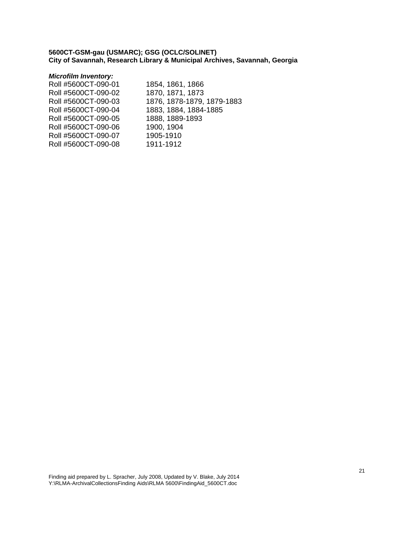## *Microfilm Inventory:*

| Roll #5600CT-090-01 | 1854, 1861, 1866           |
|---------------------|----------------------------|
| Roll #5600CT-090-02 | 1870, 1871, 1873           |
| Roll #5600CT-090-03 | 1876, 1878-1879, 1879-1883 |
| Roll #5600CT-090-04 | 1883, 1884, 1884-1885      |
| Roll #5600CT-090-05 | 1888, 1889-1893            |
| Roll #5600CT-090-06 | 1900, 1904                 |
| Roll #5600CT-090-07 | 1905-1910                  |
| Roll #5600CT-090-08 | 1911-1912                  |
|                     |                            |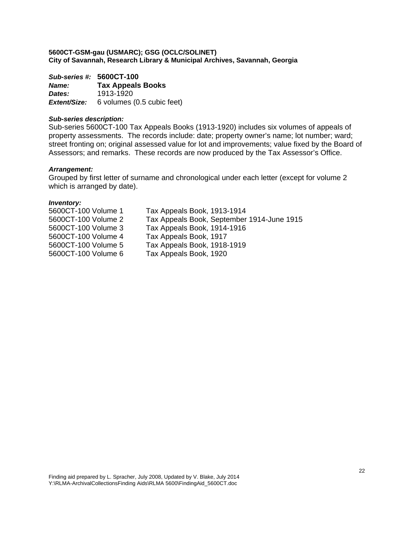*Sub-series #:* **5600CT-100** *Name:* **Tax Appeals Books**  *Dates:* 1913-1920 *Extent/Size:* 6 volumes (0.5 cubic feet)

#### *Sub-series description:*

Sub-series 5600CT-100 Tax Appeals Books (1913-1920) includes six volumes of appeals of property assessments. The records include: date; property owner's name; lot number; ward; street fronting on; original assessed value for lot and improvements; value fixed by the Board of Assessors; and remarks. These records are now produced by the Tax Assessor's Office.

#### *Arrangement:*

Grouped by first letter of surname and chronological under each letter (except for volume 2 which is arranged by date).

| Tax Appeals Book, 1913-1914                |
|--------------------------------------------|
| Tax Appeals Book, September 1914-June 1915 |
| Tax Appeals Book, 1914-1916                |
| Tax Appeals Book, 1917                     |
| Tax Appeals Book, 1918-1919                |
| Tax Appeals Book, 1920                     |
|                                            |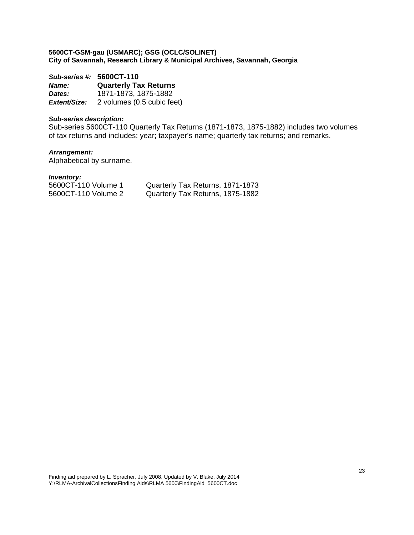*Sub-series #:* **5600CT-110** *Name:* **Quarterly Tax Returns**  *Dates:* 1871-1873, 1875-1882 *Extent/Size:* 2 volumes (0.5 cubic feet)

## *Sub-series description:*

Sub-series 5600CT-110 Quarterly Tax Returns (1871-1873, 1875-1882) includes two volumes of tax returns and includes: year; taxpayer's name; quarterly tax returns; and remarks.

# *Arrangement:*

Alphabetical by surname.

| Quarterly Tax Returns, 1871-1873 |  |
|----------------------------------|--|
| Quarterly Tax Returns, 1875-1882 |  |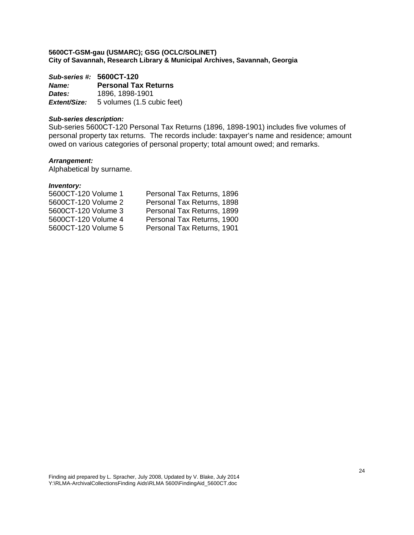*Sub-series #:* **5600CT-120** *Name:* **Personal Tax Returns**  *Dates:* 1896, 1898-1901 *Extent/Size:* 5 volumes (1.5 cubic feet)

#### *Sub-series description:*

Sub-series 5600CT-120 Personal Tax Returns (1896, 1898-1901) includes five volumes of personal property tax returns. The records include: taxpayer's name and residence; amount owed on various categories of personal property; total amount owed; and remarks.

#### *Arrangement:*

Alphabetical by surname.

| 5600CT-120 Volume 1 | Personal Tax Returns, 1896 |
|---------------------|----------------------------|
| 5600CT-120 Volume 2 | Personal Tax Returns, 1898 |
| 5600CT-120 Volume 3 | Personal Tax Returns, 1899 |
| 5600CT-120 Volume 4 | Personal Tax Returns, 1900 |
| 5600CT-120 Volume 5 | Personal Tax Returns, 1901 |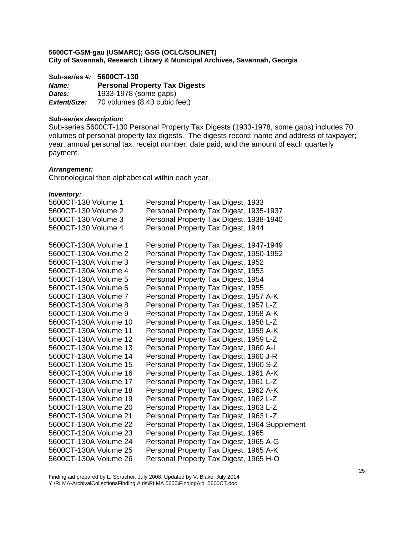*Sub-series #:* **5600CT-130** *Name:* **Personal Property Tax Digests**  *Dates:* 1933-1978 (some gaps) *Extent/Size:* 70 volumes (8.43 cubic feet)

## *Sub-series description:*

Sub-series 5600CT-130 Personal Property Tax Digests (1933-1978, some gaps) includes 70 volumes of personal property tax digests. The digests record: name and address of taxpayer; year; annual personal tax; receipt number; date paid; and the amount of each quarterly payment.

#### *Arrangement:*

Chronological then alphabetical within each year.

#### *Inventory:*

| Personal Property Tax Digest, 1933            |
|-----------------------------------------------|
| Personal Property Tax Digest, 1935-1937       |
| Personal Property Tax Digest, 1938-1940       |
| Personal Property Tax Digest, 1944            |
|                                               |
| Personal Property Tax Digest, 1947-1949       |
| Personal Property Tax Digest, 1950-1952       |
| Personal Property Tax Digest, 1952            |
| Personal Property Tax Digest, 1953            |
| Personal Property Tax Digest, 1954            |
| Personal Property Tax Digest, 1955            |
| Personal Property Tax Digest, 1957 A-K        |
| Personal Property Tax Digest, 1957 L-Z        |
| Personal Property Tax Digest, 1958 A-K        |
| Personal Property Tax Digest, 1958 L-Z        |
| Personal Property Tax Digest, 1959 A-K        |
| Personal Property Tax Digest, 1959 L-Z        |
| Personal Property Tax Digest, 1960 A-I        |
| Personal Property Tax Digest, 1960 J-R        |
| Personal Property Tax Digest, 1960 S-Z        |
| Personal Property Tax Digest, 1961 A-K        |
| Personal Property Tax Digest, 1961 L-Z        |
| Personal Property Tax Digest, 1962 A-K        |
| Personal Property Tax Digest, 1962 L-Z        |
| Personal Property Tax Digest, 1963 L-Z        |
| Personal Property Tax Digest, 1963 L-Z        |
| Personal Property Tax Digest, 1964 Supplement |
| Personal Property Tax Digest, 1965            |
| Personal Property Tax Digest, 1965 A-G        |
| Personal Property Tax Digest, 1965 A-K        |
| Personal Property Tax Digest, 1965 H-O        |
|                                               |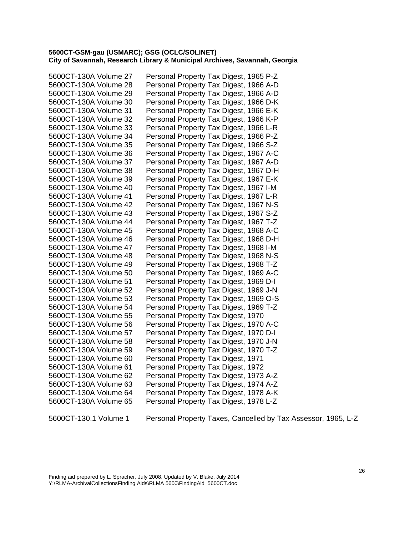| 5600CT-130A Volume 27 | Personal Property Tax Digest, 1965 P-Z |
|-----------------------|----------------------------------------|
| 5600CT-130A Volume 28 | Personal Property Tax Digest, 1966 A-D |
| 5600CT-130A Volume 29 | Personal Property Tax Digest, 1966 A-D |
| 5600CT-130A Volume 30 | Personal Property Tax Digest, 1966 D-K |
| 5600CT-130A Volume 31 | Personal Property Tax Digest, 1966 E-K |
| 5600CT-130A Volume 32 | Personal Property Tax Digest, 1966 K-P |
| 5600CT-130A Volume 33 | Personal Property Tax Digest, 1966 L-R |
| 5600CT-130A Volume 34 | Personal Property Tax Digest, 1966 P-Z |
| 5600CT-130A Volume 35 | Personal Property Tax Digest, 1966 S-Z |
| 5600CT-130A Volume 36 | Personal Property Tax Digest, 1967 A-C |
| 5600CT-130A Volume 37 | Personal Property Tax Digest, 1967 A-D |
| 5600CT-130A Volume 38 | Personal Property Tax Digest, 1967 D-H |
| 5600CT-130A Volume 39 | Personal Property Tax Digest, 1967 E-K |
| 5600CT-130A Volume 40 | Personal Property Tax Digest, 1967 I-M |
| 5600CT-130A Volume 41 | Personal Property Tax Digest, 1967 L-R |
| 5600CT-130A Volume 42 | Personal Property Tax Digest, 1967 N-S |
| 5600CT-130A Volume 43 | Personal Property Tax Digest, 1967 S-Z |
| 5600CT-130A Volume 44 | Personal Property Tax Digest, 1967 T-Z |
| 5600CT-130A Volume 45 | Personal Property Tax Digest, 1968 A-C |
| 5600CT-130A Volume 46 | Personal Property Tax Digest, 1968 D-H |
| 5600CT-130A Volume 47 | Personal Property Tax Digest, 1968 I-M |
| 5600CT-130A Volume 48 | Personal Property Tax Digest, 1968 N-S |
| 5600CT-130A Volume 49 | Personal Property Tax Digest, 1968 T-Z |
| 5600CT-130A Volume 50 | Personal Property Tax Digest, 1969 A-C |
| 5600CT-130A Volume 51 | Personal Property Tax Digest, 1969 D-I |
| 5600CT-130A Volume 52 | Personal Property Tax Digest, 1969 J-N |
| 5600CT-130A Volume 53 | Personal Property Tax Digest, 1969 O-S |
| 5600CT-130A Volume 54 | Personal Property Tax Digest, 1969 T-Z |
| 5600CT-130A Volume 55 | Personal Property Tax Digest, 1970     |
| 5600CT-130A Volume 56 | Personal Property Tax Digest, 1970 A-C |
| 5600CT-130A Volume 57 | Personal Property Tax Digest, 1970 D-I |
| 5600CT-130A Volume 58 | Personal Property Tax Digest, 1970 J-N |
| 5600CT-130A Volume 59 | Personal Property Tax Digest, 1970 T-Z |
| 5600CT-130A Volume 60 | Personal Property Tax Digest, 1971     |
| 5600CT-130A Volume 61 | Personal Property Tax Digest, 1972     |
| 5600CT-130A Volume 62 | Personal Property Tax Digest, 1973 A-Z |
| 5600CT-130A Volume 63 | Personal Property Tax Digest, 1974 A-Z |
| 5600CT-130A Volume 64 | Personal Property Tax Digest, 1978 A-K |
| 5600CT-130A Volume 65 | Personal Property Tax Digest, 1978 L-Z |
|                       |                                        |

5600CT-130.1 Volume 1 Personal Property Taxes, Cancelled by Tax Assessor, 1965, L-Z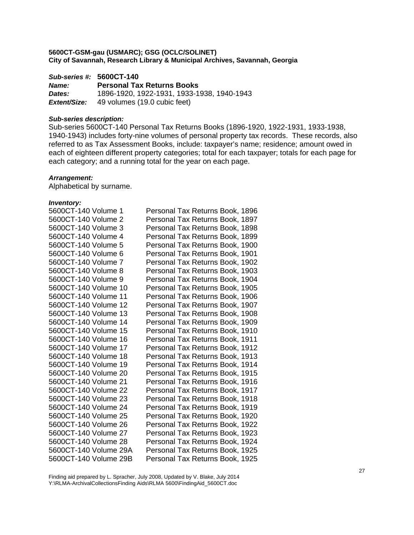*Sub-series #:* **5600CT-140**

*Name:* **Personal Tax Returns Books**  *Dates:* 1896-1920, 1922-1931, 1933-1938, 1940-1943 *Extent/Size:* 49 volumes (19.0 cubic feet)

## *Sub-series description:*

Sub-series 5600CT-140 Personal Tax Returns Books (1896-1920, 1922-1931, 1933-1938, 1940-1943) includes forty-nine volumes of personal property tax records. These records, also referred to as Tax Assessment Books, include: taxpayer's name; residence; amount owed in each of eighteen different property categories; total for each taxpayer; totals for each page for each category; and a running total for the year on each page.

## *Arrangement:*

Alphabetical by surname.

#### *Inventory:*

| 5600CT-140 Volume 1   | Personal Tax Returns Book, 1896 |
|-----------------------|---------------------------------|
| 5600CT-140 Volume 2   | Personal Tax Returns Book, 1897 |
| 5600CT-140 Volume 3   | Personal Tax Returns Book, 1898 |
| 5600CT-140 Volume 4   | Personal Tax Returns Book, 1899 |
| 5600CT-140 Volume 5   | Personal Tax Returns Book, 1900 |
| 5600CT-140 Volume 6   | Personal Tax Returns Book, 1901 |
| 5600CT-140 Volume 7   | Personal Tax Returns Book, 1902 |
| 5600CT-140 Volume 8   | Personal Tax Returns Book, 1903 |
| 5600CT-140 Volume 9   | Personal Tax Returns Book, 1904 |
| 5600CT-140 Volume 10  | Personal Tax Returns Book, 1905 |
| 5600CT-140 Volume 11  | Personal Tax Returns Book, 1906 |
| 5600CT-140 Volume 12  | Personal Tax Returns Book, 1907 |
| 5600CT-140 Volume 13  | Personal Tax Returns Book, 1908 |
| 5600CT-140 Volume 14  | Personal Tax Returns Book, 1909 |
| 5600CT-140 Volume 15  | Personal Tax Returns Book, 1910 |
| 5600CT-140 Volume 16  | Personal Tax Returns Book, 1911 |
| 5600CT-140 Volume 17  | Personal Tax Returns Book, 1912 |
| 5600CT-140 Volume 18  | Personal Tax Returns Book, 1913 |
| 5600CT-140 Volume 19  | Personal Tax Returns Book, 1914 |
| 5600CT-140 Volume 20  | Personal Tax Returns Book, 1915 |
| 5600CT-140 Volume 21  | Personal Tax Returns Book, 1916 |
| 5600CT-140 Volume 22  | Personal Tax Returns Book, 1917 |
| 5600CT-140 Volume 23  | Personal Tax Returns Book, 1918 |
| 5600CT-140 Volume 24  | Personal Tax Returns Book, 1919 |
| 5600CT-140 Volume 25  | Personal Tax Returns Book, 1920 |
| 5600CT-140 Volume 26  | Personal Tax Returns Book, 1922 |
| 5600CT-140 Volume 27  | Personal Tax Returns Book, 1923 |
| 5600CT-140 Volume 28  | Personal Tax Returns Book, 1924 |
| 5600CT-140 Volume 29A | Personal Tax Returns Book, 1925 |
| 5600CT-140 Volume 29B | Personal Tax Returns Book, 1925 |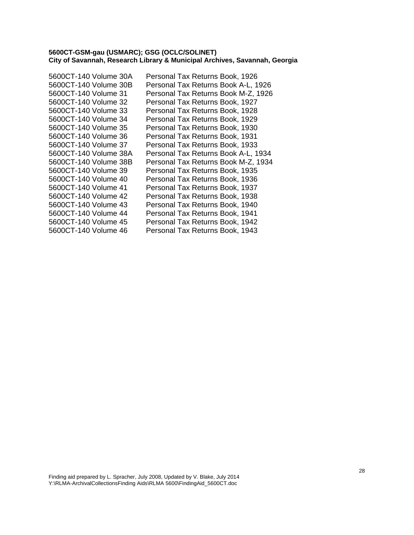| Personal Tax Returns Book, 1926     |
|-------------------------------------|
| Personal Tax Returns Book A-L, 1926 |
| Personal Tax Returns Book M-Z, 1926 |
| Personal Tax Returns Book, 1927     |
| Personal Tax Returns Book, 1928     |
| Personal Tax Returns Book, 1929     |
| Personal Tax Returns Book, 1930     |
| Personal Tax Returns Book, 1931     |
| Personal Tax Returns Book, 1933     |
| Personal Tax Returns Book A-L, 1934 |
| Personal Tax Returns Book M-Z, 1934 |
| Personal Tax Returns Book, 1935     |
| Personal Tax Returns Book, 1936     |
| Personal Tax Returns Book, 1937     |
| Personal Tax Returns Book, 1938     |
| Personal Tax Returns Book, 1940     |
| Personal Tax Returns Book, 1941     |
| Personal Tax Returns Book, 1942     |
| Personal Tax Returns Book, 1943     |
|                                     |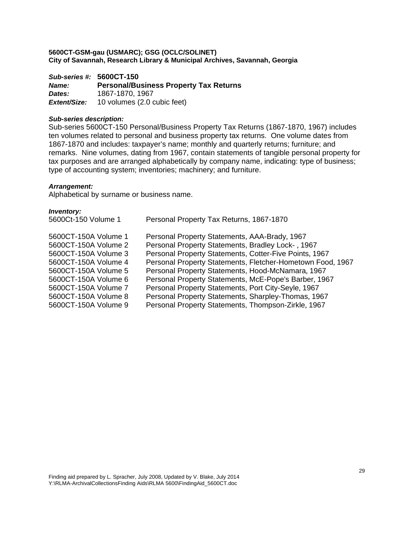*Sub-series #:* **5600CT-150** *Name:* **Personal/Business Property Tax Returns**  *Dates:* 1867-1870, 1967 *Extent/Size:* 10 volumes (2.0 cubic feet)

#### *Sub-series description:*

Sub-series 5600CT-150 Personal/Business Property Tax Returns (1867-1870, 1967) includes ten volumes related to personal and business property tax returns. One volume dates from 1867-1870 and includes: taxpayer's name; monthly and quarterly returns; furniture; and remarks. Nine volumes, dating from 1967, contain statements of tangible personal property for tax purposes and are arranged alphabetically by company name, indicating: type of business; type of accounting system; inventories; machinery; and furniture.

#### *Arrangement:*

Alphabetical by surname or business name.

| Personal Property Tax Returns, 1867-1870                   |
|------------------------------------------------------------|
| Personal Property Statements, AAA-Brady, 1967              |
| Personal Property Statements, Bradley Lock-, 1967          |
| Personal Property Statements, Cotter-Five Points, 1967     |
| Personal Property Statements, Fletcher-Hometown Food, 1967 |
| Personal Property Statements, Hood-McNamara, 1967          |
| Personal Property Statements, McE-Pope's Barber, 1967      |
| Personal Property Statements, Port City-Seyle, 1967        |
| Personal Property Statements, Sharpley-Thomas, 1967        |
| Personal Property Statements, Thompson-Zirkle, 1967        |
|                                                            |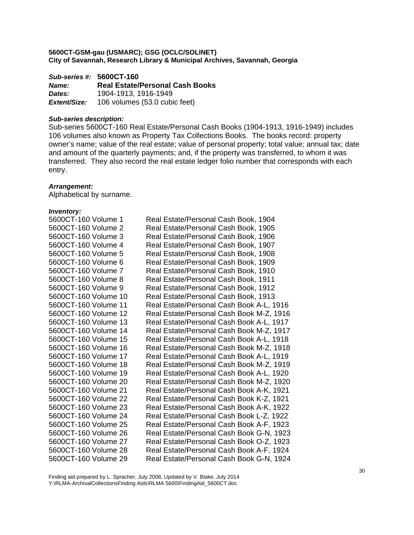*Sub-series #:* **5600CT-160** *Name:* **Real Estate/Personal Cash Books**  *Dates:* 1904-1913, 1916-1949 *Extent/Size:* 106 volumes (53.0 cubic feet)

## *Sub-series description:*

Sub-series 5600CT-160 Real Estate/Personal Cash Books (1904-1913, 1916-1949) includes 106 volumes also known as Property Tax Collections Books. The books record: property owner's name; value of the real estate; value of personal property; total value; annual tax; date and amount of the quarterly payments; and, if the property was transferred, to whom it was transferred. They also record the real estate ledger folio number that corresponds with each entry.

#### *Arrangement:*

Alphabetical by surname.

| 5600CT-160 Volume 1  | Real Estate/Personal Cash Book, 1904     |
|----------------------|------------------------------------------|
| 5600CT-160 Volume 2  | Real Estate/Personal Cash Book, 1905     |
| 5600CT-160 Volume 3  | Real Estate/Personal Cash Book, 1906     |
| 5600CT-160 Volume 4  | Real Estate/Personal Cash Book, 1907     |
| 5600CT-160 Volume 5  | Real Estate/Personal Cash Book, 1908     |
| 5600CT-160 Volume 6  | Real Estate/Personal Cash Book, 1909     |
| 5600CT-160 Volume 7  | Real Estate/Personal Cash Book, 1910     |
| 5600CT-160 Volume 8  | Real Estate/Personal Cash Book, 1911     |
| 5600CT-160 Volume 9  | Real Estate/Personal Cash Book, 1912     |
| 5600CT-160 Volume 10 | Real Estate/Personal Cash Book, 1913     |
| 5600CT-160 Volume 11 | Real Estate/Personal Cash Book A-L, 1916 |
| 5600CT-160 Volume 12 | Real Estate/Personal Cash Book M-Z, 1916 |
| 5600CT-160 Volume 13 | Real Estate/Personal Cash Book A-L, 1917 |
| 5600CT-160 Volume 14 | Real Estate/Personal Cash Book M-Z, 1917 |
| 5600CT-160 Volume 15 | Real Estate/Personal Cash Book A-L, 1918 |
| 5600CT-160 Volume 16 | Real Estate/Personal Cash Book M-Z, 1918 |
| 5600CT-160 Volume 17 | Real Estate/Personal Cash Book A-L, 1919 |
| 5600CT-160 Volume 18 | Real Estate/Personal Cash Book M-Z, 1919 |
| 5600CT-160 Volume 19 | Real Estate/Personal Cash Book A-L, 1920 |
| 5600CT-160 Volume 20 | Real Estate/Personal Cash Book M-Z, 1920 |
| 5600CT-160 Volume 21 | Real Estate/Personal Cash Book A-K, 1921 |
| 5600CT-160 Volume 22 | Real Estate/Personal Cash Book K-Z, 1921 |
| 5600CT-160 Volume 23 | Real Estate/Personal Cash Book A-K, 1922 |
| 5600CT-160 Volume 24 | Real Estate/Personal Cash Book L-Z, 1922 |
| 5600CT-160 Volume 25 | Real Estate/Personal Cash Book A-F, 1923 |
| 5600CT-160 Volume 26 | Real Estate/Personal Cash Book G-N, 1923 |
| 5600CT-160 Volume 27 | Real Estate/Personal Cash Book O-Z, 1923 |
| 5600CT-160 Volume 28 | Real Estate/Personal Cash Book A-F, 1924 |
| 5600CT-160 Volume 29 | Real Estate/Personal Cash Book G-N, 1924 |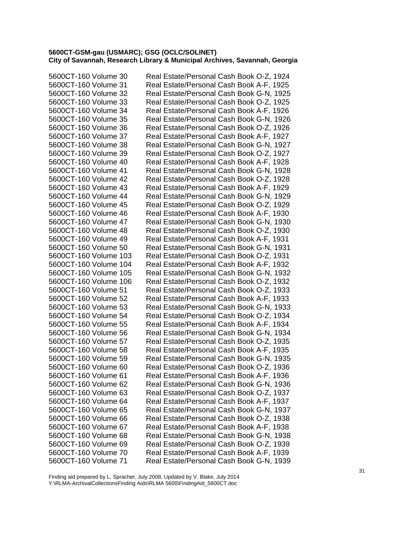| 5600CT-160 Volume 30  | Real Estate/Personal Cash Book O-Z, 1924 |
|-----------------------|------------------------------------------|
| 5600CT-160 Volume 31  | Real Estate/Personal Cash Book A-F, 1925 |
| 5600CT-160 Volume 32  | Real Estate/Personal Cash Book G-N, 1925 |
| 5600CT-160 Volume 33  | Real Estate/Personal Cash Book O-Z, 1925 |
| 5600CT-160 Volume 34  | Real Estate/Personal Cash Book A-F, 1926 |
| 5600CT-160 Volume 35  | Real Estate/Personal Cash Book G-N, 1926 |
| 5600CT-160 Volume 36  | Real Estate/Personal Cash Book O-Z, 1926 |
| 5600CT-160 Volume 37  | Real Estate/Personal Cash Book A-F, 1927 |
| 5600CT-160 Volume 38  | Real Estate/Personal Cash Book G-N, 1927 |
| 5600CT-160 Volume 39  | Real Estate/Personal Cash Book O-Z, 1927 |
| 5600CT-160 Volume 40  | Real Estate/Personal Cash Book A-F, 1928 |
| 5600CT-160 Volume 41  | Real Estate/Personal Cash Book G-N, 1928 |
| 5600CT-160 Volume 42  | Real Estate/Personal Cash Book O-Z, 1928 |
| 5600CT-160 Volume 43  | Real Estate/Personal Cash Book A-F, 1929 |
| 5600CT-160 Volume 44  | Real Estate/Personal Cash Book G-N, 1929 |
| 5600CT-160 Volume 45  | Real Estate/Personal Cash Book O-Z, 1929 |
| 5600CT-160 Volume 46  | Real Estate/Personal Cash Book A-F, 1930 |
| 5600CT-160 Volume 47  | Real Estate/Personal Cash Book G-N, 1930 |
| 5600CT-160 Volume 48  | Real Estate/Personal Cash Book O-Z, 1930 |
| 5600CT-160 Volume 49  | Real Estate/Personal Cash Book A-F, 1931 |
| 5600CT-160 Volume 50  | Real Estate/Personal Cash Book G-N, 1931 |
| 5600CT-160 Volume 103 | Real Estate/Personal Cash Book O-Z, 1931 |
| 5600CT-160 Volume 104 | Real Estate/Personal Cash Book A-F, 1932 |
| 5600CT-160 Volume 105 | Real Estate/Personal Cash Book G-N, 1932 |
| 5600CT-160 Volume 106 | Real Estate/Personal Cash Book O-Z, 1932 |
| 5600CT-160 Volume 51  | Real Estate/Personal Cash Book O-Z, 1933 |
| 5600CT-160 Volume 52  | Real Estate/Personal Cash Book A-F, 1933 |
| 5600CT-160 Volume 53  | Real Estate/Personal Cash Book G-N, 1933 |
| 5600CT-160 Volume 54  | Real Estate/Personal Cash Book O-Z, 1934 |
| 5600CT-160 Volume 55  | Real Estate/Personal Cash Book A-F, 1934 |
| 5600CT-160 Volume 56  | Real Estate/Personal Cash Book G-N, 1934 |
| 5600CT-160 Volume 57  | Real Estate/Personal Cash Book O-Z, 1935 |
| 5600CT-160 Volume 58  | Real Estate/Personal Cash Book A-F, 1935 |
| 5600CT-160 Volume 59  | Real Estate/Personal Cash Book G-N, 1935 |
| 5600CT-160 Volume 60  | Real Estate/Personal Cash Book O-Z, 1936 |
| 5600CT-160 Volume 61  | Real Estate/Personal Cash Book A-F, 1936 |
| 5600CT-160 Volume 62  | Real Estate/Personal Cash Book G-N, 1936 |
| 5600CT-160 Volume 63  | Real Estate/Personal Cash Book O-Z, 1937 |
| 5600CT-160 Volume 64  | Real Estate/Personal Cash Book A-F, 1937 |
| 5600CT-160 Volume 65  | Real Estate/Personal Cash Book G-N, 1937 |
| 5600CT-160 Volume 66  | Real Estate/Personal Cash Book O-Z, 1938 |
| 5600CT-160 Volume 67  | Real Estate/Personal Cash Book A-F, 1938 |
| 5600CT-160 Volume 68  | Real Estate/Personal Cash Book G-N, 1938 |
| 5600CT-160 Volume 69  | Real Estate/Personal Cash Book O-Z, 1939 |
| 5600CT-160 Volume 70  | Real Estate/Personal Cash Book A-F, 1939 |
| 5600CT-160 Volume 71  | Real Estate/Personal Cash Book G-N, 1939 |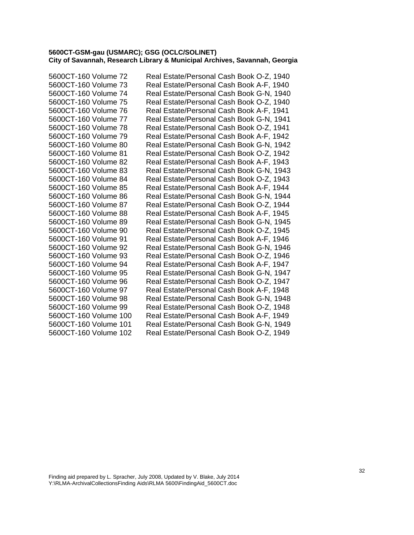| 5600CT-160 Volume 72  | Real Estate/Personal Cash Book O-Z, 1940 |
|-----------------------|------------------------------------------|
| 5600CT-160 Volume 73  | Real Estate/Personal Cash Book A-F, 1940 |
| 5600CT-160 Volume 74  | Real Estate/Personal Cash Book G-N, 1940 |
| 5600CT-160 Volume 75  | Real Estate/Personal Cash Book O-Z, 1940 |
| 5600CT-160 Volume 76  | Real Estate/Personal Cash Book A-F, 1941 |
| 5600CT-160 Volume 77  | Real Estate/Personal Cash Book G-N, 1941 |
| 5600CT-160 Volume 78  | Real Estate/Personal Cash Book O-Z, 1941 |
| 5600CT-160 Volume 79  | Real Estate/Personal Cash Book A-F, 1942 |
| 5600CT-160 Volume 80  | Real Estate/Personal Cash Book G-N, 1942 |
| 5600CT-160 Volume 81  | Real Estate/Personal Cash Book O-Z, 1942 |
| 5600CT-160 Volume 82  | Real Estate/Personal Cash Book A-F, 1943 |
| 5600CT-160 Volume 83  | Real Estate/Personal Cash Book G-N, 1943 |
| 5600CT-160 Volume 84  | Real Estate/Personal Cash Book O-Z, 1943 |
| 5600CT-160 Volume 85  | Real Estate/Personal Cash Book A-F, 1944 |
| 5600CT-160 Volume 86  | Real Estate/Personal Cash Book G-N, 1944 |
| 5600CT-160 Volume 87  | Real Estate/Personal Cash Book O-Z, 1944 |
| 5600CT-160 Volume 88  | Real Estate/Personal Cash Book A-F, 1945 |
| 5600CT-160 Volume 89  | Real Estate/Personal Cash Book G-N, 1945 |
| 5600CT-160 Volume 90  | Real Estate/Personal Cash Book O-Z, 1945 |
| 5600CT-160 Volume 91  | Real Estate/Personal Cash Book A-F, 1946 |
| 5600CT-160 Volume 92  | Real Estate/Personal Cash Book G-N, 1946 |
| 5600CT-160 Volume 93  | Real Estate/Personal Cash Book O-Z, 1946 |
| 5600CT-160 Volume 94  | Real Estate/Personal Cash Book A-F, 1947 |
| 5600CT-160 Volume 95  | Real Estate/Personal Cash Book G-N, 1947 |
| 5600CT-160 Volume 96  | Real Estate/Personal Cash Book O-Z, 1947 |
| 5600CT-160 Volume 97  | Real Estate/Personal Cash Book A-F, 1948 |
| 5600CT-160 Volume 98  | Real Estate/Personal Cash Book G-N, 1948 |
| 5600CT-160 Volume 99  | Real Estate/Personal Cash Book O-Z, 1948 |
| 5600CT-160 Volume 100 | Real Estate/Personal Cash Book A-F, 1949 |
| 5600CT-160 Volume 101 | Real Estate/Personal Cash Book G-N, 1949 |
| 5600CT-160 Volume 102 | Real Estate/Personal Cash Book O-Z, 1949 |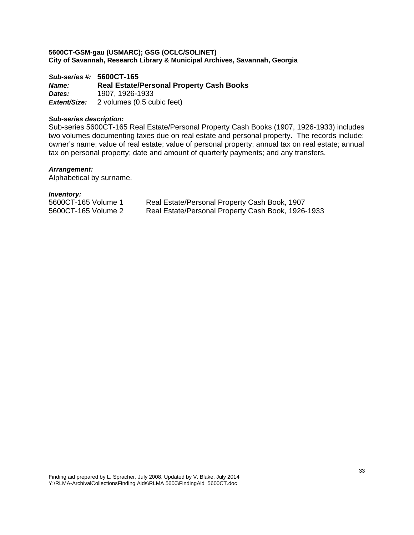*Sub-series #:* **5600CT-165** *Name:* **Real Estate/Personal Property Cash Books**  *Dates:* 1907, 1926-1933 *Extent/Size:* 2 volumes (0.5 cubic feet)

## *Sub-series description:*

Sub-series 5600CT-165 Real Estate/Personal Property Cash Books (1907, 1926-1933) includes two volumes documenting taxes due on real estate and personal property. The records include: owner's name; value of real estate; value of personal property; annual tax on real estate; annual tax on personal property; date and amount of quarterly payments; and any transfers.

#### *Arrangement:*

Alphabetical by surname.

| 5600CT-165 Volume 1 | Real Estate/Personal Property Cash Book, 1907      |
|---------------------|----------------------------------------------------|
| 5600CT-165 Volume 2 | Real Estate/Personal Property Cash Book, 1926-1933 |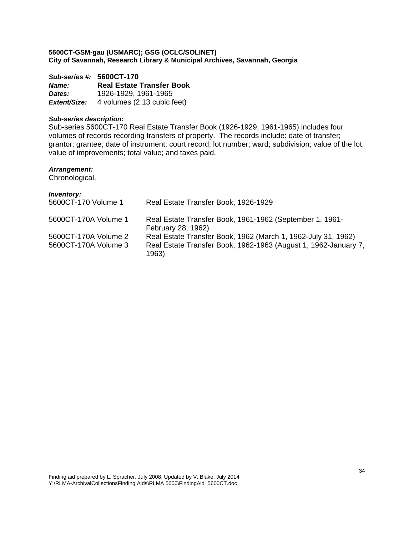*Sub-series #:* **5600CT-170** *Name:* **Real Estate Transfer Book**  *Dates:* 1926-1929, 1961-1965 **Extent/Size:** 4 volumes (2.13 cubic feet)

## *Sub-series description:*

Sub-series 5600CT-170 Real Estate Transfer Book (1926-1929, 1961-1965) includes four volumes of records recording transfers of property. The records include: date of transfer; grantor; grantee; date of instrument; court record; lot number; ward; subdivision; value of the lot; value of improvements; total value; and taxes paid.

#### *Arrangement:*

Chronological.

| <b>Inventory:</b><br>5600CT-170 Volume 1     | Real Estate Transfer Book, 1926-1929                                                                                             |
|----------------------------------------------|----------------------------------------------------------------------------------------------------------------------------------|
| 5600CT-170A Volume 1                         | Real Estate Transfer Book, 1961-1962 (September 1, 1961-<br>February 28, 1962)                                                   |
| 5600CT-170A Volume 2<br>5600CT-170A Volume 3 | Real Estate Transfer Book, 1962 (March 1, 1962-July 31, 1962)<br>Real Estate Transfer Book, 1962-1963 (August 1, 1962-January 7, |
|                                              | 1963)                                                                                                                            |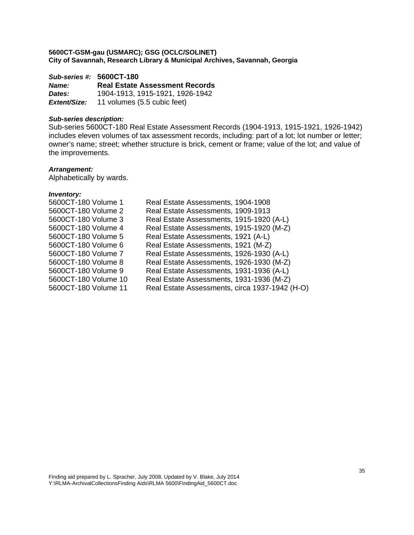*Sub-series #:* **5600CT-180** *Name:* **Real Estate Assessment Records**  *Dates:* 1904-1913, 1915-1921, 1926-1942 *Extent/Size:* 11 volumes (5.5 cubic feet)

## *Sub-series description:*

Sub-series 5600CT-180 Real Estate Assessment Records (1904-1913, 1915-1921, 1926-1942) includes eleven volumes of tax assessment records, including: part of a lot; lot number or letter; owner's name; street; whether structure is brick, cement or frame; value of the lot; and value of the improvements.

#### *Arrangement:*

Alphabetically by wards.

| Real Estate Assessments, 1904-1908             |
|------------------------------------------------|
| Real Estate Assessments, 1909-1913             |
| Real Estate Assessments, 1915-1920 (A-L)       |
| Real Estate Assessments, 1915-1920 (M-Z)       |
| Real Estate Assessments, 1921 (A-L)            |
| Real Estate Assessments, 1921 (M-Z)            |
| Real Estate Assessments, 1926-1930 (A-L)       |
| Real Estate Assessments, 1926-1930 (M-Z)       |
| Real Estate Assessments, 1931-1936 (A-L)       |
| Real Estate Assessments, 1931-1936 (M-Z)       |
| Real Estate Assessments, circa 1937-1942 (H-O) |
|                                                |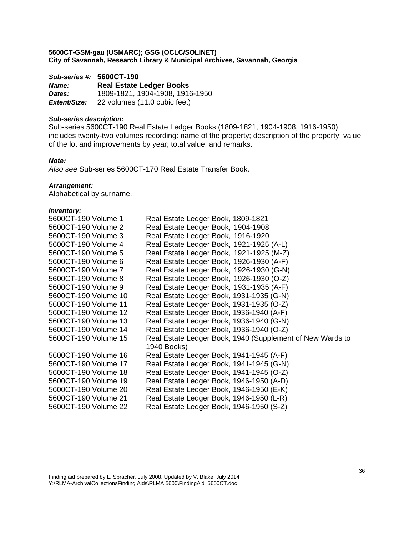*Sub-series #:* **5600CT-190** *Name:* **Real Estate Ledger Books**  *Dates:* 1809-1821, 1904-1908, 1916-1950 *Extent/Size:* 22 volumes (11.0 cubic feet)

## *Sub-series description:*

Sub-series 5600CT-190 Real Estate Ledger Books (1809-1821, 1904-1908, 1916-1950) includes twenty-two volumes recording: name of the property; description of the property; value of the lot and improvements by year; total value; and remarks.

#### *Note:*

*Also see* Sub-series 5600CT-170 Real Estate Transfer Book.

#### *Arrangement:*

Alphabetical by surname.

| 5600CT-190 Volume 1  | Real Estate Ledger Book, 1809-1821                        |
|----------------------|-----------------------------------------------------------|
| 5600CT-190 Volume 2  | Real Estate Ledger Book, 1904-1908                        |
| 5600CT-190 Volume 3  | Real Estate Ledger Book, 1916-1920                        |
| 5600CT-190 Volume 4  | Real Estate Ledger Book, 1921-1925 (A-L)                  |
| 5600CT-190 Volume 5  | Real Estate Ledger Book, 1921-1925 (M-Z)                  |
| 5600CT-190 Volume 6  | Real Estate Ledger Book, 1926-1930 (A-F)                  |
| 5600CT-190 Volume 7  | Real Estate Ledger Book, 1926-1930 (G-N)                  |
| 5600CT-190 Volume 8  | Real Estate Ledger Book, 1926-1930 (O-Z)                  |
| 5600CT-190 Volume 9  | Real Estate Ledger Book, 1931-1935 (A-F)                  |
| 5600CT-190 Volume 10 | Real Estate Ledger Book, 1931-1935 (G-N)                  |
| 5600CT-190 Volume 11 | Real Estate Ledger Book, 1931-1935 (O-Z)                  |
| 5600CT-190 Volume 12 | Real Estate Ledger Book, 1936-1940 (A-F)                  |
| 5600CT-190 Volume 13 | Real Estate Ledger Book, 1936-1940 (G-N)                  |
| 5600CT-190 Volume 14 | Real Estate Ledger Book, 1936-1940 (O-Z)                  |
| 5600CT-190 Volume 15 | Real Estate Ledger Book, 1940 (Supplement of New Wards to |
|                      | 1940 Books)                                               |
| 5600CT-190 Volume 16 | Real Estate Ledger Book, 1941-1945 (A-F)                  |
| 5600CT-190 Volume 17 | Real Estate Ledger Book, 1941-1945 (G-N)                  |
| 5600CT-190 Volume 18 | Real Estate Ledger Book, 1941-1945 (O-Z)                  |
| 5600CT-190 Volume 19 | Real Estate Ledger Book, 1946-1950 (A-D)                  |
| 5600CT-190 Volume 20 | Real Estate Ledger Book, 1946-1950 (E-K)                  |
| 5600CT-190 Volume 21 | Real Estate Ledger Book, 1946-1950 (L-R)                  |
| 5600CT-190 Volume 22 | Real Estate Ledger Book, 1946-1950 (S-Z)                  |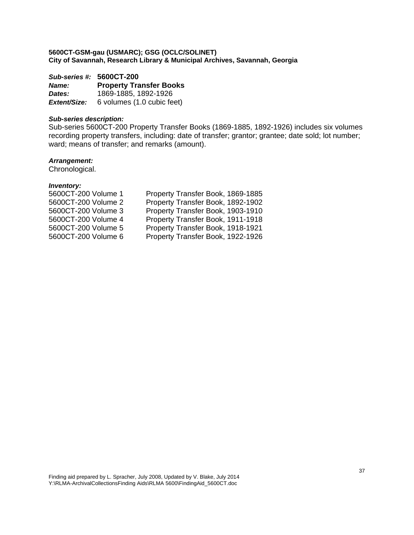*Sub-series #:* **5600CT-200** *Name:* **Property Transfer Books**  *Dates:* 1869-1885, 1892-1926 *Extent/Size:* 6 volumes (1.0 cubic feet)

## *Sub-series description:*

Sub-series 5600CT-200 Property Transfer Books (1869-1885, 1892-1926) includes six volumes recording property transfers, including: date of transfer; grantor; grantee; date sold; lot number; ward; means of transfer; and remarks (amount).

# *Arrangement:*

Chronological.

| Property Transfer Book, 1869-1885 |
|-----------------------------------|
| Property Transfer Book, 1892-1902 |
| Property Transfer Book, 1903-1910 |
| Property Transfer Book, 1911-1918 |
| Property Transfer Book, 1918-1921 |
| Property Transfer Book, 1922-1926 |
|                                   |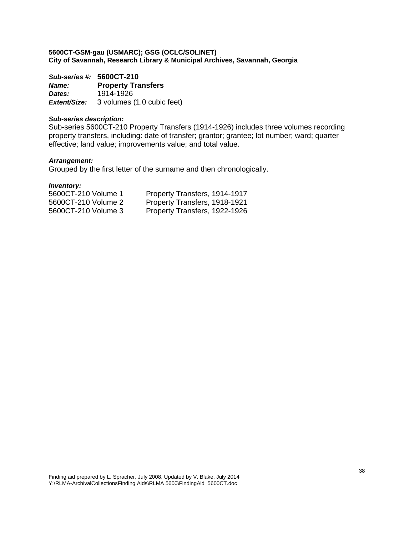*Sub-series #:* **5600CT-210** *Name:* **Property Transfers**  *Dates:* 1914-1926 *Extent/Size:* 3 volumes (1.0 cubic feet)

# *Sub-series description:*

Sub-series 5600CT-210 Property Transfers (1914-1926) includes three volumes recording property transfers, including: date of transfer; grantor; grantee; lot number; ward; quarter effective; land value; improvements value; and total value.

# *Arrangement:*

Grouped by the first letter of the surname and then chronologically.

| 5600CT-210 Volume 1 | Property Transfers, 1914-1917 |
|---------------------|-------------------------------|
| 5600CT-210 Volume 2 | Property Transfers, 1918-1921 |
| 5600CT-210 Volume 3 | Property Transfers, 1922-1926 |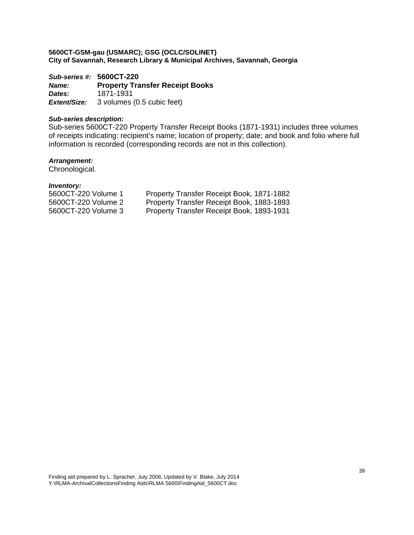*Sub-series #:* **5600CT-220**  *Name:* **Property Transfer Receipt Books**  *Dates:* 1871-1931 *Extent/Size:* 3 volumes (0.5 cubic feet)

# *Sub-series description:*

Sub-series 5600CT-220 Property Transfer Receipt Books (1871-1931) includes three volumes of receipts indicating: recipient's name; location of property; date; and book and folio where full information is recorded (corresponding records are not in this collection).

# *Arrangement:*

Chronological.

| 5600CT-220 Volume 1 | Property Transfer Receipt Book, 1871-1882 |
|---------------------|-------------------------------------------|
| 5600CT-220 Volume 2 | Property Transfer Receipt Book, 1883-1893 |
| 5600CT-220 Volume 3 | Property Transfer Receipt Book, 1893-1931 |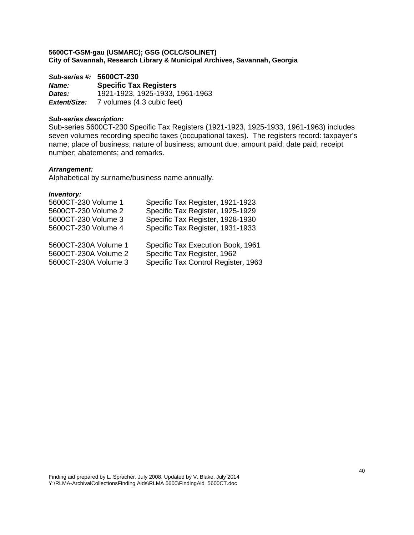*Sub-series #:* **5600CT-230** *Name:* **Specific Tax Registers**  *Dates:* 1921-1923, 1925-1933, 1961-1963 *Extent/Size:* 7 volumes (4.3 cubic feet)

# *Sub-series description:*

Sub-series 5600CT-230 Specific Tax Registers (1921-1923, 1925-1933, 1961-1963) includes seven volumes recording specific taxes (occupational taxes). The registers record: taxpayer's name; place of business; nature of business; amount due; amount paid; date paid; receipt number; abatements; and remarks.

# *Arrangement:*

Alphabetical by surname/business name annually.

| 5600CT-230 Volume 1  | Specific Tax Register, 1921-1923    |
|----------------------|-------------------------------------|
| 5600CT-230 Volume 2  | Specific Tax Register, 1925-1929    |
| 5600CT-230 Volume 3  | Specific Tax Register, 1928-1930    |
| 5600CT-230 Volume 4  | Specific Tax Register, 1931-1933    |
| 5600CT-230A Volume 1 | Specific Tax Execution Book, 1961   |
| 5600CT-230A Volume 2 | Specific Tax Register, 1962         |
| 5600CT-230A Volume 3 | Specific Tax Control Register, 1963 |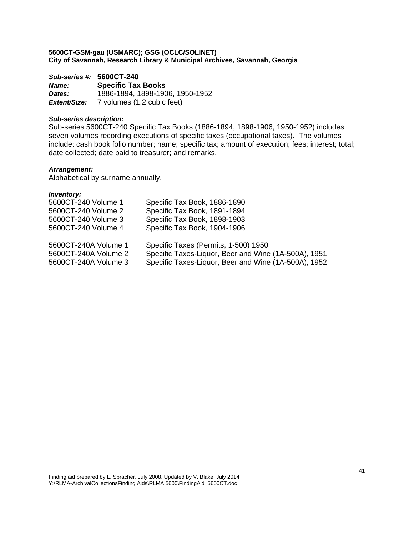*Sub-series #:* **5600CT-240** *Name:* **Specific Tax Books**  *Dates:* 1886-1894, 1898-1906, 1950-1952 *Extent/Size:* 7 volumes (1.2 cubic feet)

# *Sub-series description:*

Sub-series 5600CT-240 Specific Tax Books (1886-1894, 1898-1906, 1950-1952) includes seven volumes recording executions of specific taxes (occupational taxes). The volumes include: cash book folio number; name; specific tax; amount of execution; fees; interest; total; date collected; date paid to treasurer; and remarks.

# *Arrangement:*

Alphabetical by surname annually.

| 5600CT-240 Volume 1  | Specific Tax Book, 1886-1890                         |
|----------------------|------------------------------------------------------|
| 5600CT-240 Volume 2  | Specific Tax Book, 1891-1894                         |
| 5600CT-240 Volume 3  | Specific Tax Book, 1898-1903                         |
| 5600CT-240 Volume 4  | Specific Tax Book, 1904-1906                         |
|                      |                                                      |
| 5600CT-240A Volume 1 | Specific Taxes (Permits, 1-500) 1950                 |
| 5600CT-240A Volume 2 | Specific Taxes-Liquor, Beer and Wine (1A-500A), 1951 |
| 5600CT-240A Volume 3 | Specific Taxes-Liquor, Beer and Wine (1A-500A), 1952 |
|                      |                                                      |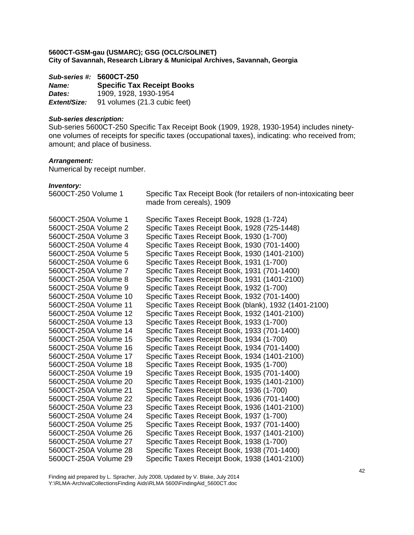*Sub-series #:* **5600CT-250** *Name:* **Specific Tax Receipt Books**  *Dates:* 1909, 1928, 1930-1954 **Extent/Size:** 91 volumes (21.3 cubic feet)

#### *Sub-series description:*

Sub-series 5600CT-250 Specific Tax Receipt Book (1909, 1928, 1930-1954) includes ninetyone volumes of receipts for specific taxes (occupational taxes), indicating: who received from; amount; and place of business.

# *Arrangement:*

Numerical by receipt number.

*Inventory:* 

5600CT-250 Volume 1 Specific Tax Receipt Book (for retailers of non-intoxicating beer made from cereals), 1909 5600CT-250A Volume 1 Specific Taxes Receipt Book, 1928 (1-724) 5600CT-250A Volume 2 Specific Taxes Receipt Book, 1928 (725-1448) 5600CT-250A Volume 3 Specific Taxes Receipt Book, 1930 (1-700) 5600CT-250A Volume 4 Specific Taxes Receipt Book, 1930 (701-1400) 5600CT-250A Volume 5 Specific Taxes Receipt Book, 1930 (1401-2100) 5600CT-250A Volume 6 Specific Taxes Receipt Book, 1931 (1-700) 5600CT-250A Volume 7 Specific Taxes Receipt Book, 1931 (701-1400) 5600CT-250A Volume 8 Specific Taxes Receipt Book, 1931 (1401-2100) 5600CT-250A Volume 9 Specific Taxes Receipt Book, 1932 (1-700) 5600CT-250A Volume 10 Specific Taxes Receipt Book, 1932 (701-1400) 5600CT-250A Volume 11 Specific Taxes Receipt Book (blank), 1932 (1401-2100) 5600CT-250A Volume 12 Specific Taxes Receipt Book, 1932 (1401-2100) 5600CT-250A Volume 13 Specific Taxes Receipt Book, 1933 (1-700) 5600CT-250A Volume 14 Specific Taxes Receipt Book, 1933 (701-1400) 5600CT-250A Volume 15 Specific Taxes Receipt Book, 1934 (1-700) 5600CT-250A Volume 16 Specific Taxes Receipt Book, 1934 (701-1400) 5600CT-250A Volume 17 Specific Taxes Receipt Book, 1934 (1401-2100) 5600CT-250A Volume 18 Specific Taxes Receipt Book, 1935 (1-700) 5600CT-250A Volume 19 Specific Taxes Receipt Book, 1935 (701-1400) 5600CT-250A Volume 20 Specific Taxes Receipt Book, 1935 (1401-2100) 5600CT-250A Volume 21 Specific Taxes Receipt Book, 1936 (1-700) 5600CT-250A Volume 22 Specific Taxes Receipt Book, 1936 (701-1400) 5600CT-250A Volume 23 Specific Taxes Receipt Book, 1936 (1401-2100) 5600CT-250A Volume 24 Specific Taxes Receipt Book, 1937 (1-700) 5600CT-250A Volume 25 Specific Taxes Receipt Book, 1937 (701-1400) 5600CT-250A Volume 26 Specific Taxes Receipt Book, 1937 (1401-2100) 5600CT-250A Volume 27 Specific Taxes Receipt Book, 1938 (1-700) 5600CT-250A Volume 28 Specific Taxes Receipt Book, 1938 (701-1400) 5600CT-250A Volume 29 Specific Taxes Receipt Book, 1938 (1401-2100)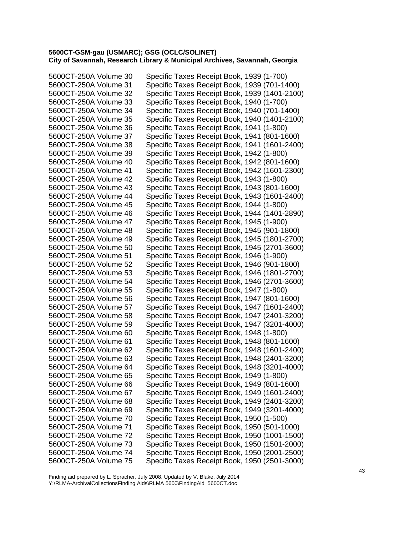| 5600CT-250A Volume 30 | Specific Taxes Receipt Book, 1939 (1-700)     |
|-----------------------|-----------------------------------------------|
| 5600CT-250A Volume 31 | Specific Taxes Receipt Book, 1939 (701-1400)  |
| 5600CT-250A Volume 32 | Specific Taxes Receipt Book, 1939 (1401-2100) |
| 5600CT-250A Volume 33 | Specific Taxes Receipt Book, 1940 (1-700)     |
| 5600CT-250A Volume 34 | Specific Taxes Receipt Book, 1940 (701-1400)  |
| 5600CT-250A Volume 35 | Specific Taxes Receipt Book, 1940 (1401-2100) |
| 5600CT-250A Volume 36 | Specific Taxes Receipt Book, 1941 (1-800)     |
| 5600CT-250A Volume 37 | Specific Taxes Receipt Book, 1941 (801-1600)  |
| 5600CT-250A Volume 38 | Specific Taxes Receipt Book, 1941 (1601-2400) |
| 5600CT-250A Volume 39 | Specific Taxes Receipt Book, 1942 (1-800)     |
| 5600CT-250A Volume 40 | Specific Taxes Receipt Book, 1942 (801-1600)  |
| 5600CT-250A Volume 41 | Specific Taxes Receipt Book, 1942 (1601-2300) |
| 5600CT-250A Volume 42 | Specific Taxes Receipt Book, 1943 (1-800)     |
| 5600CT-250A Volume 43 | Specific Taxes Receipt Book, 1943 (801-1600)  |
| 5600CT-250A Volume 44 | Specific Taxes Receipt Book, 1943 (1601-2400) |
| 5600CT-250A Volume 45 | Specific Taxes Receipt Book, 1944 (1-800)     |
| 5600CT-250A Volume 46 | Specific Taxes Receipt Book, 1944 (1401-2890) |
| 5600CT-250A Volume 47 | Specific Taxes Receipt Book, 1945 (1-900)     |
| 5600CT-250A Volume 48 | Specific Taxes Receipt Book, 1945 (901-1800)  |
| 5600CT-250A Volume 49 | Specific Taxes Receipt Book, 1945 (1801-2700) |
| 5600CT-250A Volume 50 | Specific Taxes Receipt Book, 1945 (2701-3600) |
| 5600CT-250A Volume 51 | Specific Taxes Receipt Book, 1946 (1-900)     |
| 5600CT-250A Volume 52 | Specific Taxes Receipt Book, 1946 (901-1800)  |
| 5600CT-250A Volume 53 | Specific Taxes Receipt Book, 1946 (1801-2700) |
| 5600CT-250A Volume 54 | Specific Taxes Receipt Book, 1946 (2701-3600) |
| 5600CT-250A Volume 55 | Specific Taxes Receipt Book, 1947 (1-800)     |
| 5600CT-250A Volume 56 | Specific Taxes Receipt Book, 1947 (801-1600)  |
| 5600CT-250A Volume 57 | Specific Taxes Receipt Book, 1947 (1601-2400) |
| 5600CT-250A Volume 58 | Specific Taxes Receipt Book, 1947 (2401-3200) |
| 5600CT-250A Volume 59 | Specific Taxes Receipt Book, 1947 (3201-4000) |
| 5600CT-250A Volume 60 | Specific Taxes Receipt Book, 1948 (1-800)     |
| 5600CT-250A Volume 61 | Specific Taxes Receipt Book, 1948 (801-1600)  |
| 5600CT-250A Volume 62 | Specific Taxes Receipt Book, 1948 (1601-2400) |
| 5600CT-250A Volume 63 | Specific Taxes Receipt Book, 1948 (2401-3200) |
| 5600CT-250A Volume 64 | Specific Taxes Receipt Book, 1948 (3201-4000) |
| 5600CT-250A Volume 65 | Specific Taxes Receipt Book, 1949 (1-800)     |
| 5600CT-250A Volume 66 | Specific Taxes Receipt Book, 1949 (801-1600)  |
| 5600CT-250A Volume 67 | Specific Taxes Receipt Book, 1949 (1601-2400) |
| 5600CT-250A Volume 68 | Specific Taxes Receipt Book, 1949 (2401-3200) |
| 5600CT-250A Volume 69 | Specific Taxes Receipt Book, 1949 (3201-4000) |
| 5600CT-250A Volume 70 | Specific Taxes Receipt Book, 1950 (1-500)     |
| 5600CT-250A Volume 71 | Specific Taxes Receipt Book, 1950 (501-1000)  |
| 5600CT-250A Volume 72 | Specific Taxes Receipt Book, 1950 (1001-1500) |
| 5600CT-250A Volume 73 | Specific Taxes Receipt Book, 1950 (1501-2000) |
| 5600CT-250A Volume 74 | Specific Taxes Receipt Book, 1950 (2001-2500) |
| 5600CT-250A Volume 75 | Specific Taxes Receipt Book, 1950 (2501-3000) |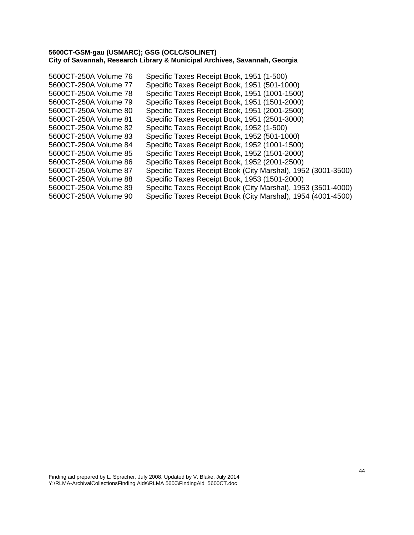| 5600CT-250A Volume 76 | Specific Taxes Receipt Book, 1951 (1-500)                    |
|-----------------------|--------------------------------------------------------------|
| 5600CT-250A Volume 77 | Specific Taxes Receipt Book, 1951 (501-1000)                 |
| 5600CT-250A Volume 78 | Specific Taxes Receipt Book, 1951 (1001-1500)                |
| 5600CT-250A Volume 79 | Specific Taxes Receipt Book, 1951 (1501-2000)                |
| 5600CT-250A Volume 80 | Specific Taxes Receipt Book, 1951 (2001-2500)                |
| 5600CT-250A Volume 81 | Specific Taxes Receipt Book, 1951 (2501-3000)                |
| 5600CT-250A Volume 82 | Specific Taxes Receipt Book, 1952 (1-500)                    |
| 5600CT-250A Volume 83 | Specific Taxes Receipt Book, 1952 (501-1000)                 |
| 5600CT-250A Volume 84 | Specific Taxes Receipt Book, 1952 (1001-1500)                |
| 5600CT-250A Volume 85 | Specific Taxes Receipt Book, 1952 (1501-2000)                |
| 5600CT-250A Volume 86 | Specific Taxes Receipt Book, 1952 (2001-2500)                |
| 5600CT-250A Volume 87 | Specific Taxes Receipt Book (City Marshal), 1952 (3001-3500) |
| 5600CT-250A Volume 88 | Specific Taxes Receipt Book, 1953 (1501-2000)                |
| 5600CT-250A Volume 89 | Specific Taxes Receipt Book (City Marshal), 1953 (3501-4000) |
| 5600CT-250A Volume 90 | Specific Taxes Receipt Book (City Marshal), 1954 (4001-4500) |
|                       |                                                              |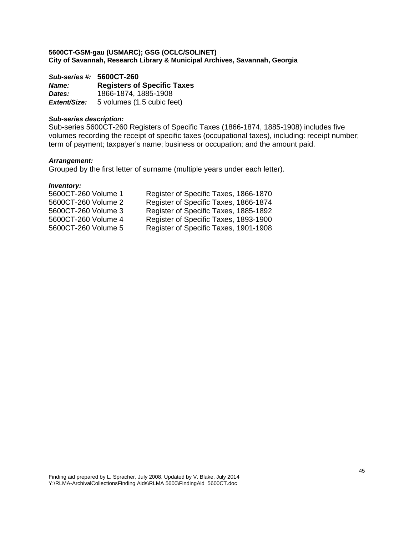*Sub-series #:* **5600CT-260** *Name:* **Registers of Specific Taxes**  *Dates:* 1866-1874, 1885-1908 *Extent/Size:* 5 volumes (1.5 cubic feet)

# *Sub-series description:*

Sub-series 5600CT-260 Registers of Specific Taxes (1866-1874, 1885-1908) includes five volumes recording the receipt of specific taxes (occupational taxes), including: receipt number; term of payment; taxpayer's name; business or occupation; and the amount paid.

# *Arrangement:*

Grouped by the first letter of surname (multiple years under each letter).

| 5600CT-260 Volume 1 | Register of Specific Taxes, 1866-1870 |
|---------------------|---------------------------------------|
| 5600CT-260 Volume 2 | Register of Specific Taxes, 1866-1874 |
| 5600CT-260 Volume 3 | Register of Specific Taxes, 1885-1892 |
| 5600CT-260 Volume 4 | Register of Specific Taxes, 1893-1900 |
| 5600CT-260 Volume 5 | Register of Specific Taxes, 1901-1908 |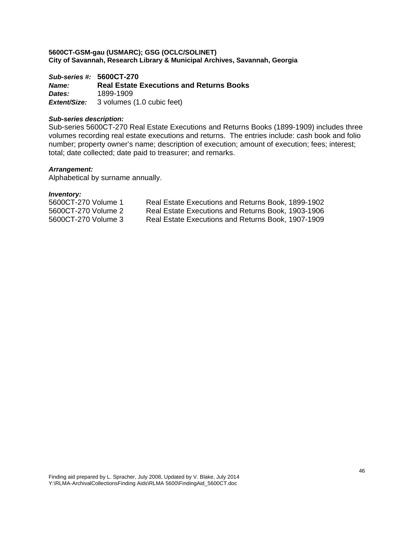*Sub-series #:* **5600CT-270** *Name:* **Real Estate Executions and Returns Books**  *Dates:* 1899-1909 *Extent/Size:* 3 volumes (1.0 cubic feet)

# *Sub-series description:*

Sub-series 5600CT-270 Real Estate Executions and Returns Books (1899-1909) includes three volumes recording real estate executions and returns. The entries include: cash book and folio number; property owner's name; description of execution; amount of execution; fees; interest; total; date collected; date paid to treasurer; and remarks.

# *Arrangement:*

Alphabetical by surname annually.

| 5600CT-270 Volume 1 | Real Estate Executions and Returns Book, 1899-1902 |
|---------------------|----------------------------------------------------|
| 5600CT-270 Volume 2 | Real Estate Executions and Returns Book, 1903-1906 |
| 5600CT-270 Volume 3 | Real Estate Executions and Returns Book, 1907-1909 |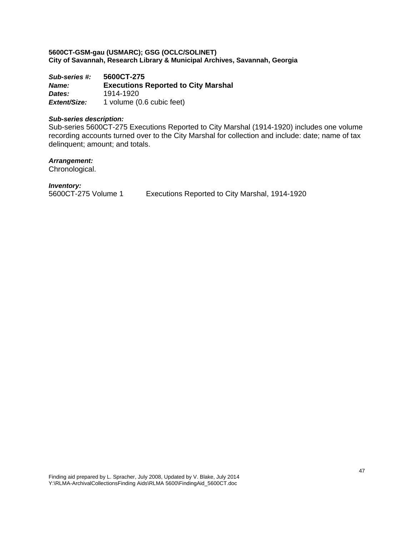*Sub-series #:* **5600CT-275** *Name:* **Executions Reported to City Marshal**  *Dates:* 1914-1920 *Extent/Size:* 1 volume (0.6 cubic feet)

# *Sub-series description:*

Sub-series 5600CT-275 Executions Reported to City Marshal (1914-1920) includes one volume recording accounts turned over to the City Marshal for collection and include: date; name of tax delinquent; amount; and totals.

*Arrangement:* 

Chronological.

*Inventory:* 

5600CT-275 Volume 1 Executions Reported to City Marshal, 1914-1920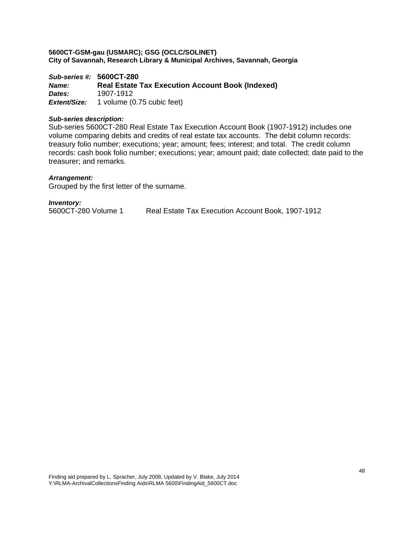*Sub-series #:* **5600CT-280** *Name:* **Real Estate Tax Execution Account Book (Indexed)**  *Dates:* 1907-1912 *Extent/Size:* 1 volume (0.75 cubic feet)

### *Sub-series description:*

Sub-series 5600CT-280 Real Estate Tax Execution Account Book (1907-1912) includes one volume comparing debits and credits of real estate tax accounts. The debit column records: treasury folio number; executions; year; amount; fees; interest; and total. The credit column records: cash book folio number; executions; year; amount paid; date collected; date paid to the treasurer; and remarks.

# *Arrangement:*

Grouped by the first letter of the surname.

#### *Inventory:*

5600CT-280 Volume 1 Real Estate Tax Execution Account Book, 1907-1912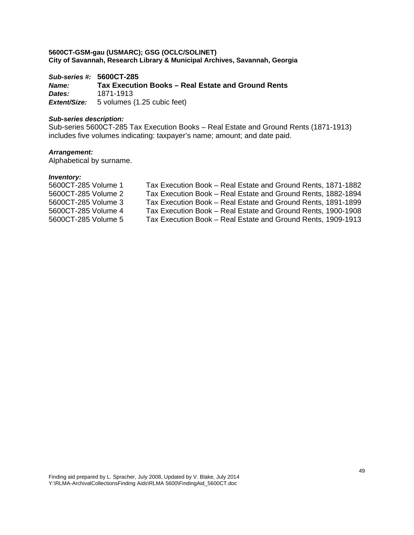*Sub-series #:* **5600CT-285** *Name:* **Tax Execution Books – Real Estate and Ground Rents**  *Dates:* 1871-1913 *Extent/Size:* 5 volumes (1.25 cubic feet)

# *Sub-series description:*

Sub-series 5600CT-285 Tax Execution Books – Real Estate and Ground Rents (1871-1913) includes five volumes indicating: taxpayer's name; amount; and date paid.

# *Arrangement:*

Alphabetical by surname.

| 5600CT-285 Volume 1 | Tax Execution Book – Real Estate and Ground Rents, 1871-1882 |
|---------------------|--------------------------------------------------------------|
| 5600CT-285 Volume 2 | Tax Execution Book – Real Estate and Ground Rents, 1882-1894 |
| 5600CT-285 Volume 3 | Tax Execution Book – Real Estate and Ground Rents, 1891-1899 |
| 5600CT-285 Volume 4 | Tax Execution Book – Real Estate and Ground Rents, 1900-1908 |
| 5600CT-285 Volume 5 | Tax Execution Book – Real Estate and Ground Rents, 1909-1913 |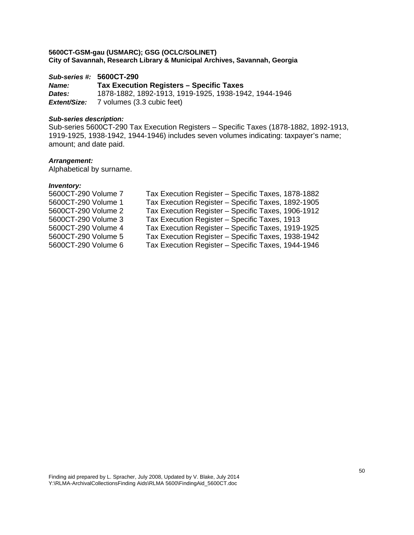# *Sub-series #:* **5600CT-290**

*Name:* **Tax Execution Registers – Specific Taxes**  *Dates:* 1878-1882, 1892-1913, 1919-1925, 1938-1942, 1944-1946 *Extent/Size:* 7 volumes (3.3 cubic feet)

# *Sub-series description:*

Sub-series 5600CT-290 Tax Execution Registers – Specific Taxes (1878-1882, 1892-1913, 1919-1925, 1938-1942, 1944-1946) includes seven volumes indicating: taxpayer's name; amount; and date paid.

# *Arrangement:*

Alphabetical by surname.

| 5600CT-290 Volume 7 | Tax Execution Register - Specific Taxes, 1878-1882 |
|---------------------|----------------------------------------------------|
| 5600CT-290 Volume 1 | Tax Execution Register - Specific Taxes, 1892-1905 |
| 5600CT-290 Volume 2 | Tax Execution Register - Specific Taxes, 1906-1912 |
| 5600CT-290 Volume 3 | Tax Execution Register - Specific Taxes, 1913      |
| 5600CT-290 Volume 4 | Tax Execution Register - Specific Taxes, 1919-1925 |
| 5600CT-290 Volume 5 | Tax Execution Register - Specific Taxes, 1938-1942 |
| 5600CT-290 Volume 6 | Tax Execution Register - Specific Taxes, 1944-1946 |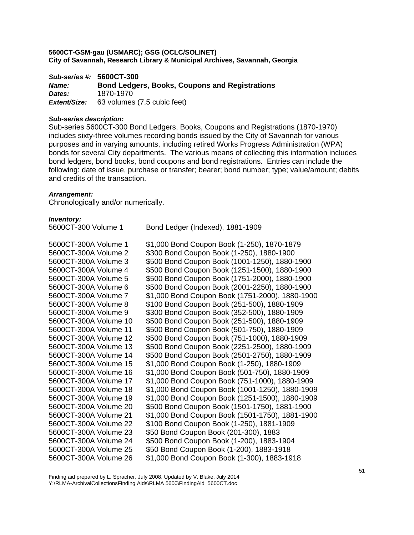*Sub-series #:* **5600CT-300** *Name:* **Bond Ledgers, Books, Coupons and Registrations**  *Dates:* 1870-1970 *Extent/Size:* 63 volumes (7.5 cubic feet)

### *Sub-series description:*

Sub-series 5600CT-300 Bond Ledgers, Books, Coupons and Registrations (1870-1970) includes sixty-three volumes recording bonds issued by the City of Savannah for various purposes and in varying amounts, including retired Works Progress Administration (WPA) bonds for several City departments. The various means of collecting this information includes bond ledgers, bond books, bond coupons and bond registrations. Entries can include the following: date of issue, purchase or transfer; bearer; bond number; type; value/amount; debits and credits of the transaction.

# *Arrangement:*

Chronologically and/or numerically.

#### *Inventory:*

| 5600CT-300 Volume 1   | Bond Ledger (Indexed), 1881-1909                |
|-----------------------|-------------------------------------------------|
| 5600CT-300A Volume 1  | \$1,000 Bond Coupon Book (1-250), 1870-1879     |
| 5600CT-300A Volume 2  | \$300 Bond Coupon Book (1-250), 1880-1900       |
| 5600CT-300A Volume 3  | \$500 Bond Coupon Book (1001-1250), 1880-1900   |
| 5600CT-300A Volume 4  | \$500 Bond Coupon Book (1251-1500), 1880-1900   |
| 5600CT-300A Volume 5  | \$500 Bond Coupon Book (1751-2000), 1880-1900   |
| 5600CT-300A Volume 6  | \$500 Bond Coupon Book (2001-2250), 1880-1900   |
| 5600CT-300A Volume 7  | \$1,000 Bond Coupon Book (1751-2000), 1880-1900 |
| 5600CT-300A Volume 8  | \$100 Bond Coupon Book (251-500), 1880-1909     |
| 5600CT-300A Volume 9  | \$300 Bond Coupon Book (352-500), 1880-1909     |
| 5600CT-300A Volume 10 | \$500 Bond Coupon Book (251-500), 1880-1909     |
| 5600CT-300A Volume 11 | \$500 Bond Coupon Book (501-750), 1880-1909     |
| 5600CT-300A Volume 12 | \$500 Bond Coupon Book (751-1000), 1880-1909    |
| 5600CT-300A Volume 13 | \$500 Bond Coupon Book (2251-2500), 1880-1909   |
| 5600CT-300A Volume 14 | \$500 Bond Coupon Book (2501-2750), 1880-1909   |
| 5600CT-300A Volume 15 | \$1,000 Bond Coupon Book (1-250), 1880-1909     |
| 5600CT-300A Volume 16 | \$1,000 Bond Coupon Book (501-750), 1880-1909   |
| 5600CT-300A Volume 17 | \$1,000 Bond Coupon Book (751-1000), 1880-1909  |
| 5600CT-300A Volume 18 | \$1,000 Bond Coupon Book (1001-1250), 1880-1909 |
| 5600CT-300A Volume 19 | \$1,000 Bond Coupon Book (1251-1500), 1880-1909 |
| 5600CT-300A Volume 20 | \$500 Bond Coupon Book (1501-1750), 1881-1900   |
| 5600CT-300A Volume 21 | \$1,000 Bond Coupon Book (1501-1750), 1881-1900 |
| 5600CT-300A Volume 22 | \$100 Bond Coupon Book (1-250), 1881-1909       |
| 5600CT-300A Volume 23 | \$50 Bond Coupon Book (201-300), 1883           |
| 5600CT-300A Volume 24 | \$500 Bond Coupon Book (1-200), 1883-1904       |
| 5600CT-300A Volume 25 | \$50 Bond Coupon Book (1-200), 1883-1918        |
| 5600CT-300A Volume 26 | \$1,000 Bond Coupon Book (1-300), 1883-1918     |

Finding aid prepared by L. Spracher, July 2008, Updated by V. Blake, July 2014 Y:\RLMA-ArchivalCollectionsFinding Aids\RLMA 5600\FindingAid\_5600CT.doc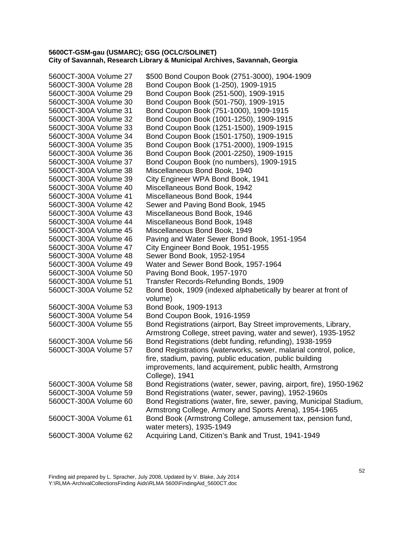| 5600CT-300A Volume 27 | \$500 Bond Coupon Book (2751-3000), 1904-1909                                                                                   |
|-----------------------|---------------------------------------------------------------------------------------------------------------------------------|
| 5600CT-300A Volume 28 | Bond Coupon Book (1-250), 1909-1915                                                                                             |
| 5600CT-300A Volume 29 | Bond Coupon Book (251-500), 1909-1915                                                                                           |
| 5600CT-300A Volume 30 | Bond Coupon Book (501-750), 1909-1915                                                                                           |
| 5600CT-300A Volume 31 | Bond Coupon Book (751-1000), 1909-1915                                                                                          |
| 5600CT-300A Volume 32 | Bond Coupon Book (1001-1250), 1909-1915                                                                                         |
| 5600CT-300A Volume 33 | Bond Coupon Book (1251-1500), 1909-1915                                                                                         |
| 5600CT-300A Volume 34 | Bond Coupon Book (1501-1750), 1909-1915                                                                                         |
| 5600CT-300A Volume 35 | Bond Coupon Book (1751-2000), 1909-1915                                                                                         |
| 5600CT-300A Volume 36 | Bond Coupon Book (2001-2250), 1909-1915                                                                                         |
| 5600CT-300A Volume 37 | Bond Coupon Book (no numbers), 1909-1915                                                                                        |
| 5600CT-300A Volume 38 | Miscellaneous Bond Book, 1940                                                                                                   |
| 5600CT-300A Volume 39 | City Engineer WPA Bond Book, 1941                                                                                               |
| 5600CT-300A Volume 40 | Miscellaneous Bond Book, 1942                                                                                                   |
| 5600CT-300A Volume 41 | Miscellaneous Bond Book, 1944                                                                                                   |
| 5600CT-300A Volume 42 | Sewer and Paving Bond Book, 1945                                                                                                |
| 5600CT-300A Volume 43 | Miscellaneous Bond Book, 1946                                                                                                   |
| 5600CT-300A Volume 44 | Miscellaneous Bond Book, 1948                                                                                                   |
| 5600CT-300A Volume 45 | Miscellaneous Bond Book, 1949                                                                                                   |
| 5600CT-300A Volume 46 | Paving and Water Sewer Bond Book, 1951-1954                                                                                     |
| 5600CT-300A Volume 47 | City Engineer Bond Book, 1951-1955                                                                                              |
| 5600CT-300A Volume 48 | Sewer Bond Book, 1952-1954                                                                                                      |
| 5600CT-300A Volume 49 | Water and Sewer Bond Book, 1957-1964                                                                                            |
| 5600CT-300A Volume 50 | Paving Bond Book, 1957-1970                                                                                                     |
| 5600CT-300A Volume 51 | Transfer Records-Refunding Bonds, 1909                                                                                          |
| 5600CT-300A Volume 52 | Bond Book, 1909 (indexed alphabetically by bearer at front of<br>volume)                                                        |
| 5600CT-300A Volume 53 | Bond Book, 1909-1913                                                                                                            |
| 5600CT-300A Volume 54 | Bond Coupon Book, 1916-1959                                                                                                     |
| 5600CT-300A Volume 55 | Bond Registrations (airport, Bay Street improvements, Library,<br>Armstrong College, street paving, water and sewer), 1935-1952 |
| 5600CT-300A Volume 56 | Bond Registrations (debt funding, refunding), 1938-1959                                                                         |
| 5600CT-300A Volume 57 | Bond Registrations (waterworks, sewer, malarial control, police,                                                                |
|                       | fire, stadium, paving, public education, public building                                                                        |
|                       | improvements, land acquirement, public health, Armstrong                                                                        |
|                       | College), 1941                                                                                                                  |
| 5600CT-300A Volume 58 | Bond Registrations (water, sewer, paving, airport, fire), 1950-1962                                                             |
| 5600CT-300A Volume 59 | Bond Registrations (water, sewer, paving), 1952-1960s                                                                           |
| 5600CT-300A Volume 60 | Bond Registrations (water, fire, sewer, paving, Municipal Stadium,<br>Armstrong College, Armory and Sports Arena), 1954-1965    |
| 5600CT-300A Volume 61 | Bond Book (Armstrong College, amusement tax, pension fund,<br>water meters), 1935-1949                                          |
| 5600CT-300A Volume 62 | Acquiring Land, Citizen's Bank and Trust, 1941-1949                                                                             |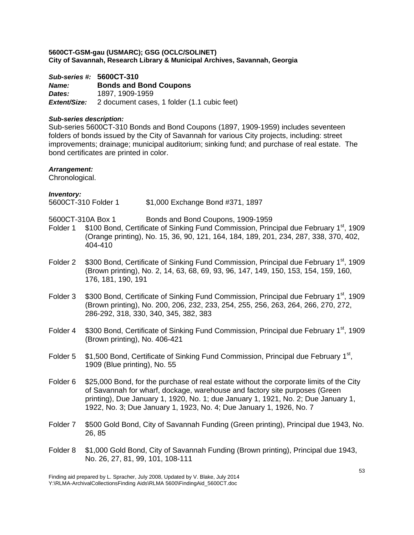*Sub-series #:* **5600CT-310** *Name:* **Bonds and Bond Coupons**  *Dates:* 1897, 1909-1959 *Extent/Size:* 2 document cases, 1 folder (1.1 cubic feet)

# *Sub-series description:*

Sub-series 5600CT-310 Bonds and Bond Coupons (1897, 1909-1959) includes seventeen folders of bonds issued by the City of Savannah for various City projects, including: street improvements; drainage; municipal auditorium; sinking fund; and purchase of real estate. The bond certificates are printed in color.

# *Arrangement:*

Chronological.

| <b>Inventory:</b>     |  |
|-----------------------|--|
| <b>ECOOCT 240 EAM</b> |  |

5600CT-310 Folder 1 \$1,000 Exchange Bond #371, 1897

- 5600CT-310A Box 1 Bonds and Bond Coupons, 1909-1959
- Folder 1 \$100 Bond, Certificate of Sinking Fund Commission, Principal due February 1<sup>st</sup>, 1909 (Orange printing), No. 15, 36, 90, 121, 164, 184, 189, 201, 234, 287, 338, 370, 402, 404-410
- Folder 2 \$300 Bond, Certificate of Sinking Fund Commission, Principal due February 1<sup>st</sup>, 1909 (Brown printing), No. 2, 14, 63, 68, 69, 93, 96, 147, 149, 150, 153, 154, 159, 160, 176, 181, 190, 191
- Folder 3 \$300 Bond, Certificate of Sinking Fund Commission, Principal due February 1<sup>st</sup>, 1909 (Brown printing), No. 200, 206, 232, 233, 254, 255, 256, 263, 264, 266, 270, 272, 286-292, 318, 330, 340, 345, 382, 383
- Folder 4 \$300 Bond, Certificate of Sinking Fund Commission, Principal due February 1<sup>st</sup>, 1909 (Brown printing), No. 406-421
- Folder 5 \$1,500 Bond, Certificate of Sinking Fund Commission, Principal due February 1<sup>st</sup>, 1909 (Blue printing), No. 55
- Folder 6 \$25,000 Bond, for the purchase of real estate without the corporate limits of the City of Savannah for wharf, dockage, warehouse and factory site purposes (Green printing), Due January 1, 1920, No. 1; due January 1, 1921, No. 2; Due January 1, 1922, No. 3; Due January 1, 1923, No. 4; Due January 1, 1926, No. 7
- Folder 7 \$500 Gold Bond, City of Savannah Funding (Green printing), Principal due 1943, No. 26, 85
- Folder 8 \$1,000 Gold Bond, City of Savannah Funding (Brown printing), Principal due 1943, No. 26, 27, 81, 99, 101, 108-111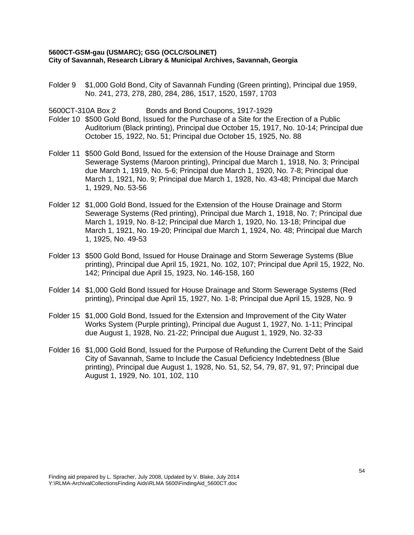Folder 9 \$1,000 Gold Bond, City of Savannah Funding (Green printing), Principal due 1959, No. 241, 273, 278, 280, 284, 286, 1517, 1520, 1597, 1703

5600CT-310A Box 2 Bonds and Bond Coupons, 1917-1929

- Folder 10 \$500 Gold Bond, Issued for the Purchase of a Site for the Erection of a Public Auditorium (Black printing), Principal due October 15, 1917, No. 10-14; Principal due October 15, 1922, No. 51; Principal due October 15, 1925, No. 88
- Folder 11 \$500 Gold Bond, Issued for the extension of the House Drainage and Storm Sewerage Systems (Maroon printing), Principal due March 1, 1918, No. 3; Principal due March 1, 1919, No. 5-6; Principal due March 1, 1920, No. 7-8; Principal due March 1, 1921, No. 9; Principal due March 1, 1928, No. 43-48; Principal due March 1, 1929, No. 53-56
- Folder 12 \$1,000 Gold Bond, Issued for the Extension of the House Drainage and Storm Sewerage Systems (Red printing), Principal due March 1, 1918, No. 7; Principal due March 1, 1919, No. 8-12; Principal due March 1, 1920, No. 13-18; Principal due March 1, 1921, No. 19-20; Principal due March 1, 1924, No. 48; Principal due March 1, 1925, No. 49-53
- Folder 13 \$500 Gold Bond, Issued for House Drainage and Storm Sewerage Systems (Blue printing), Principal due April 15, 1921, No. 102, 107; Principal due April 15, 1922, No. 142; Principal due April 15, 1923, No. 146-158, 160
- Folder 14 \$1,000 Gold Bond Issued for House Drainage and Storm Sewerage Systems (Red printing), Principal due April 15, 1927, No. 1-8; Principal due April 15, 1928, No. 9
- Folder 15 \$1,000 Gold Bond, Issued for the Extension and Improvement of the City Water Works System (Purple printing), Principal due August 1, 1927, No. 1-11; Principal due August 1, 1928, No. 21-22; Principal due August 1, 1929, No. 32-33
- Folder 16 \$1,000 Gold Bond, Issued for the Purpose of Refunding the Current Debt of the Said City of Savannah, Same to Include the Casual Deficiency Indebtedness (Blue printing), Principal due August 1, 1928, No. 51, 52, 54, 79, 87, 91, 97; Principal due August 1, 1929, No. 101, 102, 110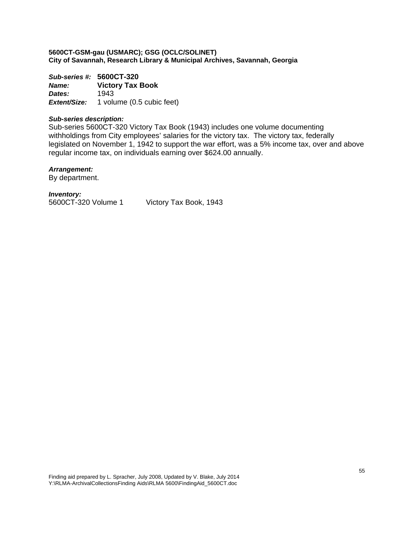*Sub-series #:* **5600CT-320** *Name:* **Victory Tax Book**  *Dates:* 1943 *Extent/Size:* 1 volume (0.5 cubic feet)

# *Sub-series description:*

Sub-series 5600CT-320 Victory Tax Book (1943) includes one volume documenting withholdings from City employees' salaries for the victory tax. The victory tax, federally legislated on November 1, 1942 to support the war effort, was a 5% income tax, over and above regular income tax, on individuals earning over \$624.00 annually.

# *Arrangement:*

By department.

# *Inventory:*

5600CT-320 Volume 1 Victory Tax Book, 1943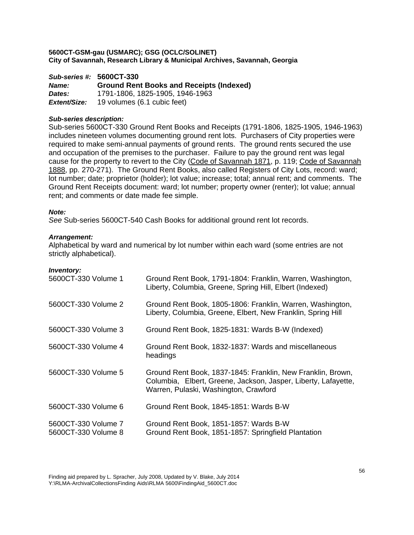*Sub-series #:* **5600CT-330** *Name:* **Ground Rent Books and Receipts (Indexed)**  *Dates:* 1791-1806, 1825-1905, 1946-1963 *Extent/Size:* 19 volumes (6.1 cubic feet)

# *Sub-series description:*

Sub-series 5600CT-330 Ground Rent Books and Receipts (1791-1806, 1825-1905, 1946-1963) includes nineteen volumes documenting ground rent lots. Purchasers of City properties were required to make semi-annual payments of ground rents. The ground rents secured the use and occupation of the premises to the purchaser. Failure to pay the ground rent was legal cause for the property to revert to the City (Code of Savannah 1871, p. 119; Code of Savannah 1888, pp. 270-271). The Ground Rent Books, also called Registers of City Lots, record: ward; lot number; date; proprietor (holder); lot value; increase; total; annual rent; and comments. The Ground Rent Receipts document: ward; lot number; property owner (renter); lot value; annual rent; and comments or date made fee simple.

# *Note:*

*See* Sub-series 5600CT-540 Cash Books for additional ground rent lot records.

# *Arrangement:*

Alphabetical by ward and numerical by lot number within each ward (some entries are not strictly alphabetical).

| ,,,,,,,,,,,,,<br>5600CT-330 Volume 1       | Ground Rent Book, 1791-1804: Franklin, Warren, Washington,<br>Liberty, Columbia, Greene, Spring Hill, Elbert (Indexed)                                                 |
|--------------------------------------------|------------------------------------------------------------------------------------------------------------------------------------------------------------------------|
| 5600CT-330 Volume 2                        | Ground Rent Book, 1805-1806: Franklin, Warren, Washington,<br>Liberty, Columbia, Greene, Elbert, New Franklin, Spring Hill                                             |
| 5600CT-330 Volume 3                        | Ground Rent Book, 1825-1831: Wards B-W (Indexed)                                                                                                                       |
| 5600CT-330 Volume 4                        | Ground Rent Book, 1832-1837: Wards and miscellaneous<br>headings                                                                                                       |
| 5600CT-330 Volume 5                        | Ground Rent Book, 1837-1845: Franklin, New Franklin, Brown,<br>Columbia, Elbert, Greene, Jackson, Jasper, Liberty, Lafayette,<br>Warren, Pulaski, Washington, Crawford |
| 5600CT-330 Volume 6                        | Ground Rent Book, 1845-1851: Wards B-W                                                                                                                                 |
| 5600CT-330 Volume 7<br>5600CT-330 Volume 8 | Ground Rent Book, 1851-1857: Wards B-W<br>Ground Rent Book, 1851-1857: Springfield Plantation                                                                          |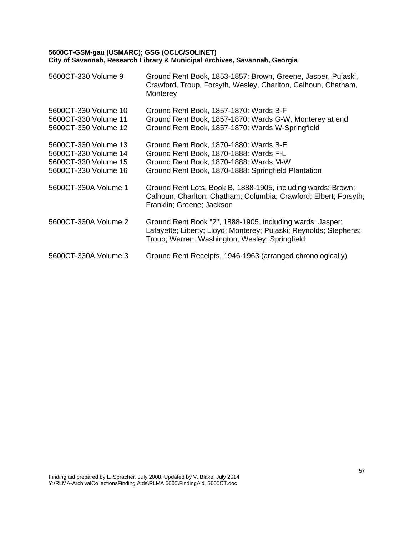| 5600CT-330 Volume 9                                                                          | Ground Rent Book, 1853-1857: Brown, Greene, Jasper, Pulaski,<br>Crawford, Troup, Forsyth, Wesley, Charlton, Calhoun, Chatham,<br>Monterey                                         |
|----------------------------------------------------------------------------------------------|-----------------------------------------------------------------------------------------------------------------------------------------------------------------------------------|
| 5600CT-330 Volume 10<br>5600CT-330 Volume 11<br>5600CT-330 Volume 12                         | Ground Rent Book, 1857-1870: Wards B-F<br>Ground Rent Book, 1857-1870: Wards G-W, Monterey at end<br>Ground Rent Book, 1857-1870: Wards W-Springfield                             |
| 5600CT-330 Volume 13<br>5600CT-330 Volume 14<br>5600CT-330 Volume 15<br>5600CT-330 Volume 16 | Ground Rent Book, 1870-1880: Wards B-E<br>Ground Rent Book, 1870-1888: Wards F-L<br>Ground Rent Book, 1870-1888: Wards M-W<br>Ground Rent Book, 1870-1888: Springfield Plantation |
| 5600CT-330A Volume 1                                                                         | Ground Rent Lots, Book B, 1888-1905, including wards: Brown;<br>Calhoun; Charlton; Chatham; Columbia; Crawford; Elbert; Forsyth;<br>Franklin; Greene; Jackson                     |
| 5600CT-330A Volume 2                                                                         | Ground Rent Book "2", 1888-1905, including wards: Jasper;<br>Lafayette; Liberty; Lloyd; Monterey; Pulaski; Reynolds; Stephens;<br>Troup; Warren; Washington; Wesley; Springfield  |
| 5600CT-330A Volume 3                                                                         | Ground Rent Receipts, 1946-1963 (arranged chronologically)                                                                                                                        |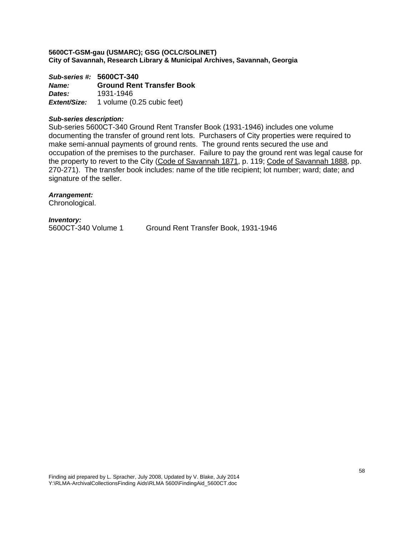*Sub-series #:* **5600CT-340** *Name:* **Ground Rent Transfer Book**  *Dates:* 1931-1946 *Extent/Size:* 1 volume (0.25 cubic feet)

### *Sub-series description:*

Sub-series 5600CT-340 Ground Rent Transfer Book (1931-1946) includes one volume documenting the transfer of ground rent lots. Purchasers of City properties were required to make semi-annual payments of ground rents. The ground rents secured the use and occupation of the premises to the purchaser. Failure to pay the ground rent was legal cause for the property to revert to the City (Code of Savannah 1871, p. 119; Code of Savannah 1888, pp. 270-271). The transfer book includes: name of the title recipient; lot number; ward; date; and signature of the seller.

*Arrangement:*  Chronological.

*Inventory:* 

5600CT-340 Volume 1 Ground Rent Transfer Book, 1931-1946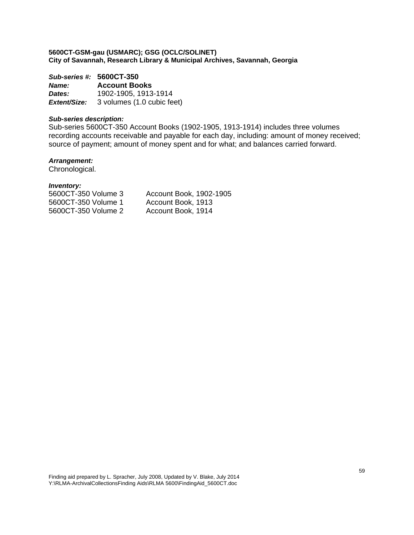# *Sub-series #:* **5600CT-350**

*Name:* **Account Books**  *Dates:* 1902-1905, 1913-1914 *Extent/Size:* 3 volumes (1.0 cubic feet)

# *Sub-series description:*

Sub-series 5600CT-350 Account Books (1902-1905, 1913-1914) includes three volumes recording accounts receivable and payable for each day, including: amount of money received; source of payment; amount of money spent and for what; and balances carried forward.

# *Arrangement:*

Chronological.

| 5600CT-350 Volume 3 | Account Book, 1902-1905 |
|---------------------|-------------------------|
| 5600CT-350 Volume 1 | Account Book, 1913      |
| 5600CT-350 Volume 2 | Account Book, 1914      |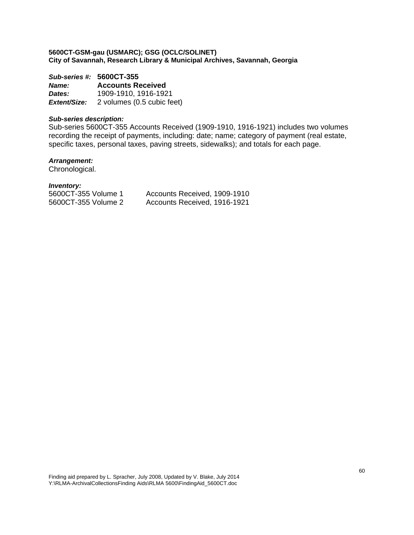# *Sub-series #:* **5600CT-355**

*Name:* **Accounts Received**  *Dates:* 1909-1910, 1916-1921 *Extent/Size:* 2 volumes (0.5 cubic feet)

# *Sub-series description:*

Sub-series 5600CT-355 Accounts Received (1909-1910, 1916-1921) includes two volumes recording the receipt of payments, including: date; name; category of payment (real estate, specific taxes, personal taxes, paving streets, sidewalks); and totals for each page.

# *Arrangement:*

Chronological.

| 5600CT-355 Volume 1 | Accounts Received, 1909-1910 |
|---------------------|------------------------------|
| 5600CT-355 Volume 2 | Accounts Received, 1916-1921 |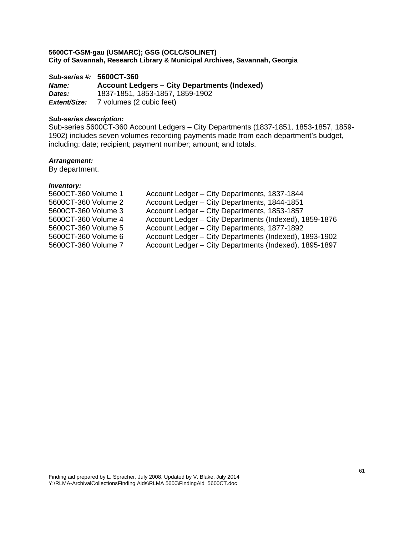*Sub-series #:* **5600CT-360** *Name:* **Account Ledgers – City Departments (Indexed)**  *Dates:* 1837-1851, 1853-1857, 1859-1902 *Extent/Size:* 7 volumes (2 cubic feet)

# *Sub-series description:*

Sub-series 5600CT-360 Account Ledgers – City Departments (1837-1851, 1853-1857, 1859- 1902) includes seven volumes recording payments made from each department's budget, including: date; recipient; payment number; amount; and totals.

# *Arrangement:*

By department.

| 5600CT-360 Volume 1 | Account Ledger – City Departments, 1837-1844           |
|---------------------|--------------------------------------------------------|
| 5600CT-360 Volume 2 | Account Ledger - City Departments, 1844-1851           |
| 5600CT-360 Volume 3 | Account Ledger - City Departments, 1853-1857           |
| 5600CT-360 Volume 4 | Account Ledger – City Departments (Indexed), 1859-1876 |
| 5600CT-360 Volume 5 | Account Ledger - City Departments, 1877-1892           |
| 5600CT-360 Volume 6 | Account Ledger - City Departments (Indexed), 1893-1902 |
| 5600CT-360 Volume 7 | Account Ledger - City Departments (Indexed), 1895-1897 |
|                     |                                                        |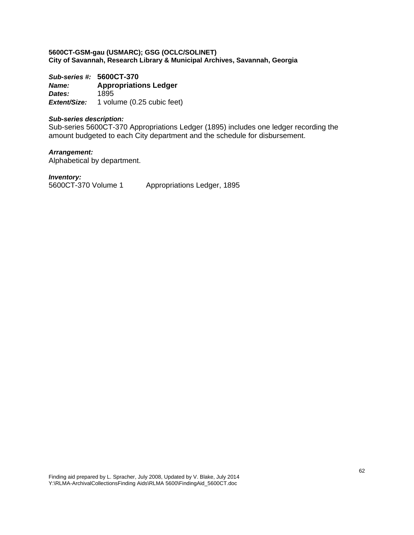*Sub-series #:* **5600CT-370** *Name:* **Appropriations Ledger**  *Dates:* 1895 *Extent/Size:* 1 volume (0.25 cubic feet)

## *Sub-series description:*

Sub-series 5600CT-370 Appropriations Ledger (1895) includes one ledger recording the amount budgeted to each City department and the schedule for disbursement.

*Arrangement:*  Alphabetical by department.

*Inventory:*  5600CT-370 Volume 1 Appropriations Ledger, 1895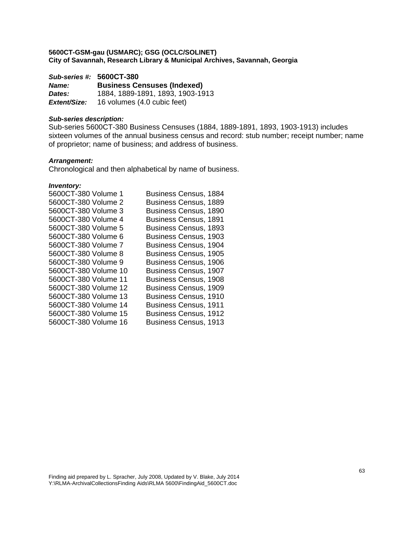*Sub-series #:* **5600CT-380**

*Name:* **Business Censuses (Indexed)**  *Dates:* 1884, 1889-1891, 1893, 1903-1913 *Extent/Size:* 16 volumes (4.0 cubic feet)

# *Sub-series description:*

Sub-series 5600CT-380 Business Censuses (1884, 1889-1891, 1893, 1903-1913) includes sixteen volumes of the annual business census and record: stub number; receipt number; name of proprietor; name of business; and address of business.

# *Arrangement:*

Chronological and then alphabetical by name of business.

| 5600CT-380 Volume 1  | <b>Business Census, 1884</b> |
|----------------------|------------------------------|
| 5600CT-380 Volume 2  | <b>Business Census, 1889</b> |
| 5600CT-380 Volume 3  | <b>Business Census, 1890</b> |
| 5600CT-380 Volume 4  | <b>Business Census, 1891</b> |
| 5600CT-380 Volume 5  | <b>Business Census, 1893</b> |
| 5600CT-380 Volume 6  | <b>Business Census, 1903</b> |
| 5600CT-380 Volume 7  | Business Census, 1904        |
| 5600CT-380 Volume 8  | <b>Business Census, 1905</b> |
| 5600CT-380 Volume 9  | <b>Business Census, 1906</b> |
| 5600CT-380 Volume 10 | <b>Business Census, 1907</b> |
| 5600CT-380 Volume 11 | <b>Business Census, 1908</b> |
| 5600CT-380 Volume 12 | <b>Business Census, 1909</b> |
| 5600CT-380 Volume 13 | <b>Business Census, 1910</b> |
| 5600CT-380 Volume 14 | <b>Business Census, 1911</b> |
| 5600CT-380 Volume 15 | <b>Business Census, 1912</b> |
| 5600CT-380 Volume 16 | <b>Business Census, 1913</b> |
|                      |                              |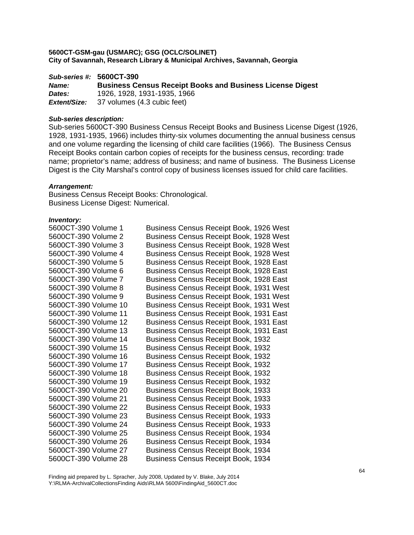*Sub-series #:* **5600CT-390** *Name:* **Business Census Receipt Books and Business License Digest**  *Dates:* 1926, 1928, 1931-1935, 1966 *Extent/Size:* 37 volumes (4.3 cubic feet)

#### *Sub-series description:*

Sub-series 5600CT-390 Business Census Receipt Books and Business License Digest (1926, 1928, 1931-1935, 1966) includes thirty-six volumes documenting the annual business census and one volume regarding the licensing of child care facilities (1966). The Business Census Receipt Books contain carbon copies of receipts for the business census, recording: trade name; proprietor's name; address of business; and name of business. The Business License Digest is the City Marshal's control copy of business licenses issued for child care facilities.

#### *Arrangement:*

Business Census Receipt Books: Chronological. Business License Digest: Numerical.

| Business Census Receipt Book, 1926 West        |
|------------------------------------------------|
| Business Census Receipt Book, 1928 West        |
| Business Census Receipt Book, 1928 West        |
| Business Census Receipt Book, 1928 West        |
| Business Census Receipt Book, 1928 East        |
| Business Census Receipt Book, 1928 East        |
| Business Census Receipt Book, 1928 East        |
| Business Census Receipt Book, 1931 West        |
| Business Census Receipt Book, 1931 West        |
| <b>Business Census Receipt Book, 1931 West</b> |
| Business Census Receipt Book, 1931 East        |
| Business Census Receipt Book, 1931 East        |
| Business Census Receipt Book, 1931 East        |
| <b>Business Census Receipt Book, 1932</b>      |
| <b>Business Census Receipt Book, 1932</b>      |
| <b>Business Census Receipt Book, 1932</b>      |
| <b>Business Census Receipt Book, 1932</b>      |
| <b>Business Census Receipt Book, 1932</b>      |
| <b>Business Census Receipt Book, 1932</b>      |
| <b>Business Census Receipt Book, 1933</b>      |
| <b>Business Census Receipt Book, 1933</b>      |
| <b>Business Census Receipt Book, 1933</b>      |
| <b>Business Census Receipt Book, 1933</b>      |
| <b>Business Census Receipt Book, 1933</b>      |
| Business Census Receipt Book, 1934             |
| Business Census Receipt Book, 1934             |
| <b>Business Census Receipt Book, 1934</b>      |
| <b>Business Census Receipt Book, 1934</b>      |
|                                                |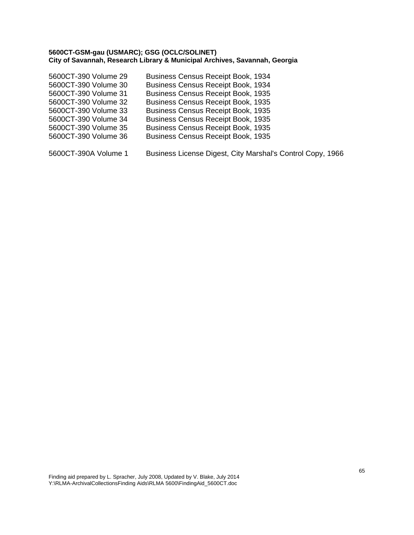| 5600CT-390 Volume 29 | <b>Business Census Receipt Book, 1934</b> |
|----------------------|-------------------------------------------|
| 5600CT-390 Volume 30 | <b>Business Census Receipt Book, 1934</b> |
| 5600CT-390 Volume 31 | <b>Business Census Receipt Book, 1935</b> |
| 5600CT-390 Volume 32 | <b>Business Census Receipt Book, 1935</b> |
| 5600CT-390 Volume 33 | <b>Business Census Receipt Book, 1935</b> |
| 5600CT-390 Volume 34 | <b>Business Census Receipt Book, 1935</b> |
| 5600CT-390 Volume 35 | <b>Business Census Receipt Book, 1935</b> |
| 5600CT-390 Volume 36 | <b>Business Census Receipt Book, 1935</b> |
|                      |                                           |

5600CT-390A Volume 1 Business License Digest, City Marshal's Control Copy, 1966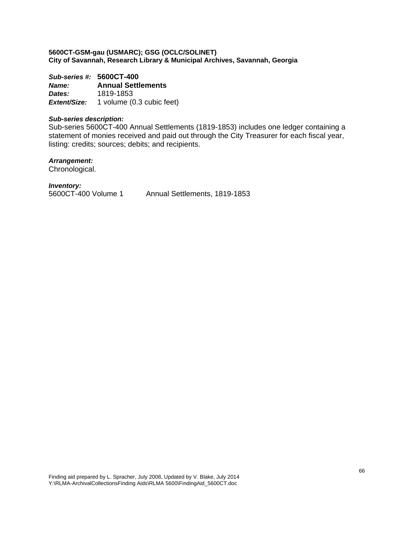*Sub-series #:* **5600CT-400** *Name:* **Annual Settlements**  *Dates:* 1819-1853 *Extent/Size:* 1 volume (0.3 cubic feet)

# *Sub-series description:*

Sub-series 5600CT-400 Annual Settlements (1819-1853) includes one ledger containing a statement of monies received and paid out through the City Treasurer for each fiscal year, listing: credits; sources; debits; and recipients.

*Arrangement:* 

Chronological.

*Inventory:* 

5600CT-400 Volume 1 Annual Settlements, 1819-1853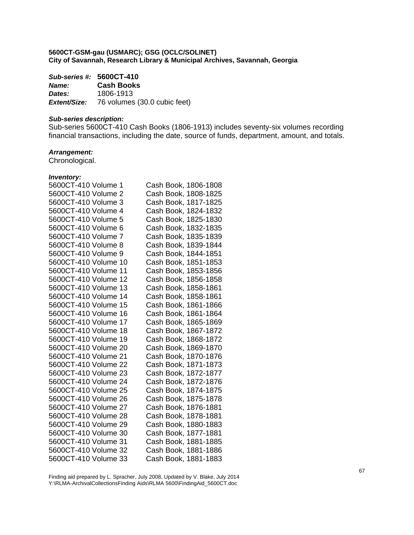|              | Sub-series #: 5600CT-410                         |  |
|--------------|--------------------------------------------------|--|
| <b>Name:</b> | <b>Cash Books</b>                                |  |
| Dates:       | 1806-1913                                        |  |
|              | <b>Extent/Size:</b> 76 volumes (30.0 cubic feet) |  |

#### *Sub-series description:*

Sub-series 5600CT-410 Cash Books (1806-1913) includes seventy-six volumes recording financial transactions, including the date, source of funds, department, amount, and totals.

# *Arrangement:*

Chronological.

#### *Inventory:*

| 5600CT-410 Volume 1  | Cash Book, 1806-1808 |
|----------------------|----------------------|
| 5600CT-410 Volume 2  | Cash Book, 1808-1825 |
| 5600CT-410 Volume 3  | Cash Book, 1817-1825 |
| 5600CT-410 Volume 4  | Cash Book, 1824-1832 |
| 5600CT-410 Volume 5  | Cash Book, 1825-1830 |
| 5600CT-410 Volume 6  | Cash Book, 1832-1835 |
| 5600CT-410 Volume 7  | Cash Book, 1835-1839 |
| 5600CT-410 Volume 8  | Cash Book, 1839-1844 |
| 5600CT-410 Volume 9  | Cash Book, 1844-1851 |
| 5600CT-410 Volume 10 | Cash Book, 1851-1853 |
| 5600CT-410 Volume 11 | Cash Book, 1853-1856 |
| 5600CT-410 Volume 12 | Cash Book, 1856-1858 |
| 5600CT-410 Volume 13 | Cash Book, 1858-1861 |
| 5600CT-410 Volume 14 | Cash Book, 1858-1861 |
| 5600CT-410 Volume 15 | Cash Book, 1861-1866 |
| 5600CT-410 Volume 16 | Cash Book, 1861-1864 |
| 5600CT-410 Volume 17 | Cash Book, 1865-1869 |
| 5600CT-410 Volume 18 | Cash Book, 1867-1872 |
| 5600CT-410 Volume 19 | Cash Book, 1868-1872 |
| 5600CT-410 Volume 20 | Cash Book, 1869-1870 |
| 5600CT-410 Volume 21 | Cash Book, 1870-1876 |
| 5600CT-410 Volume 22 | Cash Book, 1871-1873 |
| 5600CT-410 Volume 23 | Cash Book, 1872-1877 |
| 5600CT-410 Volume 24 | Cash Book, 1872-1876 |
| 5600CT-410 Volume 25 | Cash Book, 1874-1875 |
| 5600CT-410 Volume 26 | Cash Book, 1875-1878 |
| 5600CT-410 Volume 27 | Cash Book, 1876-1881 |
| 5600CT-410 Volume 28 | Cash Book, 1878-1881 |
| 5600CT-410 Volume 29 | Cash Book, 1880-1883 |
| 5600CT-410 Volume 30 | Cash Book, 1877-1881 |
| 5600CT-410 Volume 31 | Cash Book, 1881-1885 |
| 5600CT-410 Volume 32 | Cash Book, 1881-1886 |
| 5600CT-410 Volume 33 | Cash Book, 1881-1883 |

Finding aid prepared by L. Spracher, July 2008, Updated by V. Blake, July 2014 Y:\RLMA-ArchivalCollectionsFinding Aids\RLMA 5600\FindingAid\_5600CT.doc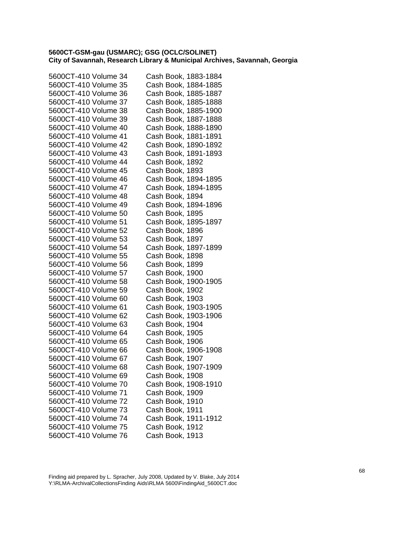| 5600CT-410 Volume 34 | Cash Book, 1883-1884 |
|----------------------|----------------------|
| 5600CT-410 Volume 35 | Cash Book, 1884-1885 |
| 5600CT-410 Volume 36 | Cash Book, 1885-1887 |
| 5600CT-410 Volume 37 | Cash Book, 1885-1888 |
| 5600CT-410 Volume 38 | Cash Book, 1885-1900 |
| 5600CT-410 Volume 39 | Cash Book, 1887-1888 |
| 5600CT-410 Volume 40 | Cash Book, 1888-1890 |
| 5600CT-410 Volume 41 | Cash Book, 1881-1891 |
| 5600CT-410 Volume 42 | Cash Book, 1890-1892 |
| 5600CT-410 Volume 43 | Cash Book, 1891-1893 |
| 5600CT-410 Volume 44 | Cash Book, 1892      |
| 5600CT-410 Volume 45 | Cash Book, 1893      |
| 5600CT-410 Volume 46 | Cash Book, 1894-1895 |
| 5600CT-410 Volume 47 | Cash Book, 1894-1895 |
| 5600CT-410 Volume 48 | Cash Book, 1894      |
| 5600CT-410 Volume 49 | Cash Book, 1894-1896 |
| 5600CT-410 Volume 50 | Cash Book, 1895      |
| 5600CT-410 Volume 51 | Cash Book, 1895-1897 |
| 5600CT-410 Volume 52 | Cash Book, 1896      |
| 5600CT-410 Volume 53 | Cash Book, 1897      |
| 5600CT-410 Volume 54 | Cash Book, 1897-1899 |
| 5600CT-410 Volume 55 | Cash Book, 1898      |
| 5600CT-410 Volume 56 | Cash Book, 1899      |
| 5600CT-410 Volume 57 | Cash Book, 1900      |
| 5600CT-410 Volume 58 | Cash Book, 1900-1905 |
| 5600CT-410 Volume 59 | Cash Book, 1902      |
| 5600CT-410 Volume 60 | Cash Book, 1903      |
| 5600CT-410 Volume 61 | Cash Book, 1903-1905 |
| 5600CT-410 Volume 62 | Cash Book, 1903-1906 |
| 5600CT-410 Volume 63 | Cash Book, 1904      |
| 5600CT-410 Volume 64 | Cash Book, 1905      |
| 5600CT-410 Volume 65 | Cash Book, 1906      |
| 5600CT-410 Volume 66 | Cash Book, 1906-1908 |
| 5600CT-410 Volume 67 | Cash Book, 1907      |
| 5600CT-410 Volume 68 | Cash Book, 1907-1909 |
| 5600CT-410 Volume 69 | Cash Book, 1908      |
| 5600CT-410 Volume 70 | Cash Book, 1908-1910 |
| 5600CT-410 Volume 71 | Cash Book, 1909      |
| 5600CT-410 Volume 72 | Cash Book, 1910      |
| 5600CT-410 Volume 73 | Cash Book, 1911      |
| 5600CT-410 Volume 74 | Cash Book, 1911-1912 |
| 5600CT-410 Volume 75 | Cash Book, 1912      |
| 5600CT-410 Volume 76 | Cash Book, 1913      |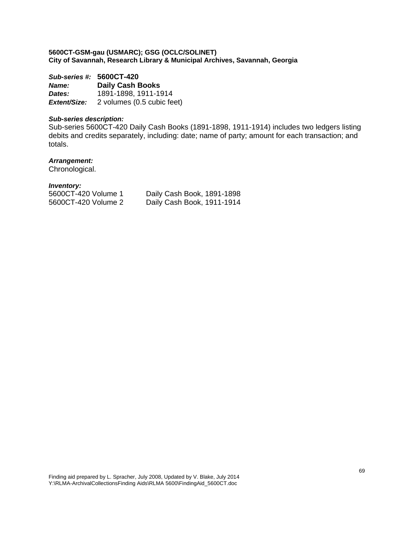| Sub-series #: 5600CT-420 |                            |  |
|--------------------------|----------------------------|--|
| <b>Name:</b>             | <b>Daily Cash Books</b>    |  |
| Dates:                   | 1891-1898, 1911-1914       |  |
| Extent/Size:             | 2 volumes (0.5 cubic feet) |  |

# *Sub-series description:*

Sub-series 5600CT-420 Daily Cash Books (1891-1898, 1911-1914) includes two ledgers listing debits and credits separately, including: date; name of party; amount for each transaction; and totals.

# *Arrangement:*

Chronological.

|                     | Daily Cash Book, 1891-1898 |
|---------------------|----------------------------|
| 5600CT-420 Volume 2 | Daily Cash Book, 1911-1914 |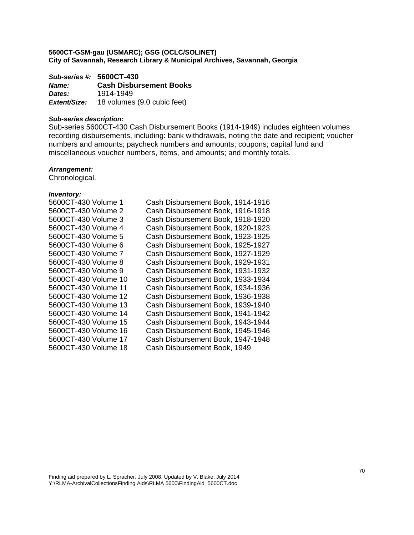*Sub-series #:* **5600CT-430** *Name:* **Cash Disbursement Books**  *Dates:* 1914-1949 *Extent/Size:* 18 volumes (9.0 cubic feet)

## *Sub-series description:*

Sub-series 5600CT-430 Cash Disbursement Books (1914-1949) includes eighteen volumes recording disbursements, including: bank withdrawals, noting the date and recipient; voucher numbers and amounts; paycheck numbers and amounts; coupons; capital fund and miscellaneous voucher numbers, items, and amounts; and monthly totals.

#### *Arrangement:*

Chronological.

| 5600CT-430 Volume 1  | Cash Disbursement Book, 1914-1916 |
|----------------------|-----------------------------------|
| 5600CT-430 Volume 2  | Cash Disbursement Book, 1916-1918 |
| 5600CT-430 Volume 3  | Cash Disbursement Book, 1918-1920 |
| 5600CT-430 Volume 4  | Cash Disbursement Book, 1920-1923 |
|                      | Cash Disbursement Book, 1923-1925 |
| 5600CT-430 Volume 6  | Cash Disbursement Book, 1925-1927 |
| 5600CT-430 Volume 7  | Cash Disbursement Book, 1927-1929 |
| 5600CT-430 Volume 8  | Cash Disbursement Book, 1929-1931 |
| 5600CT-430 Volume 9  | Cash Disbursement Book, 1931-1932 |
| 5600CT-430 Volume 10 | Cash Disbursement Book, 1933-1934 |
|                      | Cash Disbursement Book, 1934-1936 |
| 5600CT-430 Volume 12 | Cash Disbursement Book, 1936-1938 |
| 5600CT-430 Volume 13 | Cash Disbursement Book, 1939-1940 |
| 5600CT-430 Volume 14 | Cash Disbursement Book, 1941-1942 |
| 5600CT-430 Volume 15 | Cash Disbursement Book, 1943-1944 |
| 5600CT-430 Volume 16 | Cash Disbursement Book, 1945-1946 |
| 5600CT-430 Volume 17 | Cash Disbursement Book, 1947-1948 |
| 5600CT-430 Volume 18 | Cash Disbursement Book, 1949      |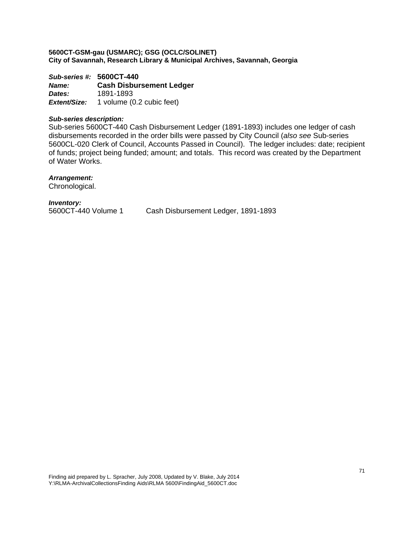*Sub-series #:* **5600CT-440** *Name:* **Cash Disbursement Ledger**  *Dates:* 1891-1893 *Extent/Size:* 1 volume (0.2 cubic feet)

### *Sub-series description:*

Sub-series 5600CT-440 Cash Disbursement Ledger (1891-1893) includes one ledger of cash disbursements recorded in the order bills were passed by City Council (*also see* Sub-series 5600CL-020 Clerk of Council, Accounts Passed in Council). The ledger includes: date; recipient of funds; project being funded; amount; and totals. This record was created by the Department of Water Works.

# *Arrangement:*

Chronological.

*Inventory:* 

5600CT-440 Volume 1 Cash Disbursement Ledger, 1891-1893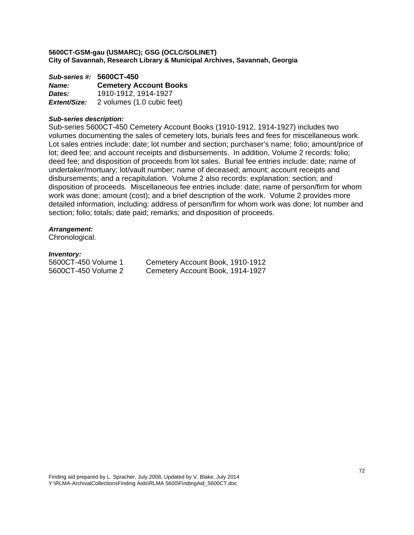*Sub-series #:* **5600CT-450** *Name:* **Cemetery Account Books**  *Dates:* 1910-1912, 1914-1927 *Extent/Size:* 2 volumes (1.0 cubic feet)

### *Sub-series description:*

Sub-series 5600CT-450 Cemetery Account Books (1910-1912, 1914-1927) includes two volumes documenting the sales of cemetery lots, burials fees and fees for miscellaneous work. Lot sales entries include: date; lot number and section; purchaser's name; folio; amount/price of lot; deed fee; and account receipts and disbursements. In addition, Volume 2 records: folio; deed fee; and disposition of proceeds from lot sales. Burial fee entries include: date; name of undertaker/mortuary; lot/vault number; name of deceased; amount; account receipts and disbursements; and a recapitulation. Volume 2 also records: explanation: section; and disposition of proceeds. Miscellaneous fee entries include: date; name of person/firm for whom work was done; amount (cost); and a brief description of the work. Volume 2 provides more detailed information, including: address of person/firm for whom work was done; lot number and section; folio; totals; date paid; remarks; and disposition of proceeds.

# *Arrangement:*

Chronological.

# *Inventory:*

5600CT-450 Volume 1 Cemetery Account Book, 1910-1912 5600CT-450 Volume 2 Cemetery Account Book, 1914-1927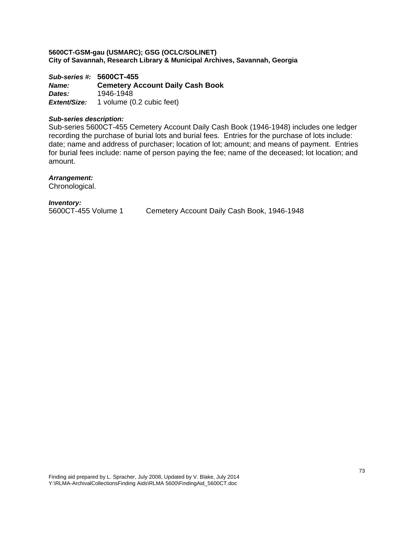*Sub-series #:* **5600CT-455** *Name:* **Cemetery Account Daily Cash Book**  *Dates:* 1946-1948 *Extent/Size:* 1 volume (0.2 cubic feet)

## *Sub-series description:*

Sub-series 5600CT-455 Cemetery Account Daily Cash Book (1946-1948) includes one ledger recording the purchase of burial lots and burial fees. Entries for the purchase of lots include: date; name and address of purchaser; location of lot; amount; and means of payment. Entries for burial fees include: name of person paying the fee; name of the deceased; lot location; and amount.

# *Arrangement:*

Chronological.

# *Inventory:*

5600CT-455 Volume 1 Cemetery Account Daily Cash Book, 1946-1948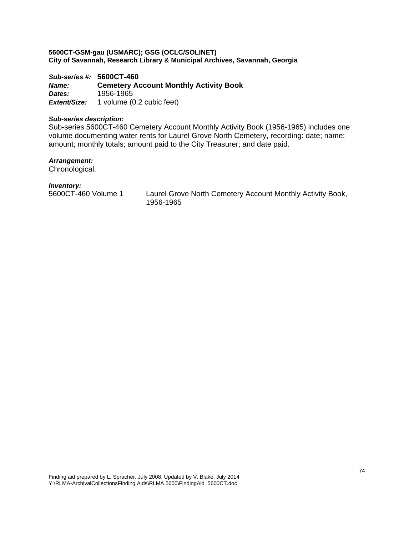*Sub-series #:* **5600CT-460** *Name:* **Cemetery Account Monthly Activity Book**  *Dates:* 1956-1965 **Extent/Size:** 1 volume (0.2 cubic feet)

# *Sub-series description:*

Sub-series 5600CT-460 Cemetery Account Monthly Activity Book (1956-1965) includes one volume documenting water rents for Laurel Grove North Cemetery, recording: date; name; amount; monthly totals; amount paid to the City Treasurer; and date paid.

# *Arrangement:*

Chronological.

# *Inventory:*

5600CT-460 Volume 1 Laurel Grove North Cemetery Account Monthly Activity Book, 1956-1965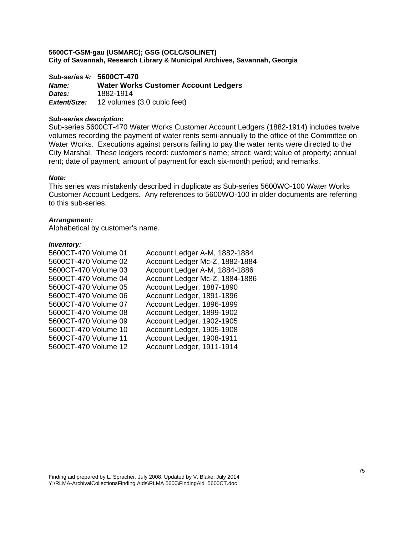*Sub-series #:* **5600CT-470** *Name:* **Water Works Customer Account Ledgers**  *Dates:* 1882-1914 *Extent/Size:* 12 volumes (3.0 cubic feet)

## *Sub-series description:*

Sub-series 5600CT-470 Water Works Customer Account Ledgers (1882-1914) includes twelve volumes recording the payment of water rents semi-annually to the office of the Committee on Water Works. Executions against persons failing to pay the water rents were directed to the City Marshal. These ledgers record: customer's name; street; ward; value of property; annual rent; date of payment; amount of payment for each six-month period; and remarks.

# *Note:*

This series was mistakenly described in duplicate as Sub-series 5600WO-100 Water Works Customer Account Ledgers. Any references to 5600WO-100 in older documents are referring to this sub-series.

## *Arrangement:*

Alphabetical by customer's name.

| 5600CT-470 Volume 01 | Account Ledger A-M, 1882-1884  |
|----------------------|--------------------------------|
| 5600CT-470 Volume 02 | Account Ledger Mc-Z, 1882-1884 |
| 5600CT-470 Volume 03 | Account Ledger A-M, 1884-1886  |
| 5600CT-470 Volume 04 | Account Ledger Mc-Z, 1884-1886 |
| 5600CT-470 Volume 05 | Account Ledger, 1887-1890      |
| 5600CT-470 Volume 06 | Account Ledger, 1891-1896      |
| 5600CT-470 Volume 07 | Account Ledger, 1896-1899      |
| 5600CT-470 Volume 08 | Account Ledger, 1899-1902      |
| 5600CT-470 Volume 09 | Account Ledger, 1902-1905      |
| 5600CT-470 Volume 10 | Account Ledger, 1905-1908      |
| 5600CT-470 Volume 11 | Account Ledger, 1908-1911      |
| 5600CT-470 Volume 12 | Account Ledger, 1911-1914      |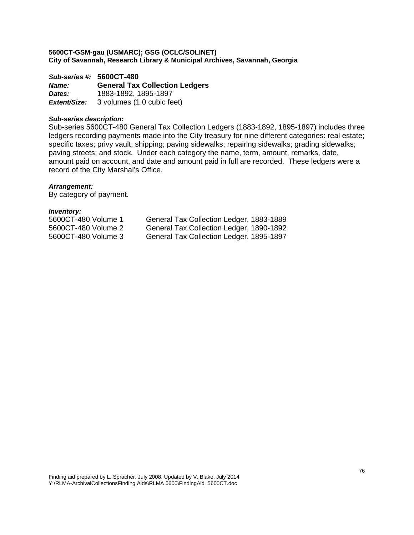*Sub-series #:* **5600CT-480** *Name:* **General Tax Collection Ledgers**  *Dates:* 1883-1892, 1895-1897 *Extent/Size:* 3 volumes (1.0 cubic feet)

# *Sub-series description:*

Sub-series 5600CT-480 General Tax Collection Ledgers (1883-1892, 1895-1897) includes three ledgers recording payments made into the City treasury for nine different categories: real estate; specific taxes; privy vault; shipping; paving sidewalks; repairing sidewalks; grading sidewalks; paving streets; and stock. Under each category the name, term, amount, remarks, date, amount paid on account, and date and amount paid in full are recorded. These ledgers were a record of the City Marshal's Office.

## *Arrangement:*

By category of payment.

| 5600CT-480 Volume 1 | General Tax Collection Ledger, 1883-1889 |
|---------------------|------------------------------------------|
| 5600CT-480 Volume 2 | General Tax Collection Ledger, 1890-1892 |
| 5600CT-480 Volume 3 | General Tax Collection Ledger, 1895-1897 |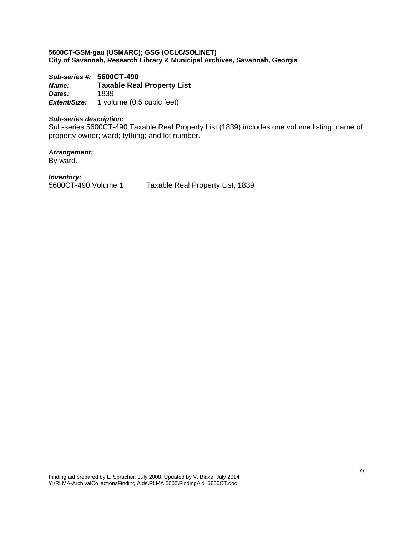*Sub-series #:* **5600CT-490** *Name:* **Taxable Real Property List**  *Dates:* 1839 *Extent/Size:* 1 volume (0.5 cubic feet)

# *Sub-series description:*

Sub-series 5600CT-490 Taxable Real Property List (1839) includes one volume listing: name of property owner; ward; tything; and lot number.

*Arrangement:* 

By ward.

*Inventory:* 

5600CT-490 Volume 1 Taxable Real Property List, 1839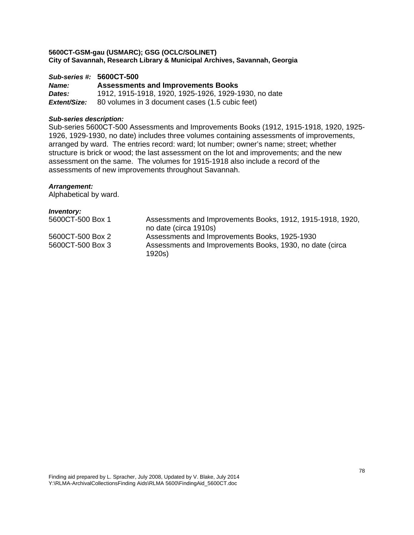# *Sub-series #:* **5600CT-500**

*Name:* **Assessments and Improvements Books**  *Dates:* 1912, 1915-1918, 1920, 1925-1926, 1929-1930, no date *Extent/Size:* 80 volumes in 3 document cases (1.5 cubic feet)

# *Sub-series description:*

Sub-series 5600CT-500 Assessments and Improvements Books (1912, 1915-1918, 1920, 1925- 1926, 1929-1930, no date) includes three volumes containing assessments of improvements, arranged by ward. The entries record: ward; lot number; owner's name; street; whether structure is brick or wood; the last assessment on the lot and improvements; and the new assessment on the same. The volumes for 1915-1918 also include a record of the assessments of new improvements throughout Savannah.

# *Arrangement:*

Alphabetical by ward.

| <i>Inventory:</i> |                                                                                     |
|-------------------|-------------------------------------------------------------------------------------|
| 5600CT-500 Box 1  | Assessments and Improvements Books, 1912, 1915-1918, 1920,<br>no date (circa 1910s) |
| 5600CT-500 Box 2  | Assessments and Improvements Books, 1925-1930                                       |
| 5600CT-500 Box 3  | Assessments and Improvements Books, 1930, no date (circa<br>1920s)                  |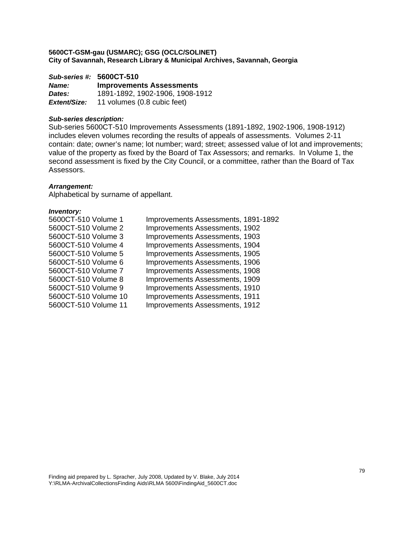*Sub-series #:* **5600CT-510** *Name:* **Improvements Assessments**  *Dates:* 1891-1892, 1902-1906, 1908-1912 *Extent/Size:* 11 volumes (0.8 cubic feet)

# *Sub-series description:*

Sub-series 5600CT-510 Improvements Assessments (1891-1892, 1902-1906, 1908-1912) includes eleven volumes recording the results of appeals of assessments. Volumes 2-11 contain: date; owner's name; lot number; ward; street; assessed value of lot and improvements; value of the property as fixed by the Board of Tax Assessors; and remarks. In Volume 1, the second assessment is fixed by the City Council, or a committee, rather than the Board of Tax Assessors.

## *Arrangement:*

Alphabetical by surname of appellant.

| 5600CT-510 Volume 1  | Improvements Assessments, 1891-1892 |
|----------------------|-------------------------------------|
| 5600CT-510 Volume 2  | Improvements Assessments, 1902      |
| 5600CT-510 Volume 3  | Improvements Assessments, 1903      |
| 5600CT-510 Volume 4  | Improvements Assessments, 1904      |
| 5600CT-510 Volume 5  | Improvements Assessments, 1905      |
| 5600CT-510 Volume 6  | Improvements Assessments, 1906      |
| 5600CT-510 Volume 7  | Improvements Assessments, 1908      |
| 5600CT-510 Volume 8  | Improvements Assessments, 1909      |
| 5600CT-510 Volume 9  | Improvements Assessments, 1910      |
| 5600CT-510 Volume 10 | Improvements Assessments, 1911      |
| 5600CT-510 Volume 11 | Improvements Assessments, 1912      |
|                      |                                     |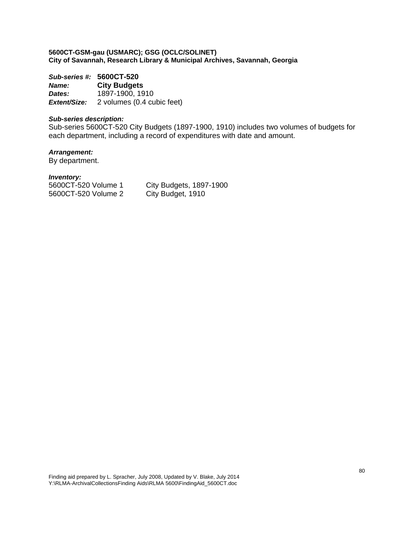*Sub-series #:* **5600CT-520** *Name:* **City Budgets**  *Dates:* 1897-1900, 1910 *Extent/Size:* 2 volumes (0.4 cubic feet)

# *Sub-series description:*

Sub-series 5600CT-520 City Budgets (1897-1900, 1910) includes two volumes of budgets for each department, including a record of expenditures with date and amount.

# *Arrangement:*

By department.

#### *Inventory:*

5600CT-520 Volume 2 City Budget, 1910

5600CT-520 Volume 1 City Budgets, 1897-1900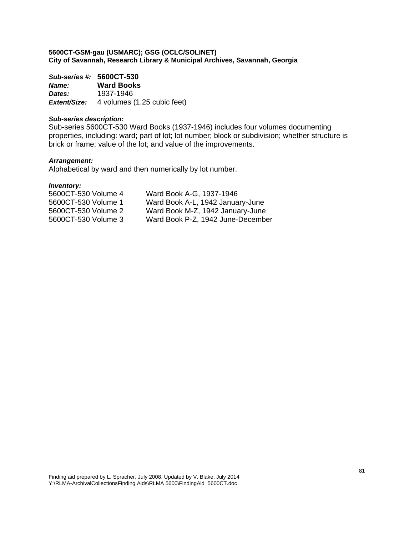*Sub-series #:* **5600CT-530** *Name:* **Ward Books**  *Dates:* 1937-1946 *Extent/Size:* 4 volumes (1.25 cubic feet)

# *Sub-series description:*

Sub-series 5600CT-530 Ward Books (1937-1946) includes four volumes documenting properties, including: ward; part of lot; lot number; block or subdivision; whether structure is brick or frame; value of the lot; and value of the improvements.

# *Arrangement:*

Alphabetical by ward and then numerically by lot number.

| 5600CT-530 Volume 4 | Ward Book A-G, 1937-1946          |
|---------------------|-----------------------------------|
| 5600CT-530 Volume 1 | Ward Book A-L, 1942 January-June  |
| 5600CT-530 Volume 2 | Ward Book M-Z, 1942 January-June  |
| 5600CT-530 Volume 3 | Ward Book P-Z, 1942 June-December |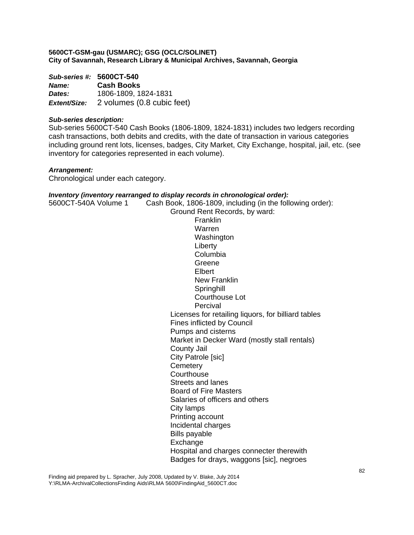| Sub-series #: 5600CT-540 |                            |  |
|--------------------------|----------------------------|--|
| <b>Name:</b>             | <b>Cash Books</b>          |  |
| Dates:                   | 1806-1809, 1824-1831       |  |
| Extent/Size:             | 2 volumes (0.8 cubic feet) |  |

# *Sub-series description:*

Sub-series 5600CT-540 Cash Books (1806-1809, 1824-1831) includes two ledgers recording cash transactions, both debits and credits, with the date of transaction in various categories including ground rent lots, licenses, badges, City Market, City Exchange, hospital, jail, etc. (see inventory for categories represented in each volume).

# *Arrangement:*

Chronological under each category.

## *Inventory (inventory rearranged to display records in chronological order):*

| 5600CT-540A Volume 1 | Cash Book, 1806-1809, including (in the following order): |
|----------------------|-----------------------------------------------------------|
|                      | Ground Rent Records, by ward:                             |
|                      | Franklin                                                  |
|                      | Warren                                                    |
|                      | Washington                                                |
|                      | Liberty                                                   |
|                      | Columbia                                                  |
|                      | Greene                                                    |
|                      | Elbert                                                    |
|                      | New Franklin                                              |
|                      | Springhill                                                |
|                      | <b>Courthouse Lot</b>                                     |
|                      | Percival                                                  |
|                      | Licenses for retailing liquors, for billiard tables       |
|                      | Fines inflicted by Council                                |
|                      | Pumps and cisterns                                        |
|                      | Market in Decker Ward (mostly stall rentals)              |
|                      | <b>County Jail</b>                                        |
|                      | City Patrole [sic]                                        |
|                      | Cemetery                                                  |
|                      | Courthouse                                                |
|                      | Streets and lanes                                         |
|                      | <b>Board of Fire Masters</b>                              |
|                      | Salaries of officers and others                           |
|                      | City lamps                                                |
|                      | Printing account                                          |
|                      | Incidental charges                                        |
|                      | <b>Bills payable</b>                                      |
|                      | Exchange                                                  |
|                      | Hospital and charges connecter therewith                  |
|                      | Badges for drays, waggons [sic], negroes                  |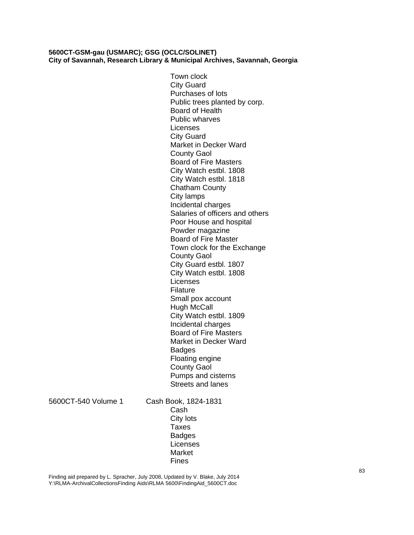Town clock City Guard Purchases of lots Public trees planted by corp. Board of Health Public wharves Licenses City Guard Market in Decker Ward County Gaol Board of Fire Masters City Watch estbl. 1808 City Watch estbl. 1818 Chatham County City lamps Incidental charges Salaries of officers and others Poor House and hospital Powder magazine Board of Fire Master Town clock for the Exchange County Gaol City Guard estbl. 1807 City Watch estbl. 1808 Licenses Filature Small pox account Hugh McCall City Watch estbl. 1809 Incidental charges Board of Fire Masters Market in Decker Ward **Badges** Floating engine County Gaol Pumps and cisterns Streets and lanes

5600CT-540 Volume 1 Cash Book, 1824-1831 Cash City lots Taxes Badges Licenses Market Fines

Finding aid prepared by L. Spracher, July 2008, Updated by V. Blake, July 2014 Y:\RLMA-ArchivalCollectionsFinding Aids\RLMA 5600\FindingAid\_5600CT.doc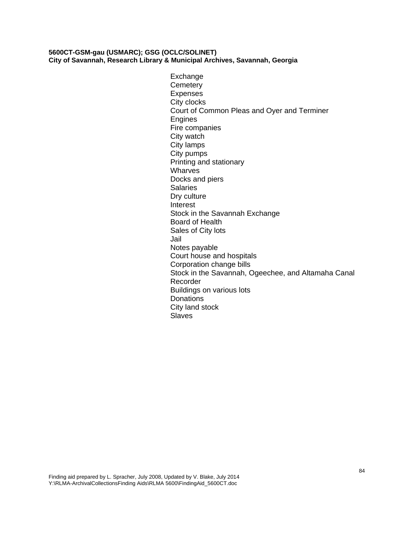Exchange **Cemetery** Expenses City clocks Court of Common Pleas and Oyer and Terminer **Engines** Fire companies City watch City lamps City pumps Printing and stationary Wharves Docks and piers **Salaries** Dry culture Interest Stock in the Savannah Exchange Board of Health Sales of City lots Jail Notes payable Court house and hospitals Corporation change bills Stock in the Savannah, Ogeechee, and Altamaha Canal Recorder Buildings on various lots **Donations** City land stock Slaves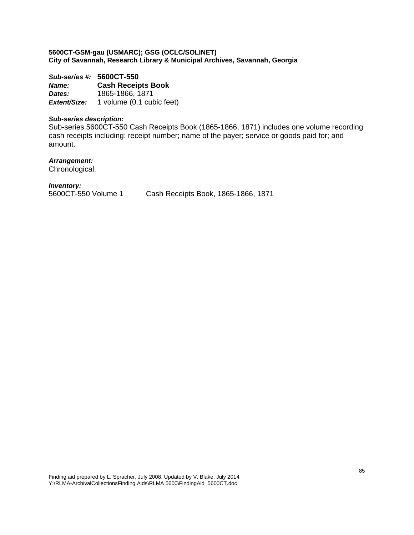*Sub-series #:* **5600CT-550** *Name:* **Cash Receipts Book**  *Dates:* 1865-1866, 1871 *Extent/Size:* 1 volume (0.1 cubic feet)

# *Sub-series description:*

Sub-series 5600CT-550 Cash Receipts Book (1865-1866, 1871) includes one volume recording cash receipts including: receipt number; name of the payer; service or goods paid for; and amount.

# *Arrangement:*

Chronological.

# *Inventory:*

5600CT-550 Volume 1 Cash Receipts Book, 1865-1866, 1871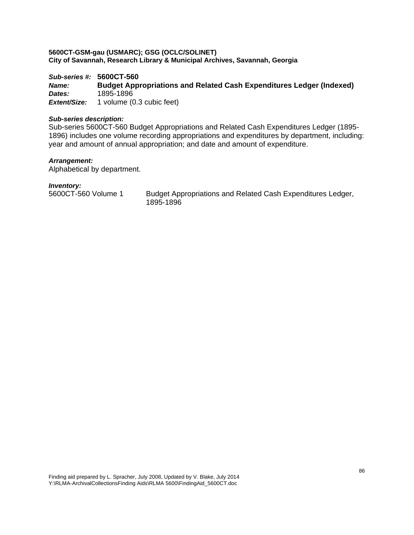*Sub-series #:* **5600CT-560**  *Name:* **Budget Appropriations and Related Cash Expenditures Ledger (Indexed)**  *Dates:* 1895-1896 *Extent/Size:* 1 volume (0.3 cubic feet)

# *Sub-series description:*

Sub-series 5600CT-560 Budget Appropriations and Related Cash Expenditures Ledger (1895- 1896) includes one volume recording appropriations and expenditures by department, including: year and amount of annual appropriation; and date and amount of expenditure.

# *Arrangement:*

Alphabetical by department.

# *Inventory:*

5600CT-560 Volume 1 Budget Appropriations and Related Cash Expenditures Ledger, 1895-1896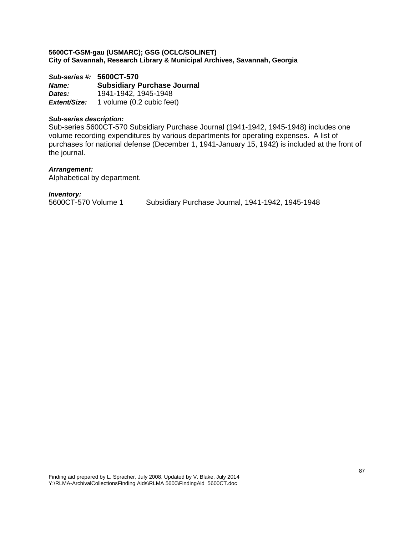*Sub-series #:* **5600CT-570** *Name:* **Subsidiary Purchase Journal**  *Dates:* 1941-1942, 1945-1948 *Extent/Size:* 1 volume (0.2 cubic feet)

# *Sub-series description:*

Sub-series 5600CT-570 Subsidiary Purchase Journal (1941-1942, 1945-1948) includes one volume recording expenditures by various departments for operating expenses. A list of purchases for national defense (December 1, 1941-January 15, 1942) is included at the front of the journal.

## *Arrangement:*

Alphabetical by department.

*Inventory:* 

Subsidiary Purchase Journal, 1941-1942, 1945-1948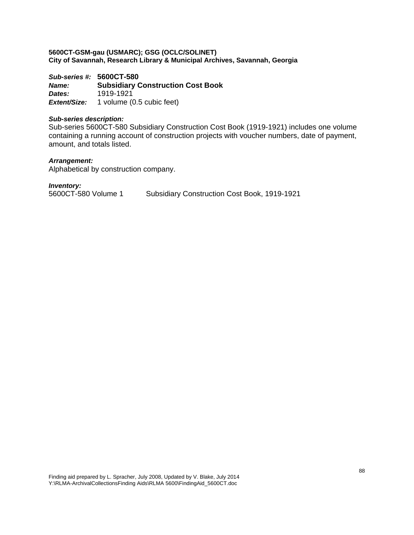*Sub-series #:* **5600CT-580** *Name:* **Subsidiary Construction Cost Book**  *Dates:* 1919-1921 *Extent/Size:* 1 volume (0.5 cubic feet)

# *Sub-series description:*

Sub-series 5600CT-580 Subsidiary Construction Cost Book (1919-1921) includes one volume containing a running account of construction projects with voucher numbers, date of payment, amount, and totals listed.

# *Arrangement:*

Alphabetical by construction company.

*Inventory:*  5600CT-580 Volume 1 Subsidiary Construction Cost Book, 1919-1921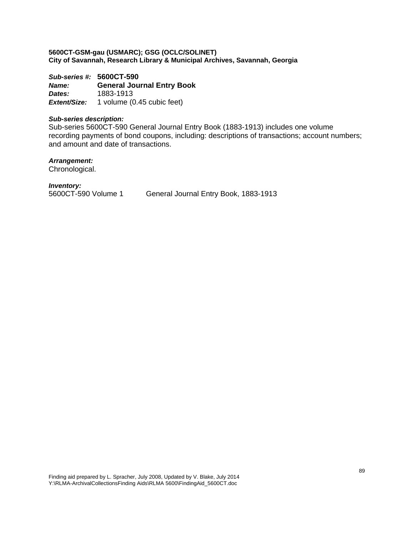*Sub-series #:* **5600CT-590** *Name:* **General Journal Entry Book**  *Dates:* 1883-1913 *Extent/Size:* 1 volume (0.45 cubic feet)

## *Sub-series description:*

Sub-series 5600CT-590 General Journal Entry Book (1883-1913) includes one volume recording payments of bond coupons, including: descriptions of transactions; account numbers; and amount and date of transactions.

*Arrangement:* 

Chronological.

*Inventory:* 

5600CT-590 Volume 1 General Journal Entry Book, 1883-1913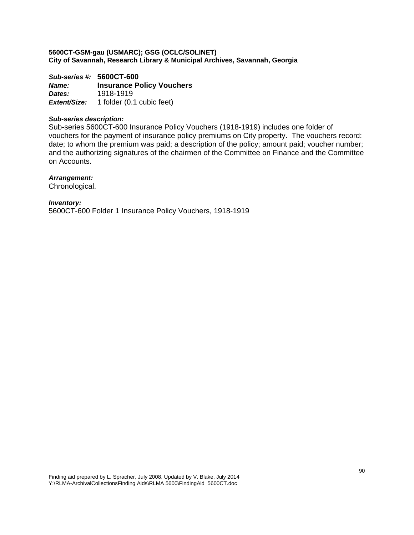*Sub-series #:* **5600CT-600** *Name:* **Insurance Policy Vouchers**  *Dates:* 1918-1919 *Extent/Size:* 1 folder (0.1 cubic feet)

# *Sub-series description:*

Sub-series 5600CT-600 Insurance Policy Vouchers (1918-1919) includes one folder of vouchers for the payment of insurance policy premiums on City property. The vouchers record: date; to whom the premium was paid; a description of the policy; amount paid; voucher number; and the authorizing signatures of the chairmen of the Committee on Finance and the Committee on Accounts.

# *Arrangement:*

Chronological.

*Inventory:*  5600CT-600 Folder 1 Insurance Policy Vouchers, 1918-1919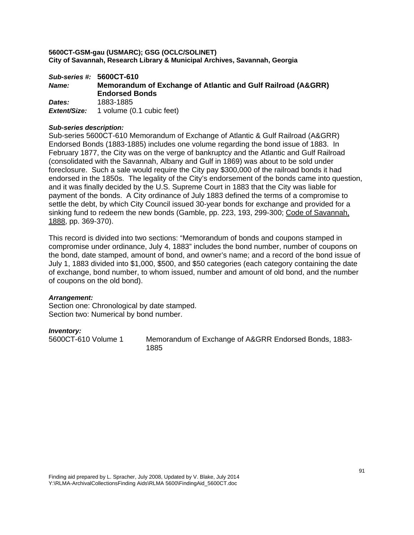*Sub-series #:* **5600CT-610**  *Name:* **Memorandum of Exchange of Atlantic and Gulf Railroad (A&GRR) Endorsed Bonds**  *Dates:* 1883-1885 *Extent/Size:* 1 volume (0.1 cubic feet)

# *Sub-series description:*

Sub-series 5600CT-610 Memorandum of Exchange of Atlantic & Gulf Railroad (A&GRR) Endorsed Bonds (1883-1885) includes one volume regarding the bond issue of 1883. In February 1877, the City was on the verge of bankruptcy and the Atlantic and Gulf Railroad (consolidated with the Savannah, Albany and Gulf in 1869) was about to be sold under foreclosure. Such a sale would require the City pay \$300,000 of the railroad bonds it had endorsed in the 1850s. The legality of the City's endorsement of the bonds came into question, and it was finally decided by the U.S. Supreme Court in 1883 that the City was liable for payment of the bonds. A City ordinance of July 1883 defined the terms of a compromise to settle the debt, by which City Council issued 30-year bonds for exchange and provided for a sinking fund to redeem the new bonds (Gamble, pp. 223, 193, 299-300; Code of Savannah, 1888, pp. 369-370).

This record is divided into two sections: "Memorandum of bonds and coupons stamped in compromise under ordinance, July 4, 1883" includes the bond number, number of coupons on the bond, date stamped, amount of bond, and owner's name; and a record of the bond issue of July 1, 1883 divided into \$1,000, \$500, and \$50 categories (each category containing the date of exchange, bond number, to whom issued, number and amount of old bond, and the number of coupons on the old bond).

## *Arrangement:*

Section one: Chronological by date stamped. Section two: Numerical by bond number.

## *Inventory:*

5600CT-610 Volume 1 Memorandum of Exchange of A&GRR Endorsed Bonds, 1883- 1885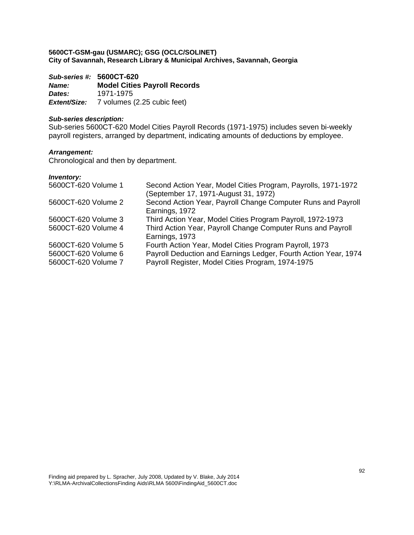*Sub-series #:* **5600CT-620** *Name:* **Model Cities Payroll Records**  *Dates:* 1971-1975 *Extent/Size:* 7 volumes (2.25 cubic feet)

# *Sub-series description:*

Sub-series 5600CT-620 Model Cities Payroll Records (1971-1975) includes seven bi-weekly payroll registers, arranged by department, indicating amounts of deductions by employee.

# *Arrangement:*

Chronological and then by department.

| 5600CT-620 Volume 1                        | Second Action Year, Model Cities Program, Payrolls, 1971-1972<br>(September 17, 1971-August 31, 1972)                |
|--------------------------------------------|----------------------------------------------------------------------------------------------------------------------|
| 5600CT-620 Volume 2                        | Second Action Year, Payroll Change Computer Runs and Payroll<br>Earnings, 1972                                       |
| 5600CT-620 Volume 3                        | Third Action Year, Model Cities Program Payroll, 1972-1973                                                           |
| 5600CT-620 Volume 4                        | Third Action Year, Payroll Change Computer Runs and Payroll<br>Earnings, 1973                                        |
| 5600CT-620 Volume 5                        | Fourth Action Year, Model Cities Program Payroll, 1973                                                               |
| 5600CT-620 Volume 6<br>5600CT-620 Volume 7 | Payroll Deduction and Earnings Ledger, Fourth Action Year, 1974<br>Payroll Register, Model Cities Program, 1974-1975 |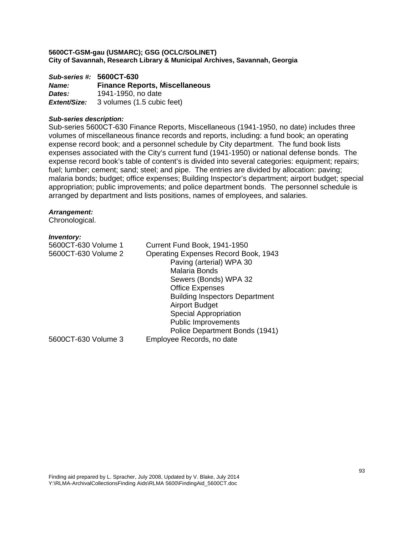*Sub-series #:* **5600CT-630** *Name:* **Finance Reports, Miscellaneous**  *Dates:* 1941-1950, no date *Extent/Size:* 3 volumes (1.5 cubic feet)

## *Sub-series description:*

Sub-series 5600CT-630 Finance Reports, Miscellaneous (1941-1950, no date) includes three volumes of miscellaneous finance records and reports, including: a fund book; an operating expense record book; and a personnel schedule by City department. The fund book lists expenses associated with the City's current fund (1941-1950) or national defense bonds. The expense record book's table of content's is divided into several categories: equipment; repairs; fuel; lumber; cement; sand; steel; and pipe. The entries are divided by allocation: paving; malaria bonds; budget; office expenses; Building Inspector's department; airport budget; special appropriation; public improvements; and police department bonds. The personnel schedule is arranged by department and lists positions, names of employees, and salaries.

## *Arrangement:*

Chronological.

| 5600CT-630 Volume 1 | Current Fund Book, 1941-1950                |
|---------------------|---------------------------------------------|
| 5600CT-630 Volume 2 | <b>Operating Expenses Record Book, 1943</b> |
|                     | Paving (arterial) WPA 30                    |
|                     | <b>Malaria Bonds</b>                        |
|                     | Sewers (Bonds) WPA 32                       |
|                     | <b>Office Expenses</b>                      |
|                     | <b>Building Inspectors Department</b>       |
|                     | <b>Airport Budget</b>                       |
|                     | <b>Special Appropriation</b>                |
|                     | <b>Public Improvements</b>                  |
|                     | Police Department Bonds (1941)              |
| 5600CT-630 Volume 3 | Employee Records, no date                   |
|                     |                                             |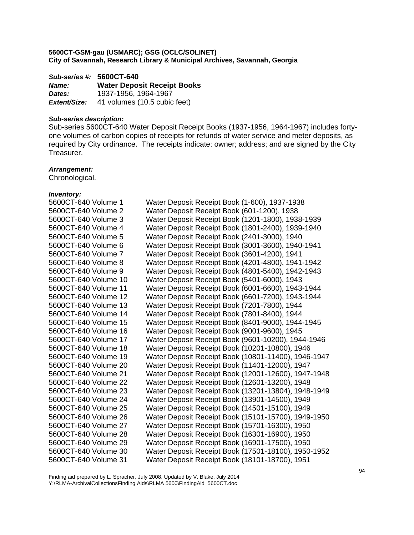*Sub-series #:* **5600CT-640** *Name:* **Water Deposit Receipt Books**  *Dates:* 1937-1956, 1964-1967 **Extent/Size:** 41 volumes (10.5 cubic feet)

# *Sub-series description:*

Sub-series 5600CT-640 Water Deposit Receipt Books (1937-1956, 1964-1967) includes fortyone volumes of carbon copies of receipts for refunds of water service and meter deposits, as required by City ordinance. The receipts indicate: owner; address; and are signed by the City Treasurer.

# *Arrangement:*

Chronological.

| 5600CT-640 Volume 1  | Water Deposit Receipt Book (1-600), 1937-1938       |
|----------------------|-----------------------------------------------------|
| 5600CT-640 Volume 2  | Water Deposit Receipt Book (601-1200), 1938         |
| 5600CT-640 Volume 3  | Water Deposit Receipt Book (1201-1800), 1938-1939   |
| 5600CT-640 Volume 4  | Water Deposit Receipt Book (1801-2400), 1939-1940   |
| 5600CT-640 Volume 5  | Water Deposit Receipt Book (2401-3000), 1940        |
| 5600CT-640 Volume 6  | Water Deposit Receipt Book (3001-3600), 1940-1941   |
| 5600CT-640 Volume 7  | Water Deposit Receipt Book (3601-4200), 1941        |
| 5600CT-640 Volume 8  | Water Deposit Receipt Book (4201-4800), 1941-1942   |
| 5600CT-640 Volume 9  | Water Deposit Receipt Book (4801-5400), 1942-1943   |
| 5600CT-640 Volume 10 | Water Deposit Receipt Book (5401-6000), 1943        |
| 5600CT-640 Volume 11 | Water Deposit Receipt Book (6001-6600), 1943-1944   |
| 5600CT-640 Volume 12 | Water Deposit Receipt Book (6601-7200), 1943-1944   |
| 5600CT-640 Volume 13 | Water Deposit Receipt Book (7201-7800), 1944        |
| 5600CT-640 Volume 14 | Water Deposit Receipt Book (7801-8400), 1944        |
| 5600CT-640 Volume 15 | Water Deposit Receipt Book (8401-9000), 1944-1945   |
| 5600CT-640 Volume 16 | Water Deposit Receipt Book (9001-9600), 1945        |
| 5600CT-640 Volume 17 | Water Deposit Receipt Book (9601-10200), 1944-1946  |
| 5600CT-640 Volume 18 | Water Deposit Receipt Book (10201-10800), 1946      |
| 5600CT-640 Volume 19 | Water Deposit Receipt Book (10801-11400), 1946-1947 |
| 5600CT-640 Volume 20 | Water Deposit Receipt Book (11401-12000), 1947      |
| 5600CT-640 Volume 21 | Water Deposit Receipt Book (12001-12600), 1947-1948 |
| 5600CT-640 Volume 22 | Water Deposit Receipt Book (12601-13200), 1948      |
| 5600CT-640 Volume 23 | Water Deposit Receipt Book (13201-13804), 1948-1949 |
| 5600CT-640 Volume 24 | Water Deposit Receipt Book (13901-14500), 1949      |
| 5600CT-640 Volume 25 | Water Deposit Receipt Book (14501-15100), 1949      |
| 5600CT-640 Volume 26 | Water Deposit Receipt Book (15101-15700), 1949-1950 |
| 5600CT-640 Volume 27 | Water Deposit Receipt Book (15701-16300), 1950      |
| 5600CT-640 Volume 28 | Water Deposit Receipt Book (16301-16900), 1950      |
| 5600CT-640 Volume 29 | Water Deposit Receipt Book (16901-17500), 1950      |
| 5600CT-640 Volume 30 | Water Deposit Receipt Book (17501-18100), 1950-1952 |
| 5600CT-640 Volume 31 | Water Deposit Receipt Book (18101-18700), 1951      |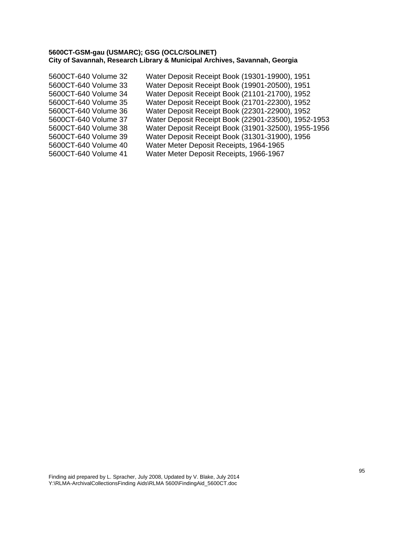5600CT-640 Volume 32 Water Deposit Receipt Book (19301-19900), 1951 5600CT-640 Volume 33 Water Deposit Receipt Book (19901-20500), 1951 5600CT-640 Volume 34 Water Deposit Receipt Book (21101-21700), 1952 5600CT-640 Volume 35 Water Deposit Receipt Book (21701-22300), 1952 5600CT-640 Volume 36 Water Deposit Receipt Book (22301-22900), 1952 5600CT-640 Volume 37 Water Deposit Receipt Book (22901-23500), 1952-1953 5600CT-640 Volume 38 Water Deposit Receipt Book (31901-32500), 1955-1956 5600CT-640 Volume 39 Water Deposit Receipt Book (31301-31900), 1956 5600CT-640 Volume 40 Water Meter Deposit Receipts, 1964-1965 5600CT-640 Volume 41 Water Meter Deposit Receipts, 1966-1967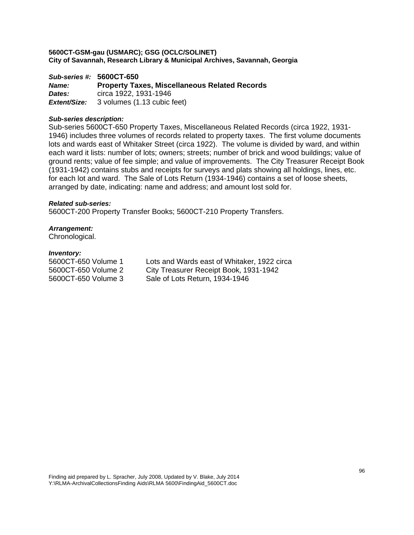*Sub-series #:* **5600CT-650** *Name:* **Property Taxes, Miscellaneous Related Records**  *Dates:* circa 1922, 1931-1946 *Extent/Size:* 3 volumes (1.13 cubic feet)

## *Sub-series description:*

Sub-series 5600CT-650 Property Taxes, Miscellaneous Related Records (circa 1922, 1931- 1946) includes three volumes of records related to property taxes. The first volume documents lots and wards east of Whitaker Street (circa 1922). The volume is divided by ward, and within each ward it lists: number of lots; owners; streets; number of brick and wood buildings; value of ground rents; value of fee simple; and value of improvements. The City Treasurer Receipt Book (1931-1942) contains stubs and receipts for surveys and plats showing all holdings, lines, etc. for each lot and ward. The Sale of Lots Return (1934-1946) contains a set of loose sheets, arranged by date, indicating: name and address; and amount lost sold for.

## *Related sub-series:*

5600CT-200 Property Transfer Books; 5600CT-210 Property Transfers.

## *Arrangement:*

Chronological.

#### *Inventory:*

5600CT-650 Volume 1 Lots and Wards east of Whitaker, 1922 circa 5600CT-650 Volume 2 City Treasurer Receipt Book, 1931-1942 5600CT-650 Volume 3 Sale of Lots Return, 1934-1946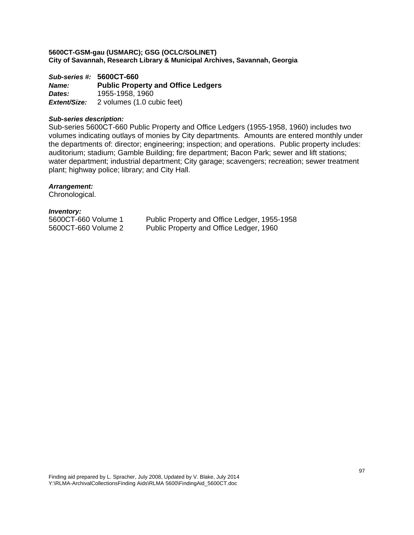*Sub-series #:* **5600CT-660** *Name:* **Public Property and Office Ledgers**  *Dates:* 1955-1958, 1960 *Extent/Size:* 2 volumes (1.0 cubic feet)

## *Sub-series description:*

Sub-series 5600CT-660 Public Property and Office Ledgers (1955-1958, 1960) includes two volumes indicating outlays of monies by City departments. Amounts are entered monthly under the departments of: director; engineering; inspection; and operations. Public property includes: auditorium; stadium; Gamble Building; fire department; Bacon Park; sewer and lift stations; water department; industrial department; City garage; scavengers; recreation; sewer treatment plant; highway police; library; and City Hall.

# *Arrangement:*

Chronological.

*Inventory:* 

5600CT-660 Volume 1 Public Property and Office Ledger, 1955-1958 5600CT-660 Volume 2 Public Property and Office Ledger, 1960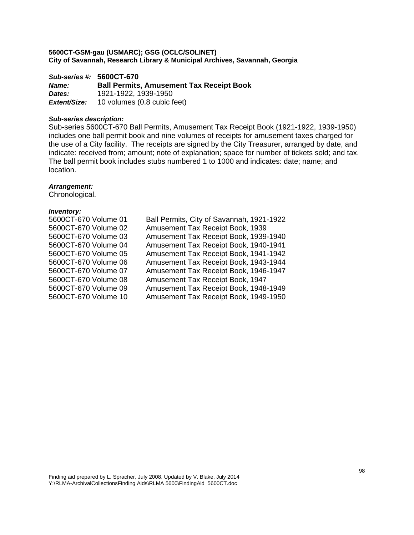*Sub-series #:* **5600CT-670** *Name:* **Ball Permits, Amusement Tax Receipt Book**  *Dates:* 1921-1922, 1939-1950 *Extent/Size:* 10 volumes (0.8 cubic feet)

# *Sub-series description:*

Sub-series 5600CT-670 Ball Permits, Amusement Tax Receipt Book (1921-1922, 1939-1950) includes one ball permit book and nine volumes of receipts for amusement taxes charged for the use of a City facility. The receipts are signed by the City Treasurer, arranged by date, and indicate: received from; amount; note of explanation; space for number of tickets sold; and tax. The ball permit book includes stubs numbered 1 to 1000 and indicates: date; name; and location.

# *Arrangement:*

Chronological.

| 5600CT-670 Volume 01 | Ball Permits, City of Savannah, 1921-1922 |
|----------------------|-------------------------------------------|
| 5600CT-670 Volume 02 | Amusement Tax Receipt Book, 1939          |
| 5600CT-670 Volume 03 | Amusement Tax Receipt Book, 1939-1940     |
| 5600CT-670 Volume 04 | Amusement Tax Receipt Book, 1940-1941     |
| 5600CT-670 Volume 05 | Amusement Tax Receipt Book, 1941-1942     |
| 5600CT-670 Volume 06 | Amusement Tax Receipt Book, 1943-1944     |
| 5600CT-670 Volume 07 | Amusement Tax Receipt Book, 1946-1947     |
| 5600CT-670 Volume 08 | Amusement Tax Receipt Book, 1947          |
| 5600CT-670 Volume 09 | Amusement Tax Receipt Book, 1948-1949     |
| 5600CT-670 Volume 10 | Amusement Tax Receipt Book, 1949-1950     |
|                      |                                           |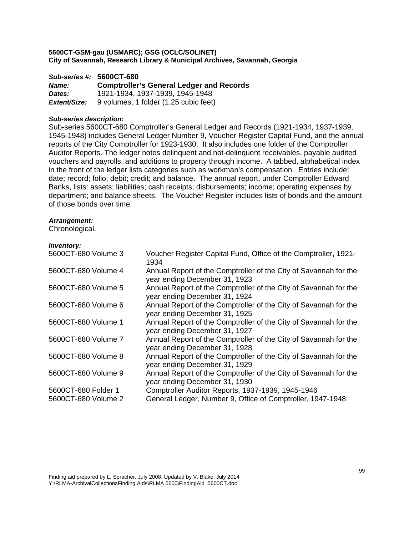*Sub-series #:* **5600CT-680** *Name:* **Comptroller's General Ledger and Records**  *Dates:* 1921-1934, 1937-1939, 1945-1948 *Extent/Size:* 9 volumes, 1 folder (1.25 cubic feet)

## *Sub-series description:*

Sub-series 5600CT-680 Comptroller's General Ledger and Records (1921-1934, 1937-1939, 1945-1948) includes General Ledger Number 9, Voucher Register Capital Fund, and the annual reports of the City Comptroller for 1923-1930. It also includes one folder of the Comptroller Auditor Reports. The ledger notes delinquent and not-delinquent receivables, payable audited vouchers and payrolls, and additions to property through income. A tabbed, alphabetical index in the front of the ledger lists categories such as workman's compensation. Entries include: date; record; folio; debit; credit; and balance. The annual report, under Comptroller Edward Banks, lists: assets; liabilities; cash receipts; disbursements; income; operating expenses by department; and balance sheets. The Voucher Register includes lists of bonds and the amount of those bonds over time.

## *Arrangement:*

Chronological.

| 5600CT-680 Volume 3                        | Voucher Register Capital Fund, Office of the Comptroller, 1921-<br>1934                                         |
|--------------------------------------------|-----------------------------------------------------------------------------------------------------------------|
| 5600CT-680 Volume 4                        | Annual Report of the Comptroller of the City of Savannah for the<br>year ending December 31, 1923               |
| 5600CT-680 Volume 5                        | Annual Report of the Comptroller of the City of Savannah for the<br>year ending December 31, 1924               |
| 5600CT-680 Volume 6                        | Annual Report of the Comptroller of the City of Savannah for the<br>year ending December 31, 1925               |
| 5600CT-680 Volume 1                        | Annual Report of the Comptroller of the City of Savannah for the<br>year ending December 31, 1927               |
| 5600CT-680 Volume 7                        | Annual Report of the Comptroller of the City of Savannah for the<br>year ending December 31, 1928               |
| 5600CT-680 Volume 8                        | Annual Report of the Comptroller of the City of Savannah for the<br>year ending December 31, 1929               |
| 5600CT-680 Volume 9                        | Annual Report of the Comptroller of the City of Savannah for the<br>year ending December 31, 1930               |
| 5600CT-680 Folder 1<br>5600CT-680 Volume 2 | Comptroller Auditor Reports, 1937-1939, 1945-1946<br>General Ledger, Number 9, Office of Comptroller, 1947-1948 |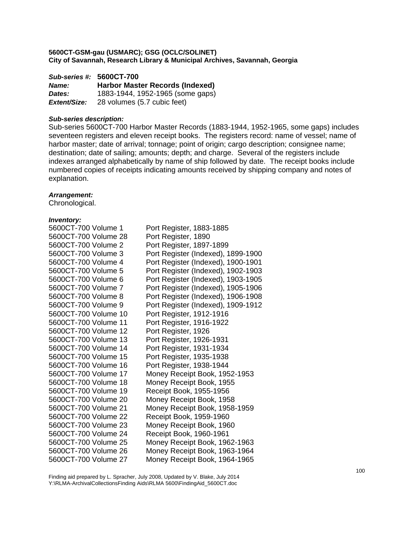*Sub-series #:* **5600CT-700** *Name:* **Harbor Master Records (Indexed)**  *Dates:* 1883-1944, 1952-1965 (some gaps) *Extent/Size:* 28 volumes (5.7 cubic feet)

## *Sub-series description:*

Sub-series 5600CT-700 Harbor Master Records (1883-1944, 1952-1965, some gaps) includes seventeen registers and eleven receipt books. The registers record: name of vessel; name of harbor master; date of arrival; tonnage; point of origin; cargo description; consignee name; destination; date of sailing; amounts; depth; and charge. Several of the registers include indexes arranged alphabetically by name of ship followed by date. The receipt books include numbered copies of receipts indicating amounts received by shipping company and notes of explanation.

## *Arrangement:*

Chronological.

## *Inventory:*

| 5600CT-700 Volume 1  | Port Register, 1883-1885           |
|----------------------|------------------------------------|
| 5600CT-700 Volume 28 | Port Register, 1890                |
| 5600CT-700 Volume 2  | Port Register, 1897-1899           |
| 5600CT-700 Volume 3  | Port Register (Indexed), 1899-1900 |
| 5600CT-700 Volume 4  | Port Register (Indexed), 1900-1901 |
| 5600CT-700 Volume 5  | Port Register (Indexed), 1902-1903 |
| 5600CT-700 Volume 6  | Port Register (Indexed), 1903-1905 |
| 5600CT-700 Volume 7  | Port Register (Indexed), 1905-1906 |
| 5600CT-700 Volume 8  | Port Register (Indexed), 1906-1908 |
| 5600CT-700 Volume 9  | Port Register (Indexed), 1909-1912 |
| 5600CT-700 Volume 10 | Port Register, 1912-1916           |
| 5600CT-700 Volume 11 | Port Register, 1916-1922           |
| 5600CT-700 Volume 12 | Port Register, 1926                |
| 5600CT-700 Volume 13 | Port Register, 1926-1931           |
| 5600CT-700 Volume 14 | Port Register, 1931-1934           |
| 5600CT-700 Volume 15 | Port Register, 1935-1938           |
| 5600CT-700 Volume 16 | Port Register, 1938-1944           |
| 5600CT-700 Volume 17 | Money Receipt Book, 1952-1953      |
| 5600CT-700 Volume 18 | Money Receipt Book, 1955           |
| 5600CT-700 Volume 19 | Receipt Book, 1955-1956            |
| 5600CT-700 Volume 20 | Money Receipt Book, 1958           |
| 5600CT-700 Volume 21 | Money Receipt Book, 1958-1959      |
| 5600CT-700 Volume 22 | Receipt Book, 1959-1960            |
| 5600CT-700 Volume 23 | Money Receipt Book, 1960           |
| 5600CT-700 Volume 24 | Receipt Book, 1960-1961            |
| 5600CT-700 Volume 25 | Money Receipt Book, 1962-1963      |
| 5600CT-700 Volume 26 | Money Receipt Book, 1963-1964      |
| 5600CT-700 Volume 27 | Money Receipt Book, 1964-1965      |

Finding aid prepared by L. Spracher, July 2008, Updated by V. Blake, July 2014 Y:\RLMA-ArchivalCollectionsFinding Aids\RLMA 5600\FindingAid\_5600CT.doc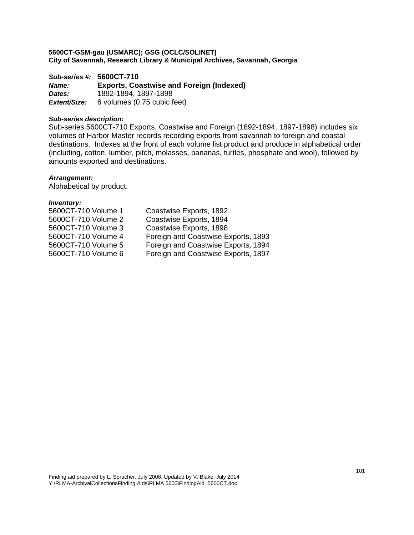*Sub-series #:* **5600CT-710** *Name:* **Exports, Coastwise and Foreign (Indexed)**  *Dates:* 1892-1894, 1897-1898 *Extent/Size:* 6 volumes (0.75 cubic feet)

## *Sub-series description:*

Sub-series 5600CT-710 Exports, Coastwise and Foreign (1892-1894, 1897-1898) includes six volumes of Harbor Master records recording exports from savannah to foreign and coastal destinations. Indexes at the front of each volume list product and produce in alphabetical order (including, cotton, lumber, pitch, molasses, bananas, turtles, phosphate and wool), followed by amounts exported and destinations.

# *Arrangement:*

Alphabetical by product.

| 5600CT-710 Volume 1 | Coastwise Exports, 1892             |
|---------------------|-------------------------------------|
| 5600CT-710 Volume 2 | Coastwise Exports, 1894             |
| 5600CT-710 Volume 3 | Coastwise Exports, 1898             |
| 5600CT-710 Volume 4 | Foreign and Coastwise Exports, 1893 |
| 5600CT-710 Volume 5 | Foreign and Coastwise Exports, 1894 |
| 5600CT-710 Volume 6 | Foreign and Coastwise Exports, 1897 |
|                     |                                     |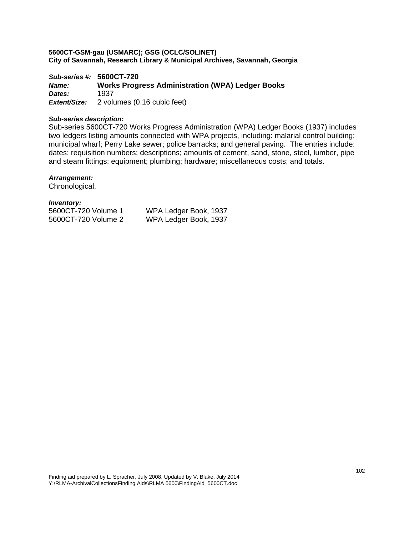*Sub-series #:* **5600CT-720** *Name:* **Works Progress Administration (WPA) Ledger Books**  *Dates:* 1937 *Extent/Size:* 2 volumes (0.16 cubic feet)

# *Sub-series description:*

Sub-series 5600CT-720 Works Progress Administration (WPA) Ledger Books (1937) includes two ledgers listing amounts connected with WPA projects, including: malarial control building; municipal wharf; Perry Lake sewer; police barracks; and general paving. The entries include: dates; requisition numbers; descriptions; amounts of cement, sand, stone, steel, lumber, pipe and steam fittings; equipment; plumbing; hardware; miscellaneous costs; and totals.

# *Arrangement:*

Chronological.

*Inventory:* 

| 5600CT-720 Volume 1 | W |
|---------------------|---|
| 5600CT-720 Volume 2 | W |

VPA Ledger Book, 1937 VPA Ledger Book, 1937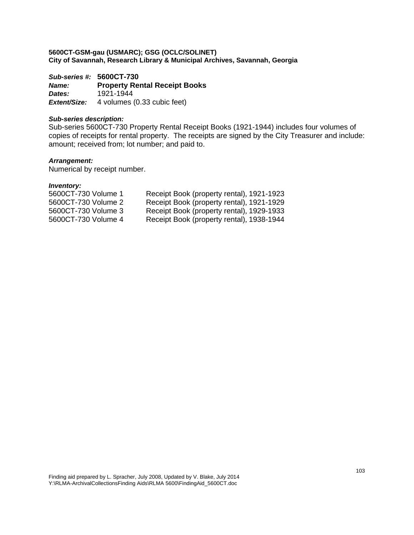*Sub-series #:* **5600CT-730** *Name:* **Property Rental Receipt Books**  *Dates:* 1921-1944 **Extent/Size:** 4 volumes (0.33 cubic feet)

# *Sub-series description:*

Sub-series 5600CT-730 Property Rental Receipt Books (1921-1944) includes four volumes of copies of receipts for rental property. The receipts are signed by the City Treasurer and include: amount; received from; lot number; and paid to.

# *Arrangement:*

Numerical by receipt number.

| 5600CT-730 Volume 1 | Receipt Book (property rental), 1921-1923 |
|---------------------|-------------------------------------------|
| 5600CT-730 Volume 2 | Receipt Book (property rental), 1921-1929 |
| 5600CT-730 Volume 3 | Receipt Book (property rental), 1929-1933 |
| 5600CT-730 Volume 4 | Receipt Book (property rental), 1938-1944 |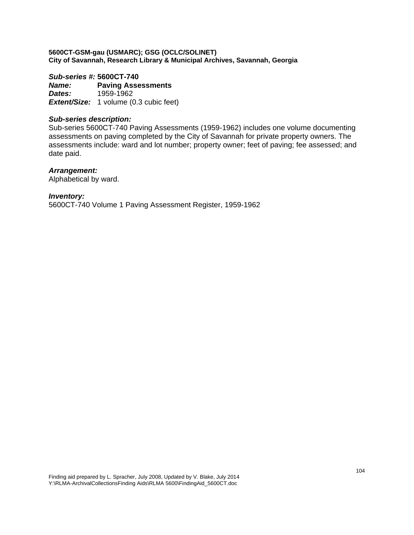# *Sub-series #:* **5600CT-740**

*Name:* **Paving Assessments**  *Dates:* 1959-1962 **Extent/Size:** 1 volume (0.3 cubic feet)

# *Sub-series description:*

Sub-series 5600CT-740 Paving Assessments (1959-1962) includes one volume documenting assessments on paving completed by the City of Savannah for private property owners. The assessments include: ward and lot number; property owner; feet of paving; fee assessed; and date paid.

# *Arrangement:*

Alphabetical by ward.

## *Inventory:*

5600CT-740 Volume 1 Paving Assessment Register, 1959-1962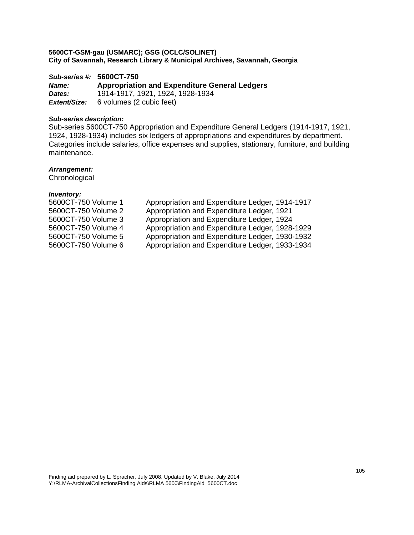*Sub-series #:* **5600CT-750** *Name:* **Appropriation and Expenditure General Ledgers**  *Dates:* 1914-1917, 1921, 1924, 1928-1934 *Extent/Size:* 6 volumes (2 cubic feet)

# *Sub-series description:*

Sub-series 5600CT-750 Appropriation and Expenditure General Ledgers (1914-1917, 1921, 1924, 1928-1934) includes six ledgers of appropriations and expenditures by department. Categories include salaries, office expenses and supplies, stationary, furniture, and building maintenance.

# *Arrangement:*

**Chronological** 

| 5600CT-750 Volume 1 | Appropriation and Expenditure Ledger, 1914-1917 |
|---------------------|-------------------------------------------------|
| 5600CT-750 Volume 2 | Appropriation and Expenditure Ledger, 1921      |
| 5600CT-750 Volume 3 | Appropriation and Expenditure Ledger, 1924      |
| 5600CT-750 Volume 4 | Appropriation and Expenditure Ledger, 1928-1929 |
| 5600CT-750 Volume 5 | Appropriation and Expenditure Ledger, 1930-1932 |
| 5600CT-750 Volume 6 | Appropriation and Expenditure Ledger, 1933-1934 |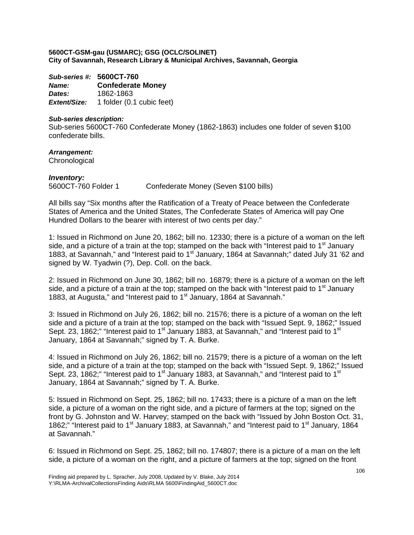*Sub-series #:* **5600CT-760** *Name:* **Confederate Money**  *Dates:* 1862-1863 *Extent/Size:* 1 folder (0.1 cubic feet)

# *Sub-series description:*

Sub-series 5600CT-760 Confederate Money (1862-1863) includes one folder of seven \$100 confederate bills.

*Arrangement:*  **Chronological** 

*Inventory:*  5600CT-760 Folder 1 Confederate Money (Seven \$100 bills)

All bills say "Six months after the Ratification of a Treaty of Peace between the Confederate States of America and the United States, The Confederate States of America will pay One Hundred Dollars to the bearer with interest of two cents per day."

1: Issued in Richmond on June 20, 1862; bill no. 12330; there is a picture of a woman on the left side, and a picture of a train at the top; stamped on the back with "Interest paid to  $1<sup>st</sup>$  January 1883, at Savannah," and "Interest paid to 1<sup>st</sup> January, 1864 at Savannah;" dated July 31 '62 and signed by W. Tyadwin (?), Dep. Coll. on the back.

2: Issued in Richmond on June 30, 1862; bill no. 16879; there is a picture of a woman on the left side, and a picture of a train at the top; stamped on the back with "Interest paid to  $1<sup>st</sup>$  January 1883, at Augusta," and "Interest paid to 1<sup>st</sup> January, 1864 at Savannah."

3: Issued in Richmond on July 26, 1862; bill no. 21576; there is a picture of a woman on the left side and a picture of a train at the top; stamped on the back with "Issued Sept. 9, 1862;" Issued Sept. 23, 1862;" "Interest paid to 1<sup>st</sup> January 1883, at Savannah," and "Interest paid to 1<sup>st</sup> January, 1864 at Savannah;" signed by T. A. Burke.

4: Issued in Richmond on July 26, 1862; bill no. 21579; there is a picture of a woman on the left side, and a picture of a train at the top; stamped on the back with "Issued Sept. 9, 1862;" Issued Sept. 23, 1862;" "Interest paid to 1<sup>st</sup> January 1883, at Savannah," and "Interest paid to 1<sup>st</sup> January, 1864 at Savannah;" signed by T. A. Burke.

5: Issued in Richmond on Sept. 25, 1862; bill no. 17433; there is a picture of a man on the left side, a picture of a woman on the right side, and a picture of farmers at the top; signed on the front by G. Johnston and W. Harvey; stamped on the back with "Issued by John Boston Oct. 31, 1862;" "Interest paid to 1<sup>st</sup> January 1883, at Savannah," and "Interest paid to 1<sup>st</sup> January, 1864 at Savannah."

6: Issued in Richmond on Sept. 25, 1862; bill no. 174807; there is a picture of a man on the left side, a picture of a woman on the right, and a picture of farmers at the top; signed on the front